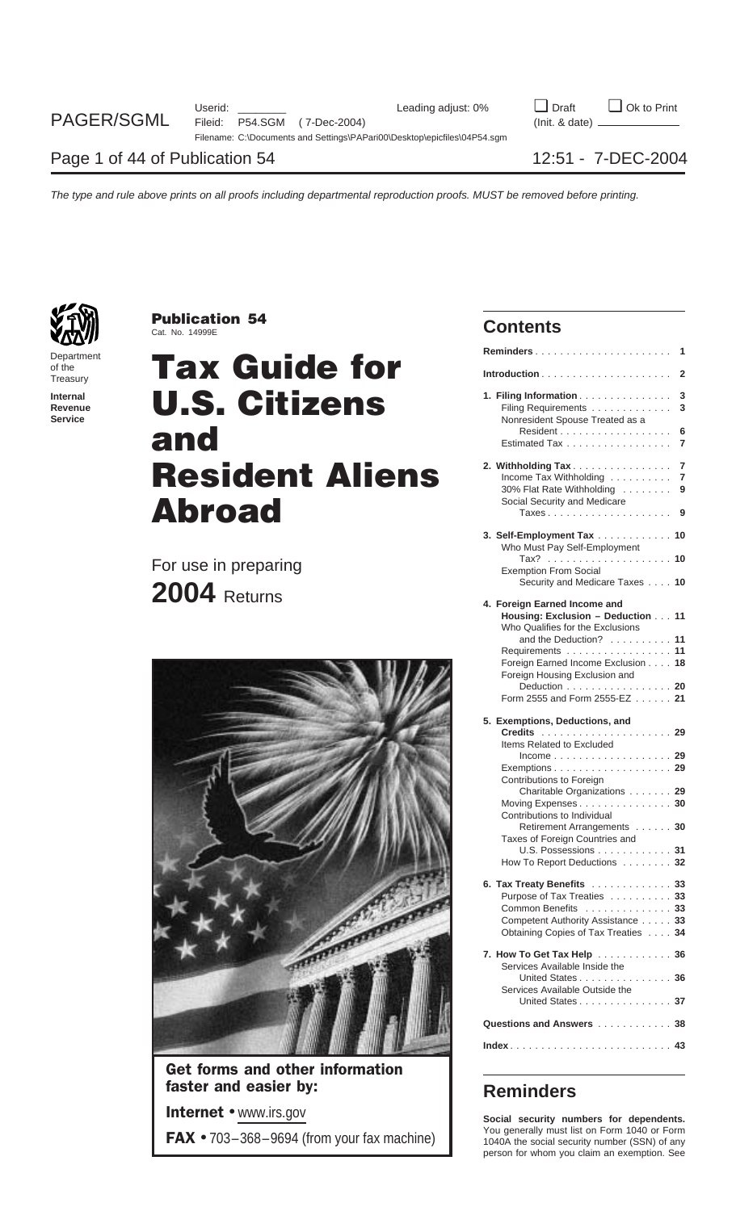

**Publication 54**<br>Cat. No. 14999E

# **Reminders** ...................... **<sup>1</sup>** Department of the **Tax Guide for Introduction** ..................... **<sup>2</sup>** Treasury **Internal 1. Filing Information** ............... **3 Revenue U.S. Citizens** Filing Requirements ............. **<sup>3</sup> Service** Nonresident Spouse Treated as a service **and** Estimated Tax ................. **<sup>7</sup> Resident Aliens Abroad**

For use in preparing **2004 Returns** 



## Get forms and other information faster and easier by: **Reminders**

Internet • **WWW.ITS.GOV Social security numbers for dependents.** 

**FAX •** 703–368–9694 (from your fax machine) <sup>You generally must list on Form 1040 or Form 1040 or Form 1040 the social security number (SSN) of any</sup>

# **Contents**

|                                                                                                                              | 1                |
|------------------------------------------------------------------------------------------------------------------------------|------------------|
|                                                                                                                              | 2                |
| Filing Information<br>1.<br>Filing Requirements<br>Nonresident Spouse Treated as a                                           | 3<br>3           |
| Resident<br>Estimated Tax                                                                                                    | 6<br>7           |
| 2. Withholding Tax<br>Income Tax Withholding<br>30% Flat Rate Withholding<br>Social Security and Medicare<br>Taxes           | 7<br>7<br>9<br>9 |
| 3. Self-Employment Tax 10<br>Who Must Pay Self-Employment                                                                    |                  |
| <b>Exemption From Social</b><br>Security and Medicare Taxes 10                                                               |                  |
| 4. Foreign Earned Income and<br>Housing: Exclusion - Deduction 11<br>Who Qualifies for the Exclusions                        |                  |
| and the Deduction?<br>Requirements<br>Foreign Earned Income Exclusion 18<br>Foreign Housing Exclusion and                    | 11<br>11         |
| Deduction 20<br>Form 2555 and Form 2555-EZ 21                                                                                |                  |
| <b>Exemptions, Deductions, and</b><br>5.<br>Items Related to Excluded                                                        |                  |
| Exemptions $\ldots \ldots \ldots \ldots \ldots$<br>Contributions to Foreign                                                  |                  |
| Charitable Organizations 29<br>Moving Expenses 30<br>Contributions to Individual                                             |                  |
| Retirement Arrangements 30<br>Taxes of Foreign Countries and<br>U.S. Possessions 31                                          |                  |
| How To Report Deductions 32<br>6. Tax Treaty Benefits  33                                                                    |                  |
| Purpose of Tax Treaties 33<br>Common Benefits 33<br>Competent Authority Assistance 33<br>Obtaining Copies of Tax Treaties 34 |                  |
| 7. How To Get Tax Help 36<br>Services Available Inside the<br>United States 36                                               |                  |
| Services Available Outside the<br>United States 37                                                                           |                  |
| Questions and Answers 38                                                                                                     |                  |
|                                                                                                                              |                  |

person for whom you claim an exemption. See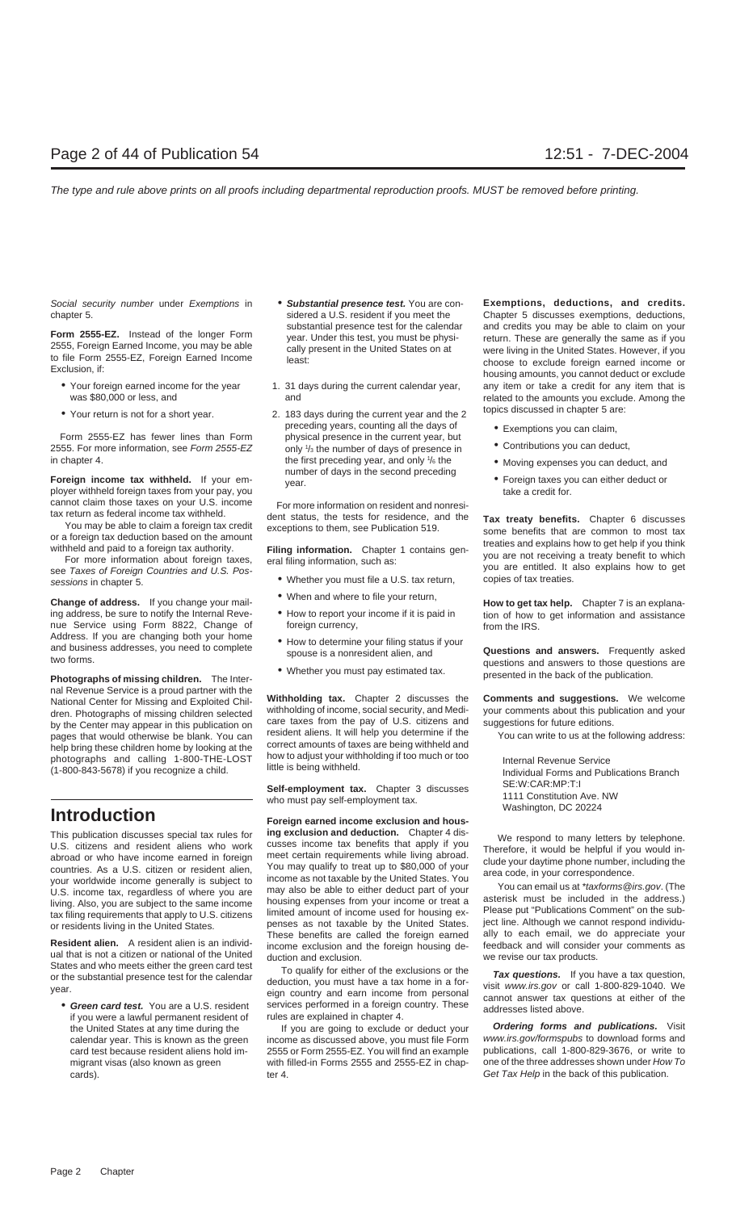Social security number under Exemptions in • **Substantial presence test.** You are con- **Exemptions, deductions, and credits.** chapter 5. sidered a U.S. resident if you meet the Chapter 5 discusses exemptions, deductions,

- 
- 

in chapter 4. the first preceding year, and only  $\frac{1}{6}$  the

cannot claim those taxes on your U.S. income For more information on resident and nonresitive residence and the

**Change of address.** If you change your mail-<br>ing address, be sure to notify the Internal Reve-<br>**How to report your income if it is paid in** tion of how to get information and assistance nue Service using Form 8822, Change of foreign currency, from the IRS.<br>Address. If you are changing both your home

nal Revenue Service is a proud partner with the dren. Photographs of missing children selected withholding of income, social security, and Medi- your comments about this publication and but the Center may appear in this publication on care taxes from the pay of U.S. cit by the Center may appear in this publication on care taxes from the pay of U.S. citizens and suggestions for future editions.<br>pages that would otherwise be blank. You can resident aliens. It will help you determine if the pages that would otherwise be blank. You can resident aliens. It will help you determine if the You can write to us at the following address:<br>help bring these children home by looking at the correct amounts of taxes are be

if you were a lawful permanent resident of rules are explained in chapter 4.

- 
- 
- Your return is not for a short year. 2. 183 days during the current year and the 2 topics discussed in chapter 5 are: preceding years, counting all the days of **Exemptions you can claim,**<br>Form 2555-EZ has fewer lines than Form physical presence in the current year, but<br>2555. For more information, see Form 2555-EZ only 1/3 the number of da only 1/3 the number of days of presence in in chapter 4.<br>
Foreign income tax withheld. If your em-<br>
ployer withheld foreign taxes from your pay, you<br>
ployer withheld foreign taxes from your pay, you<br>
ployer withheld foreign taxes from your pay, you<br>
ployer withheld

- 
- 
- 
- 
- 

**Self-employment tax.** Chapter 3 discusses **SE:W:CAR:MP:T:I**<br>who must nove of employment to **self** 1111 Constitution Ave. NW who must pay self-employment tax.<br>1111 Constitution Ave. 1<br>1111 Washington, DC 20224

**Introduction Foreign earned income exclusion and hous-**This publication discusses special tax rules for<br>U.S. citizens and resident aliens who work cusses income tax benefits that apply if you<br>abroad or who have income earned in foreign meet certain requirements while living ab Using a modular term is engageless of where you are and the state of the deluct part of your can email us at *\*taxforms@irs.gov*. (The U.S. income tax, regardless of where you are income housing expenses from your income o **Resident alien.** A resident alien is an individ-<br> **Resident alien.** A resident alien is an individ-<br>
uncome exclusion and the foreign housing de-<br>
we revise our tax products<br>
we revise our tax products

United that is not a citizen or national of the United duction and exclusion.<br>
States and who meets either the green card test<br>
or the substantial presence test for the calendar<br>
year.<br>
• **Green card test.** You are a U.S.

calendar year. This is known as the green income as discussed above, you must file Form www.irs.gov/formspubs to download forms and<br>card test because resident aliens hold im-<br>2555 or Form 2555 or You will find an example p card test because resident aliens hold im-<br>2555 or Form 2555-EZ. You will find an example migrant visas (also known as green with filled-in Forms 2555 and 2555-EZ in chap- one of the three addresses shown under How To cards). ter 4. the 4. Cards and the back of this publication.

**Form 2555-EZ.** Instead of the longer Form substantial presence test for the calendar and credits you may be able to claim on your<br>2555, Foreign Earned Income, you may be able cally present in the United States on at the U • Your foreign earned income for the year 1. 31 days during the current calendar year, any item or take a credit for any item that is was \$80,000 or less, and **and** and and related to the amounts you exclude. Among the amounts you exclude. Among the

- 
- 
- 
- 

tax return as federal income tax withheld. dent status, the tests for residence, and the<br>
or a foreign tax deduction based on the amount<br>
withheld and paid to a foreign tax authority.<br>
For more information about foreign ta

ing address, be sure to notify the Internal Reve- . How to report your income if it is paid in tion of how to get information and assistance

Address. If you are changing both your home and business addresses, you need to complete and business addresses, you need to complete spouse is a nonresident alien, and **Questions and answers**. Frequently asked spouse is a

National Center for Missing and Exploited Chil- **Withholding tax.** Chapter 2 discusses the **Comments and suggestions.** We welcome

the United States at any time during the If you are going to exclude or deduct your **Ordering forms and publications.** Visit calendar vear. This is known as the green income as discussed above, you must file Form www.irs.g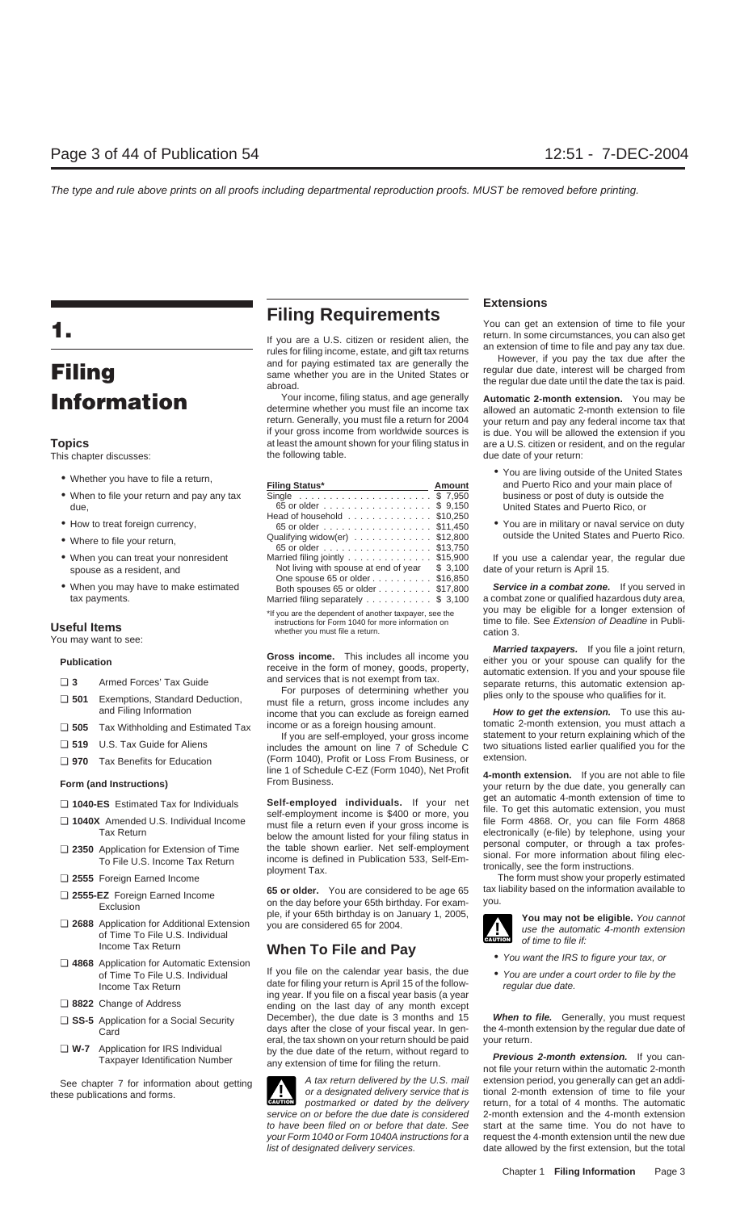- 
- When to file your return and pay any tax
- 
- 
- 
- 

- 
- 
- 
- 
- 

- 
- 
- 
- 
- 
- 
- 
- 
- 
- 

Filing Requirements<br>
If you are a U.S. citizen or resident alien, the<br>
rules for filing income, estate, and gift tax returns<br>
and for paying estimated tax are generally the<br>
same whether you are in the United States or<br>
ab

return. Generally, you must file a return for 2004 your return and pay any federal income tax that<br>if your gross income from worldwide sources is is due. You will be allowed the extension if you if your gross income from worldwide sources is is due. You will be allowed the extension if you<br>at least the amount shown for your filing status in are a U.S. citizen or resident, and on the regular **Topics** at least the amount shown for your filing status in are a U.S. citizen or resident, and on the regular<br>This chapter discusses:<br>due date of your return: This chapter discusses: the following table. This chapter discusses: the following table. This chapter due date of your return:

| • whether you have to file a return,                               | Filing Status*<br>Amount                                                                                                                                                 | and Puerto Rico and your main place of                                                               |
|--------------------------------------------------------------------|--------------------------------------------------------------------------------------------------------------------------------------------------------------------------|------------------------------------------------------------------------------------------------------|
| • When to file your return and pay any tax                         |                                                                                                                                                                          | business or post of duty is outside the                                                              |
| due.                                                               | 65 or older $\ldots \ldots \ldots \ldots \ldots$ \$ 9.150                                                                                                                | United States and Puerto Rico, or                                                                    |
| • How to treat foreign currency,                                   | Head of household $\ldots \ldots \ldots \ldots$ \$10,250<br>65 or older \$11,450                                                                                         | • You are in military or naval service on duty                                                       |
| • Where to file your return,                                       | Qualifying widow(er) $\ldots \ldots \ldots \ldots$ \$12,800<br>65 or older \$13,750                                                                                      | outside the United States and Puerto Rico.                                                           |
| • When you can treat your nonresident<br>spouse as a resident, and | Married filing jointly $\ldots \ldots \ldots \ldots$ \$15,900<br>Not living with spouse at end of year<br>\$ 3,100                                                       | If you use a calendar year, the regular due<br>date of your return is April 15.                      |
| • When you may have to make estimated<br>tax payments.             | One spouse 65 or older $\ldots \ldots \ldots$ \$16,850<br>Both spouses 65 or older $\ldots \ldots$ \$17,800<br>Married filing separately $\ldots \ldots \ldots$ \$ 3,100 | <b>Service in a combat zone.</b> If you served in<br>a combat zone or qualified hazardous duty area. |

□ 3 Armed Forces' Tax Guide and services that is not exempt from tax.<br>
The separate returns, this automatic extension approvement of the separate returns, this automatic extension approvement of the spontaneously and Fili

includes the amount on line 7 of Schedule C (Form 1040), Profit or Loss From Business, or extension. ❏ **970** Tax Benefits for Education line 1 of Schedule C-EZ (Form 1040), Net Profit **4-month extension.** If you are not able to file

<table>\n<tbody>\n<tr>\n<td>□ 1040-ES Estimateed Tax for Individual income</td>\n<td>Self-employed individuals. If your net self-employed more likely to be a more relevant idea.</td>\n<td>Self-employed individuals. If your net self-employed more likely to be a more relevant idea.</td>\n<td>Setf-employed more likely to be a more relevant idea.</td>\n<td>Setf-employed more likely to be a more relevant idea.</td>\n<td>Setf-employed more likely to be a more relevant idea.</td>\n<td>Setf-exployment listed for your filing status in the table shown earlier. Net self-emboyment is a more important idea.</td>\n<td>Setf-emboyment more important information about filing electron in the table.</td>\n<td>Setf-emboyment more important information about filing electron in the table.</td>\n<td>Setf-emboyment more important information

<p>Q 2555-EZ Foreign Example: 2555-EZ Foreign Example: The image is a mathematical expression of a linear combination of a linear combination is <math>2555-EZ</math> (a) The first solution is <math>2555-EZ</math> (b) The first solution is <math>2555-EZ</math> (c) The first solution is <math>2555-EZ</math> (d) The first solution is <math>2555-EZ</math> (e) The first solution is <math>2555-EZ</math> (f) The first solution is <math>2555-EZ</math> (g) The first solution is <math>2555-EZ</math> (h) The first solution is <math>2555-EZ</math> (i.e., <math>2555-EZ</math>) is <

Income Tax Return<br> **When To File and Pay**<br> **Extension**<br>
of Time To File U.S. Individual<br>
Income Tax Return<br>
Income Tax Return<br>
Income Tax Return<br>
Income Tax Return<br>
Income Tax Return<br>
Income Tax Return<br>
ing year. If you f ❏ **8822** Change of Address ending on the last day of any month except ❏ December), the due date is 3 months and 15 **When to file.** Generally, you must request **SS-5** Application for a Social Security Card days after the close of your fiscal year. In gen- the 4-month card<br>eral, the tax shown on your return should be paid your return. eral, the tax shown on your return should be paid □ W-7 Application for IRS Individual by the due date of the return, without regard to<br>Taxpayer Identification Number any extension of time for filing the return. The view our return within the automatic 2-month

See chapter 7 for information about getting A tax return delivered by the U.S. mail extension period, you generally can get an addi-<br>or a designated delivery service that is tional 2-month extension of time to file your or a designated delivery service that is tional 2-month extension of time to file your these publications and forms.<br>postmarked or dated by the delivery return, for a total of 4 months. The automatic **!** service on or before the due date is considered 2-month extension and the 4-month extension to have been filed on or before that date. See start at the same time. You do not have to your Form 1040 or Form 1040A instructions for a request the 4-month extension until the new due list of designated delivery services. date allowed by the first extension, but the total

### **Extensions**

**Information**<br> **Informatic 2-month extension.** You may be<br> **Informatic 2-month extension to file**<br> **Information** determine whether you must file an income tax allowed an automatic 2-month extension to file<br> **Information** d

- Whether you have to file a return,<br>• When to file your return and pay any tax **Filing Status\* Filing Status Amount Amount** and Puerto Rico and your main place of **and Puerto Rico and your main place of When to fi** 
	-

<sup>\*</sup>If you are the dependent of another taxpayer, see the  $\frac{1}{2}$  you may be eligible for a longer extension of  $\frac{1}{2}$  instructions for Form 1040 for more information on time to file. See *Extension of Deadline* in Pub **Useful Items**<br>instructions for Form 1040 for more information on time to file. See Extension of Deadline in Publi-<br>You may want to see: **the cation 3.** Whether you must file a return.

**Married taxpayers.** If you file a joint return,<br> **Publication**<br> **Cross income.** This includes all income you<br>
receive in the form of money, goods, property,<br>
and services that is not exempt from tax.<br>
The senarate returns

**income or as a foreign housing amount.** tomatic 2-month extension, you must attach a Tax Withholding and Estimated Tax if you are self-employed, your gross income statement to your return explaining which of the includes

**Form (and Instructions)** From Business. The same system of the due date, you generally can



- 
-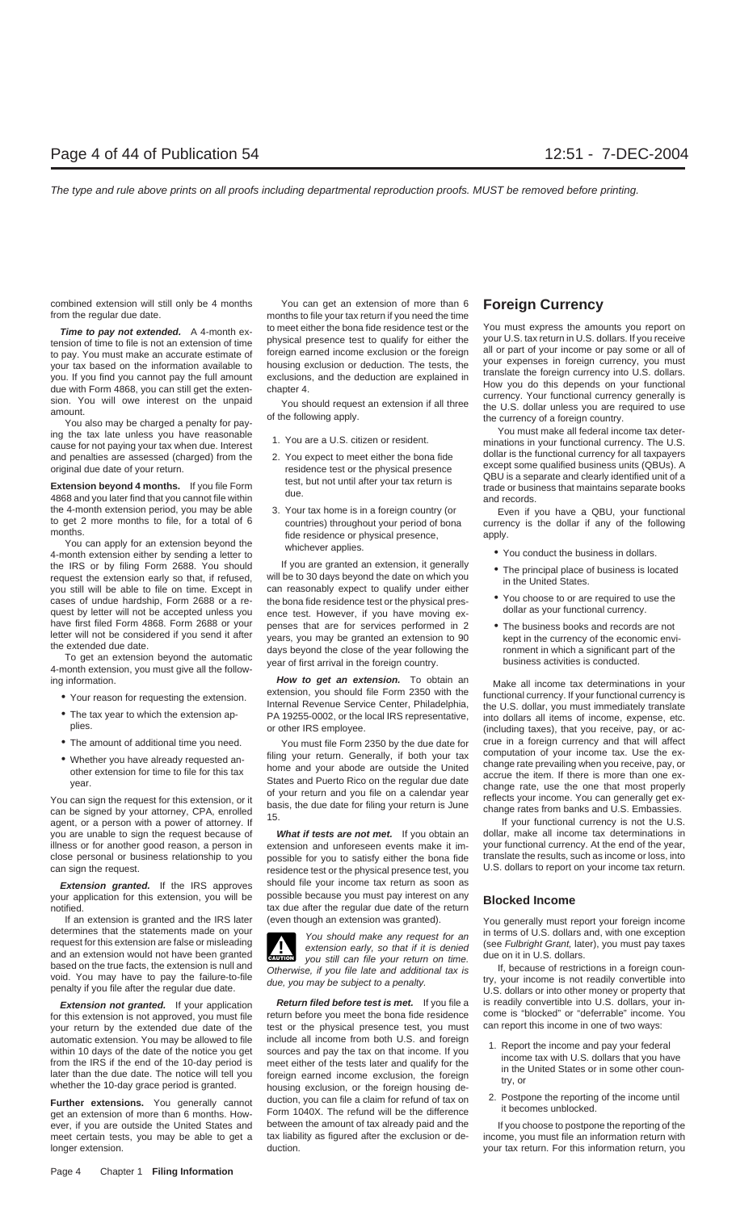combined extension will still only be 4 months You can get an extension of more than 6 **Foreign Currency** from the regular due date. months to file your tax return if you need the time

the IRS or by filing Form 2688. You should If you are granted an extension, it generally<br>request the extension early so that, if refused, will be to 30 days beyond the date on which you<br>you still will be able to file on ti you still will be able to file on time. Except in cases of undue hardship, Form 2688 or a re-<br>quest by letter will not be accepted unless you ance test. However, if you have moving ex- dollar as your functional currency. quest by letter will not be accepted unless you ence test. However, if you have moving ex-<br>have first filed Form 4868. Form 2688 or your penses that are for services performed in 2 have first filed Form 4868. Form 2688 or your penses that are for services performed in 2 • The business books and records are not letter will not be considered if you send it after vegars you may be granted an extension t

4-month extension, you must give all the follow-

- 
- 
- 
- 

you are unable to sign the request because of **What if tests are not met.** If you obtain an dollar, make all income tax determinations in illness or for another good reason, a person in extension and unforeseen events make it im-<br>close personal or business relationship to you possible for you to satisfy either the bona fide translate the results, such as inc close personal or business relationship to you possible for you to satisfy either the bona fide

your application for this extension, you will be possible because you must pay interest on any **Blocked Income**

If an extension is granted and the IRS later (even though an extension was granted). You generally must report your foreign income<br>determines that the statements made on your extension was granted and represent for any int determines that the statements made on your<br>request for an in terms of U.S. dollars and, with one exception<br>and an extension would not have been granted<br>and an extension would not have been granted<br>we say to still can file

ever, if you are outside the United States and between the amount of tax already paid and the If you choose to postpone the reporting of the meet certain tests, you may be able to get a tax liability as figured after the e meet certain tests, you may be able to get a tax liability as figured after the exclusion or de-<br>income, you must file an information return with longer extension. duction. your tax return. For this information return, you

**Time to pay not extended.** A 4-month ex-<br>prion of time to file is not an extension of time physical presence test to qualify for either the your U.S. tax return in U.S. dollars. If you receive

- 
- 
- the 4-month extension period, you may be able and the steps in a foreign country (or the 4-month extension period, you may be able to get 2 more months to file, for a total of 6 countries) throughout your period of bona cu

letter will not be considered if you send it after vears, you may be granted an extension to 90 ept in the currency of the economic envi-<br>To get an extension beyond the automatic days beyond the close of the year following

ing information.<br>
• Your reason for requesting the extension.<br>
• Your reason for requesting the extension.<br>
• The tax year to which the extension ap-<br>
PA 19255-0002, or the local IRS representative,<br>
or other IRS employee.

Whether you have already requested an-<br>other extension for time to file for this tax<br>other extension for time to file for this tax<br>States and Puerto Rico on the regular due date<br>states and Puerto Rico on the regular due da year.<br>
You can sign the request for this extension, or it<br>
can be signed by your attorney, CPA, enrolled<br>
agent, or a person with a power of attorney. If<br>
agent, or a person with a power of attorney. If<br>
agent, or a person

can sign the request. The residence test or the physical presence test, you U.S. dollars to report on your income tax return. **Extension granted.** If the IRS approves should file your income tax return as soon as ified.<br>If an extension is granted and the IRS later (even though an extension was granted).

**!**

for this extension is not approved, you must file return before you meet the bona fide residence come is "blocked" or "deferrable" income.<br>your return by the extended due date of the test or the physical presence test, you automatic extension. You may be allowed to file include all income from both U.S. and foreign<br>within 10 days of the date of the notice you get sources and pay the tax on that income. If you<br>from the IRS if the end of the 1 Further extensions. You generally cannot duction, you can file a claim for refund of tax on 2. Postpone the reporting of the income until<br>get an extension of more than 6 months. How-<br>ever, if you are outside the United Sta

Frainco of time to file is not an extension of time by sical presence test to qualify for either the your U.S. tax return in U.S. dollars. If you receive<br>to pay. You must make an accurate estimate to foreign earned income

- 
- 
- 
- 

• The amount of additional time you need. You must file Form 2350 by the due date for crue in a foreign currency and that will affect  $\frac{1}{2}$ .

based on the true facts, the extension is null and<br>void. You may have to pay the failure-to-file otherwise, if you file late and additional tax is<br>penalty if you file after the regular due date. due, you may be subject to **Extension not granted.** If your application **Return filed before test is met.** If you file a is readily convertible into U.S. dollars, your in-<br>If this extension is not approved you must file return before you meet the bo

- 
-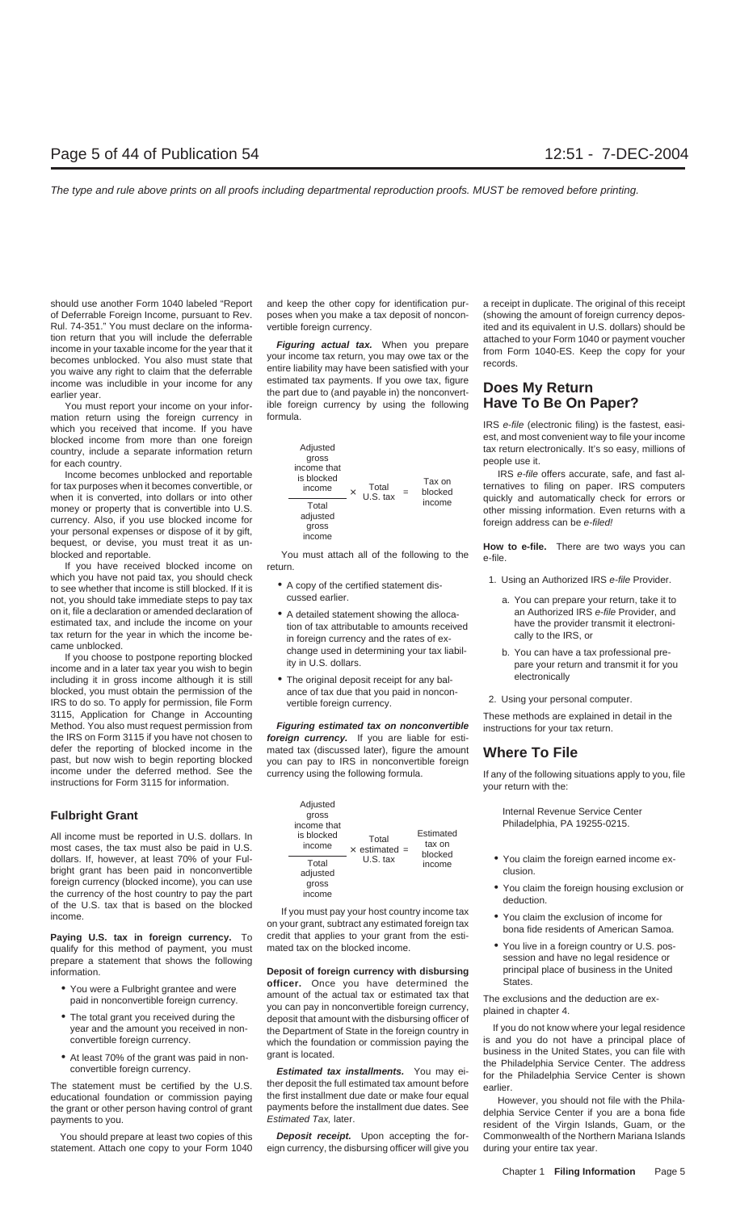should use another Form 1040 labeled "Report and keep the other copy for identification pur- a receipt in duplicate. The original of this receipt of Deferrable Foreign Income, pursuant to Rev. poses when you make a tax deposit of noncon- (showing the amount of foreign currency depos-Rul. 74-351." You must declare on the informa-<br>tion return that you will include the deferrable<br>
Figures and its equivalent in U.S. dollars) should be<br>
Figures and its equivalent in U.S. dollars) should be tion return that you will include the deferrable<br>income in your taxable income for the year that it<br>becomes unblocked. You also must state that your income tax return, you may owe tax or the<br>you waive any right to claim th

mation return using the foreign currency in formula.

If you have received blocked income on return. which you have not paid tax, you should check to see whether that income is still blocked. If it is  $\bullet$  A copy of the certified statement dis-<br>
not you should take immediate steps to pay tax cussed earlier. <br>
a. You can p not, you should take immediate steps to pay tax cussed earlier. The manuscript of the state it to pay tax cussed earlier. on it, file a declaration or amended declaration of<br>example a declaration of the income on your<br>tax return for the year in which the income be-<br>in foreign currency and the rates of ex-<br>cally to the IRS, or

blocked, you must obtain the permission of the ance of tax due that you paid in noncon-<br>IRS to do so. To apply for permission, file Form vertible foreign currency. 2. Using your personal computer. 3115, Application for Change in Accounting<br>Method. You also must request permission from Figuring estimated tax on nonconvertible instructions for your tax return Method. You also must request permission from Figuring estimated tax on nonconvertible instructions for your tax return.<br>the IRS on Form 3115 if you have not chosen to foreign currency. If you are liable for esti-<br>defer th defer the reporting of blocked income in the mated tax (discussed later), figure the amount **Where To File** past, but now wish to begin reporting blocked you can pay to IRS in nonconvertible foreign<br>income under the deferr income under the deferred method. See the currency using the following formula. If any of the following situations apply to you, file instructions for Form 3115 for information.

All income must be reported in U.S. dollars. In most cases, the tax must also be paid in U.S. most cases, the tax must also be paid in U.S.<br>
dollars. If, however, at least 70% of your Ful-<br>
bright grant has been paid in nonconvertible<br>
bright grant has been paid in nonconvertible<br>
adjusted<br>
adjusted<br>
adjusted<br>
adj Foreign currency (blocked income), you can use gross<br>the currency of the host country to pay the part income<br>of the U.S. tax that is based on the blocked<br>income.<br>If you must pay your host country income tax<br>on your grant,

qualify for this method of payment, you must mated tax on the blocked income.<br>
prepare a statement that shows the following<br>
prepare a statement that shows the following prepare a statement that shows the following<br>Deposit of foreign currency with disbursing session and have no legal residence or<br>principal place of business in the United information. **Deposit of foreign currency with disbursing** principal plane plane plane plane plane plane plane p

- 
- 
- 

educational foundation or commission paying the first installment due date or make four equal<br>the grant or other person having control of grant payments before the installment due dates. See delphia Service Center if you a

statement. Attach one copy to your Form 1040 eign currency, the disbursing officer will give you during your entire tax year.

From the part due to (and payable in) the nonconvert-<br>earlier year.<br>You must report your income on your infor-<br>ble foreign currency by using the following **Have To Be On Paper?** You must report your income on your infor- ible foreign currency by using the following



- 
- tax return for the year in which the income be-<br>
in foreign currency and the rates of ex-<br>
If you choose to postpone reporting blocked<br>
income and in a later tax year you wish to begin<br>
including it in gross income althoug
	-

| <b>Fulbright Grant</b>                                                                                                                                                                              | Adjusted<br>gross<br>income that          |                                             |                                          | Internal Revenue Service Center<br>Philadelphia, PA 19255-0215. |
|-----------------------------------------------------------------------------------------------------------------------------------------------------------------------------------------------------|-------------------------------------------|---------------------------------------------|------------------------------------------|-----------------------------------------------------------------|
| All income must be reported in U.S. dollars. In<br>most cases, the tax must also be paid in U.S.<br>dollars. If, however, at least 70% of your Ful-<br>bright grant has been paid in nonconvertible | is blocked<br>income<br>Total<br>adjusted | Total<br>$\times$ estimated =<br>$U.S.$ tax | Estimated<br>tax on<br>blocked<br>income | • You claim the foreign earned inc<br>clusion.                  |
| foreign currency (blocked income), you can use<br>the currency of the host country to pay the part                                                                                                  | gross<br>income                           |                                             |                                          | • You claim the foreign housing ex                              |

**Paying U.S. tax in foreign currency.** To credit that applies to your grant from the esti-<br>qualify for this method of payment, you must mated tax on the blocked income.

• You were a Fulbright grantee and were **officer.** Once you have determined the States.<br>
paid in nonconvertible foreign currency.<br>
The exclusions and the deduction are ex-<br>
The exclusions and the deduction are ex-<br>
The exc • The total grant you received during the deposit that amount with the disbursing officer of plained in chapter 4.<br>year and the amount you received in non-<br>the Department of State in the foreign country in If you do not kn year and the amount you received in non-<br>convertible foreign currency.<br>which the foundation or commission paying the

Estimated tax installments. You may el-<br>The statement must be certified by the U.S. ther deposit the full estimated tax amount before earlier.<br>educational foundation or commission paying the first installment due date or m

- -
	-
- 

- 
- 
- 
- 

which the foundation or commission paying the is and you do not have a principal place of business in the United States, you can file with • At least 70% of the grant was paid in non-<br>convertible foreign currency. **Estimated tax installments.** You may ei-<br>**Estimated tax installments.** You may ei-<br>for the Philadelphia Service Center is shown

You should prepare at least two copies of this **Deposit receipt.** Upon accepting the for- Commonwealth of the Northern Mariana Islands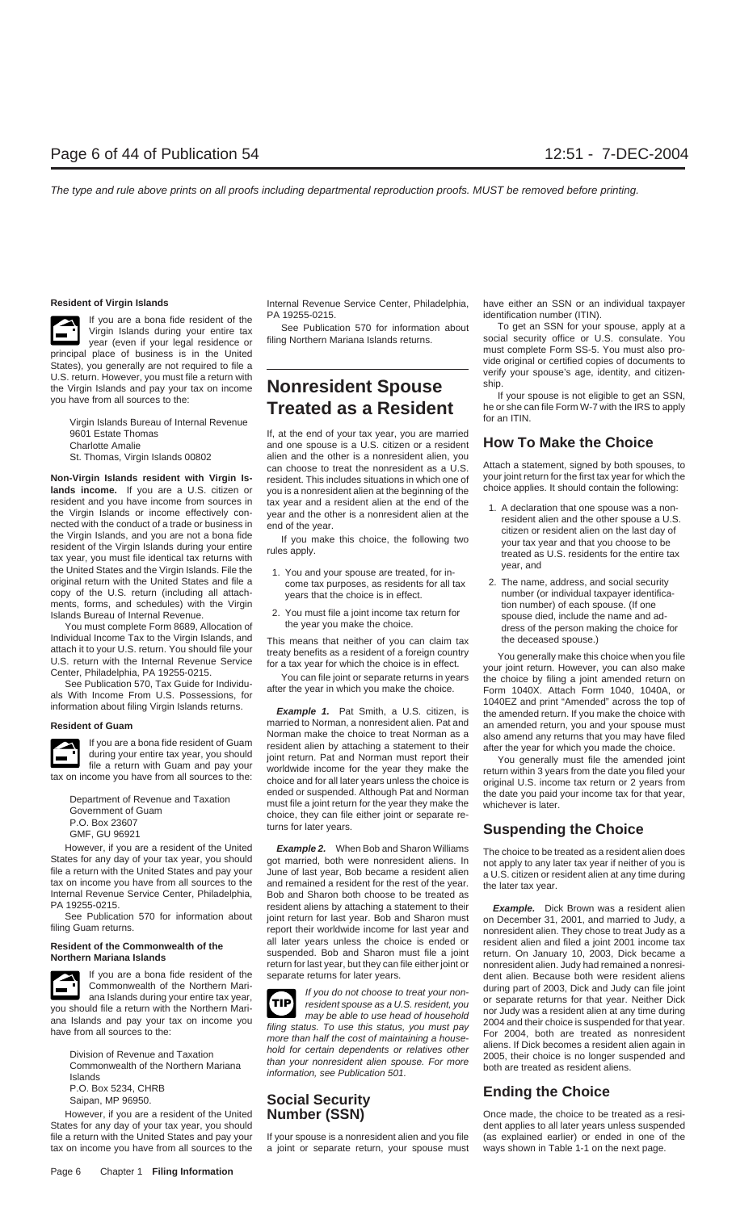

From all sources to the tax word and stands during your entire tax was dependence or the origin Islands during your entire tax was equiped principal place of business is in the United States), you generally are not require

Virgin Islands Bureau of Internal Revenue<br>for an ITIN. 9601 Estate Thomas **If**, at the end of your tax year, you are married

lands income. If you are a U.S. citizen or you is a nonresident alien at the beginning of the resident and you have income from sources in the vear and a resident alien at the end of the resident and you have income from sources in<br>the Virgin Islands or income effectively con-<br>nected with the conduct of a trade or business in end of the year.<br>nected with the conduct of a trade or business in end of the yea original return with the United States and file a<br>
come tax purposes, as residents for all tax<br>
copy of the U.S. return (including all attach-<br>
ments, forms, and schedules) with the Virgin<br>
ears that the choice is in effec

Individual Income Tax to the Virgin Islands, and This means that neither of you can claim tax the deceased spouse.)<br>attach it to your U.S. return. You should file your treaty benefits as a resident of a foreign country



P.O. Box 23607<br>GMF, GU 96921 turns for later years. **Suspending the Choice** 

States for any day of your tax year, you should got married, both were nonresident aliens. In not apply to any later tax year if neither of you is<br>file a return with the United States and pay your June of last year, Bob be



P.O. Box 5234, CHRB **Ending the Choice** Saipan, MP 96950. **Social Security**

file a return with the United States and pay your If your spouse is a nonresident alien and you file (as explained earlier) or ended in one of the tax on income you have from all sources to the a joint or separate return, your spouse must ways shown in Table 1-1 on the next page.

Charlotte Amalie<br>
Charlotte Amalie **Amalie** and one spouse is a U.S. citizen or a resident **How To Make the Choice**<br>
St. Thomas, Virgin Islands 00802 alien and the other is a nonresident alien, you St. Thomas, Virgin Islands 00002 and thomas of the other is a nonresident as a U.S. Attach a statement, signed by both spouses, to can choose to treat the nonresident as a U.S. Attach a statement, signed by both spouses, t **Non-Virgin Islands resident.** This includes situations in which one of your joint return for the first tax year for which the resident alien at the hegipning of the choice applies. It should contain the following:

- 
- 

**Resident of Guam** married to Norman, a nonresident alien. Pat and an amended return, you and your spouse must norman make the choice to treat Norman as a also amend any returns that you may have filed If you are a bona fide resident of Guam<br>If you are a bona fide resident of Guam<br>If you are a bona fide resident of Guam<br>If it is a return with Guam and pay your<br>If it is a return with Guam and pay your<br>If a return with Gua Department of Revenue and Taxation ended or suspended. Although Pat and Norman the date you paid your income tax for that year,<br>Government of Guam choice, they can file either joint or separate re-<br>P.O. Box 23607

However, if you are a resident of the United **Example 2.** When Bob and Sharon Williams The choice to be treated as a resident alien does<br>States for any day of your tax year, you should got married, both were nonresident al PA 19255-0215. resident aliens by attaching a statement to their **Example.** Dick Brown was a resident alien

**TIP** and Islands and pay your tax on income you<br>have from all sources to the:<br>Division of Revenue and Taxation<br>Division of Revenue and Taxation<br>Commonwealth of the Northern Mariana<br>Islands<br>Islands<br>Islands<br>and the Northern Maria

Resident of Virgin Islands **Internal Revenue Service Center, Philadelphia,** have either an SSN or an individual taxpayer

- 
- ments, forms, and schedules) with the Virgin 2. You must file a joint income tax return for the spouse died, include the name and ad-<br>Islands Bureau of Internal Revenue. 2. You must file a joint income tax return for spous You must complete Form 8689, Allocation of the year you make the choice. The verso of the person making the choice for

attach it to your U.S. return. You should file your treaty benefits as a resident of a foreign country<br>
U.S. return with the Internal Revenue Service for a tax year for which the choice is in effect.<br>
Center, Philadelphia,

See Publication 570 for information about joint return for last year. Bob and Sharon must on December 31, 2001, and married to Judy, a report their worldwide income for last year and nonresident alien. They chose to treat **Resident of the Commonwealth of the**<br> **Northern Mariana Islands**<br> **Northern Mariana Islands**<br> **Example 1999** and Sharon must file a joint return. On January 10, 2003, Dick became a<br> **If** you are a bona fide resident of th If you are a bona fide resident of the separate returns for later years. The dent alien. Because both were resident aliens<br>Commonwealth of the Northern Mari-<br>Commonwealth of the Northern Mari-Commonwealth of the Northern Mari-<br>ana Islands during your entire tax year,<br>you should file a return with the Northern Mari-<br>may be able to use head of household<br>and say your tax on income you

However, if you are a resident of the United **Number (SSN)** Once made, the choice to be treated as a resisted as a resi-<br>States for any day of your tax year, you should dent applies to all later years unless suspended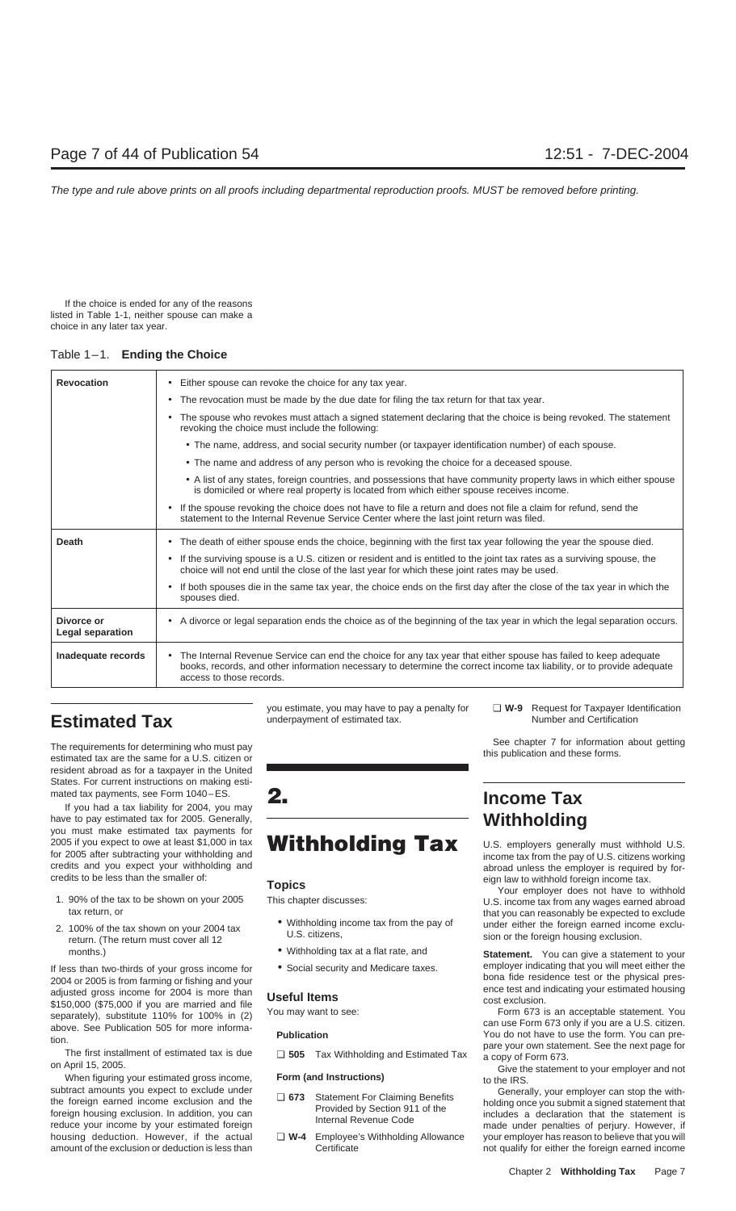### Table 1–1. **Ending the Choice**

| <b>Revocation</b>              | Either spouse can revoke the choice for any tax year.                                                                                                                                                                                                                |
|--------------------------------|----------------------------------------------------------------------------------------------------------------------------------------------------------------------------------------------------------------------------------------------------------------------|
|                                | The revocation must be made by the due date for filing the tax return for that tax year.                                                                                                                                                                             |
|                                | The spouse who revokes must attach a signed statement declaring that the choice is being revoked. The statement<br>revoking the choice must include the following:                                                                                                   |
|                                | • The name, address, and social security number (or taxpayer identification number) of each spouse.                                                                                                                                                                  |
|                                | • The name and address of any person who is revoking the choice for a deceased spouse.                                                                                                                                                                               |
|                                | • A list of any states, foreign countries, and possessions that have community property laws in which either spouse<br>is domiciled or where real property is located from which either spouse receives income.                                                      |
|                                | If the spouse revoking the choice does not have to file a return and does not file a claim for refund, send the<br>statement to the Internal Revenue Service Center where the last joint return was filed.                                                           |
| <b>Death</b>                   | The death of either spouse ends the choice, beginning with the first tax year following the year the spouse died.                                                                                                                                                    |
|                                | If the surviving spouse is a U.S. citizen or resident and is entitled to the joint tax rates as a surviving spouse, the<br>choice will not end until the close of the last year for which these joint rates may be used.                                             |
|                                | If both spouses die in the same tax year, the choice ends on the first day after the close of the tax year in which the<br>spouses died.                                                                                                                             |
| Divorce or<br>Legal separation | A divorce or legal separation ends the choice as of the beginning of the tax year in which the legal separation occurs.                                                                                                                                              |
| Inadequate records             | The Internal Revenue Service can end the choice for any tax year that either spouse has failed to keep adequate<br>books, records, and other information necessary to determine the correct income tax liability, or to provide adequate<br>access to those records. |
|                                |                                                                                                                                                                                                                                                                      |

The requirements for determining who must pay example about performation about getting this publication and these forms.<br>
estimated tax are the same for a U.S. citizen or resident abroad as for a taxpayer in the United States. For current instructions on making esti-

mated tax payments, see Form 1040–ES.<br>
If you had a tax liability for 2004, you may<br>
have to pay estimated tax for 2005. Generally, **2. Withholding** have to pay estimated tax for 2005. Generally, you must make estimated tax payments for For these that the commatical tax payments for payments for the case of the payments of the payments of the pay<br>2005 if you expect to owe at least \$1,000 in tax **Withhold Ing Tax** U.S. employers generally must withhold U.S

- 
- 

If less than two-thirds of your gross income for<br>
2004 or 2005 is from farming or fishing and your<br>
adjusted gross income for 2004 is more than<br>
\$150,000 (\$75,000 if you are married and file<br>
\$150,000 (\$75,000 if you are m

When figuring your estimated gross income, **Form (and Instructions)** to the IRS.<br>subtract amounts you expect to exclude under **Form (and Instructions)** to the IRS. subtract amounts you expect to exclude under<br>the foreign earned income exclusion and the<br>foreign housing exclusion. In addition, you can<br>reduce your income by your estimated foreign<br>reduce your income by your estimated for housing deduction. However, if the actual ❏ **W-4** Employee's Withholding Allowance your employer has reason to believe that you will amount of the exclusion or deduction is less than Certificate not pure income not qualify for either the foreign earned income

you estimate, you may have to pay a penalty for ❏ **W-9** Request for Taxpayer Identification **Estimated Tax** underpayment of estimated tax. Number and Certification

- 
- 
- 

- 
- 

for 2005 after subtracting your withholding and  $\overline{\phantom{a}}$  =  $\overline{\phantom{a}}$  =  $\overline{\phantom{a}}$  =  $\overline{\phantom{a}}$  =  $\overline{\phantom{a}}$  income tax from the pay of U.S. citizens working credits and you expect your withholding and  $\overline{\phantom{a}}$  credits and you expect your withholding and <br>credits to be less than the smaller of:  $\qquad \qquad$ 

credits to be less than the smaller of:<br> **Topics** Topics This chapter discusses:<br>
This chapter discusses:<br>
This chapter discusses:<br>
This chapter discusses:<br>
U.S. income tax from any wages earned abroad<br>
U.S. income tax fro tax return, or<br>2. 100% of the tax shown on your 2004 tax<br>100% of the tax shown on your 2004 tax<br>112 U.S. citizens, the pay of the foreign housing exclusion.<br>112 U.S. citizens, the stream of the foreign housing exclusion.

months.) • Withholding tax at a flat rate, and **Statement.** You can give a statement to your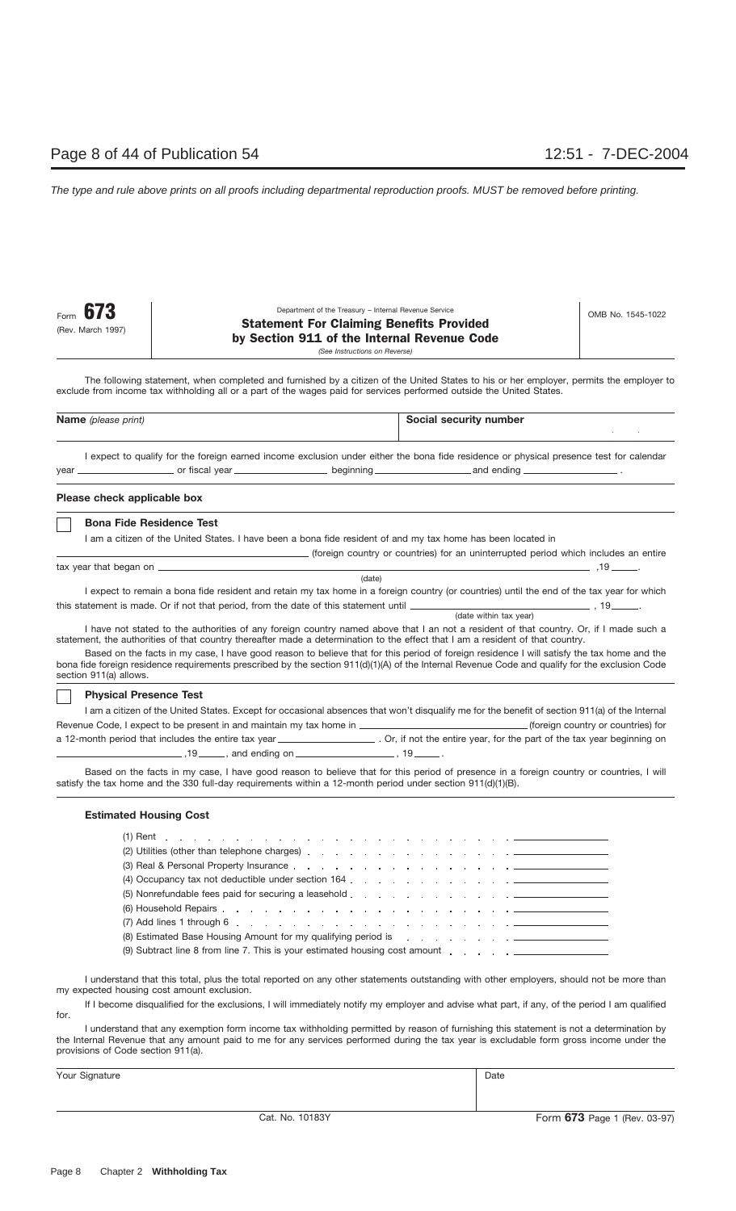| Form | 673               |  |
|------|-------------------|--|
|      | (Rev. March 1997) |  |

| 673         | Department of the Treasury - Internal Revenue Service |
|-------------|-------------------------------------------------------|
| larch 1997) | <b>Statement For Claiming Benefits Provided</b>       |
|             | by Section 911 of the Internal Revenue Code           |

*(See Instructions on Reverse)*

The following statement, when completed and furnished by a citizen of the United States to his or her employer, permits the employer to exclude from income tax withholding all or a part of the wages paid for services performed outside the United States.

| <b>Name</b> (please print)                                                                                                                                                                                                     | Social security number                                                                                                                                                 |
|--------------------------------------------------------------------------------------------------------------------------------------------------------------------------------------------------------------------------------|------------------------------------------------------------------------------------------------------------------------------------------------------------------------|
|                                                                                                                                                                                                                                | I expect to qualify for the foreign earned income exclusion under either the bona fide residence or physical presence test for calendar                                |
| Please check applicable box                                                                                                                                                                                                    |                                                                                                                                                                        |
| <b>Bona Fide Residence Test</b>                                                                                                                                                                                                |                                                                                                                                                                        |
| I am a citizen of the United States. I have been a bona fide resident of and my tax home has been located in                                                                                                                   | foreign country or countries) for an uninterrupted period which includes an entire (foreign country or countries) for an uninterrupted period which includes an entire |
|                                                                                                                                                                                                                                |                                                                                                                                                                        |
|                                                                                                                                                                                                                                | I expect to remain a bona fide resident and retain my tax home in a foreign country (or countries) until the end of the tax year for which                             |
|                                                                                                                                                                                                                                |                                                                                                                                                                        |
|                                                                                                                                                                                                                                | (date within tax year)                                                                                                                                                 |
| statement, the authorities of that country thereafter made a determination to the effect that I am a resident of that country.                                                                                                 | I have not stated to the authorities of any foreign country named above that I an not a resident of that country. Or, if I made such a                                 |
| bona fide foreign residence requirements prescribed by the section 911(d)(1)(A) of the Internal Revenue Code and qualify for the exclusion Code<br>section 911(a) allows.                                                      | Based on the facts in my case, I have good reason to believe that for this period of foreign residence I will satisfy the tax home and the                             |
| <b>Physical Presence Test</b>                                                                                                                                                                                                  |                                                                                                                                                                        |
|                                                                                                                                                                                                                                | I am a citizen of the United States. Except for occasional absences that won't disqualify me for the benefit of section 911(a) of the Internal                         |
| Revenue Code, I expect to be present in and maintain my tax home in _____________________________(foreign country or countries) for                                                                                            |                                                                                                                                                                        |
|                                                                                                                                                                                                                                |                                                                                                                                                                        |
|                                                                                                                                                                                                                                |                                                                                                                                                                        |
| satisfy the tax home and the 330 full-day requirements within a 12-month period under section 911(d)(1)(B).                                                                                                                    | Based on the facts in my case, I have good reason to believe that for this period of presence in a foreign country or countries, I will                                |
| <b>Estimated Housing Cost</b>                                                                                                                                                                                                  |                                                                                                                                                                        |
|                                                                                                                                                                                                                                |                                                                                                                                                                        |
|                                                                                                                                                                                                                                |                                                                                                                                                                        |
|                                                                                                                                                                                                                                |                                                                                                                                                                        |
|                                                                                                                                                                                                                                |                                                                                                                                                                        |
|                                                                                                                                                                                                                                |                                                                                                                                                                        |
|                                                                                                                                                                                                                                |                                                                                                                                                                        |
|                                                                                                                                                                                                                                |                                                                                                                                                                        |
| (8) Estimated Base Housing Amount for my qualifying period is entitled by the control of the control of the control of the control of the control of the control of the control of the control of the control of the control o |                                                                                                                                                                        |
| (9) Subtract line 8 from line 7. This is your estimated housing cost amount.                                                                                                                                                   |                                                                                                                                                                        |
| my expected housing cost amount exclusion.                                                                                                                                                                                     | I understand that this total, plus the total reported on any other statements outstanding with other employers, should not be more than                                |
| for.                                                                                                                                                                                                                           | If I become disqualified for the exclusions, I will immediately notify my employer and advise what part, if any, of the period I am qualified                          |
| the Internal Revenue that any amount paid to me for any services performed during the tax year is excludable form gross income under the<br>provisions of Code section 911(a).                                                 | I understand that any exemption form income tax withholding permitted by reason of furnishing this statement is not a determination by                                 |
| Your Signature                                                                                                                                                                                                                 | Date                                                                                                                                                                   |
|                                                                                                                                                                                                                                |                                                                                                                                                                        |
|                                                                                                                                                                                                                                |                                                                                                                                                                        |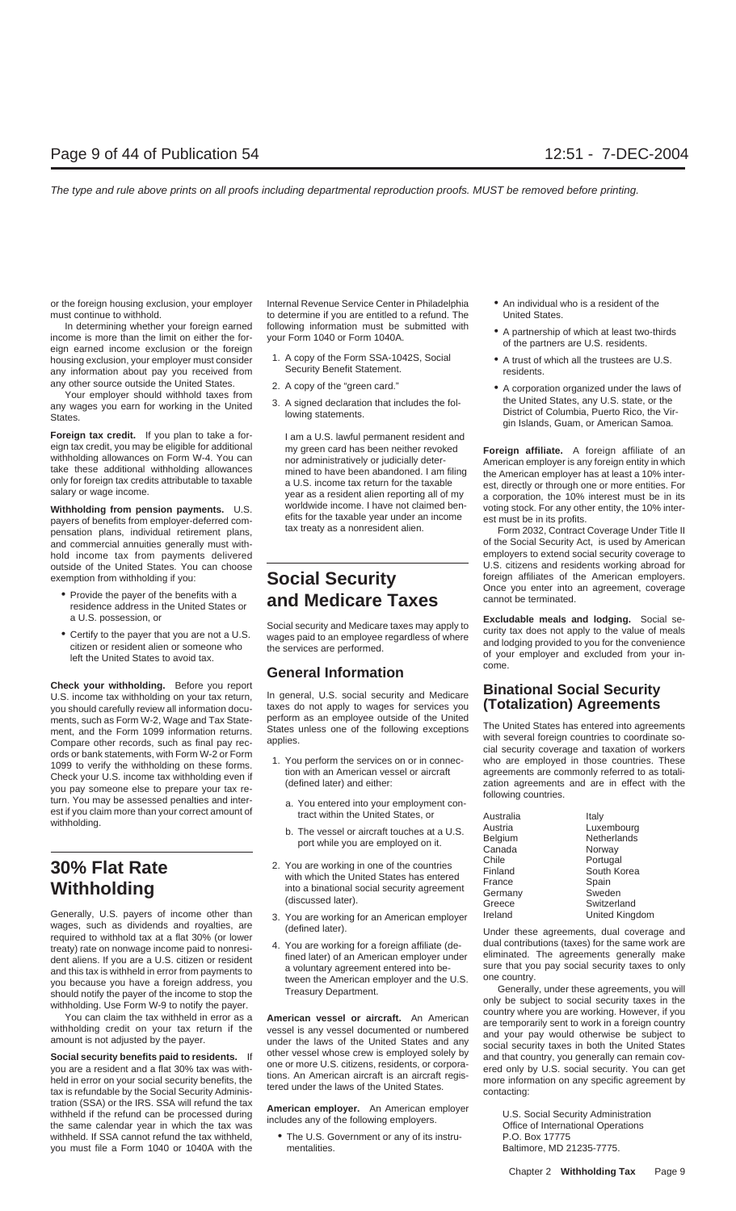In determining whether your foreign earned following information must be submitted with income is more than the limit on either the for-<br>
eign earned income exclusion or the foreign earned income exclusion or the foreign e Security Benefit Statement. SA-1042S, Social **Actual Convention about pay you received from** Security Benefit Statement. **any information about pay you received from** Security Benefit Statement. **and residents**.

**Foreign tax credit.** If you plan to take a for-<br>  $\frac{1}{2}$  am a U.S. lawful permanent resident and<br>  $\frac{1}{2}$  my green card has been peither revoked

payers of benefits from employer-deferred com-<br>negation plane individual refirement plane that treaty as a nonresident alien. pensation plans, individual retirement plans, tax treaty as a nonresident alien. Form 2032, Contract Coverage Under Title II<br>and commercial annuities generally must withand commercial annuities generally must with- on the Social Security Act, is used by American<br>And income tax from payments delivered the state of the Social Security Act, is used by American to extend social security cover hold income tax from payments delivered<br>
nutside of the United States. You can choose outside of the United States. You can choose<br>exemption from withholding if you:<br>**Social Security** foreign affiliates of the American employers.

- Provide the payer of the benefits with a **and Medicare Taxes** cannot be terminated. residence address in the United States or
- 

**Check your withholding.** Before you report **Check your withholding.** Before you report<br>U.S. income tax withholding on your tax return, In general, U.S. social security and Medicare **Binational Social Security**<br>vou should carefully review all information docu- taxes U.S. income tax with indicing on your tax return, the system of apply to wages for services you **(Totalization) Agreements** you should carefully review all information docu-<br>ments such as Form W-2 Wage and Tax State- perfo ments, such as Form W-2, Wage and Tax State-<br>ment and the Form 1099 information returns States unless one of the following exceptions ment, and the Form 1099 information returns.<br>
States unless one of the following exceptions The United States has entered into agreements<br>
Compare other records, such as final pay rec-<br>
ords or bank statements, with Form W

Generally, U.S. payers of income other than  $\frac{3.700 \text{ m}}{1 \text{ cm}}$  are working for an American employer wages, such as dividends and royalties, are

tration (SSA) or the IRS. SSA will refund the tax<br>withheld if the refund can be processed during<br>the same calendar year in which the tax was includes any of the following employers. Office of International Operations withheld. If SSA cannot refund the tax withheld, <br>you must file a Form 1040 or 1040A with the mentalities. <br>Baltimore, MD 21235-7775. you must file a Form 1040 or 1040A with the mentalities.

or the foreign housing exclusion, your employer Internal Revenue Service Center in Philadelphia • An individual who is a resident of the must continue to withhold. The to determine if you are entitled to a refund. The United States.

- 
- 
- 

- -
	-
- **30% Flat Rate**<br> **Withholding** and the United States has entered Finland South Korea<br>
Withholding the a binational social security agreement Germany Sweden<br>
(discussed later). Greece Switzerland
	-
	-

- 
- 
- 
- any other source outside the United States. The United States of the "green card."<br>
Your employer should withhold taxes from the United States, any U.S. state, or the United States, any U.S. state, or the United States any

eign tax credit, you may be eligible for additional<br>withholding allowances on Form W-4. You can<br>take these additional withholding allowances<br>only for foreign tax credits attributable to taxable<br>salary or wage income. The s **Withholding from pension payments.** U.S. worldwide income. I have not claimed ben-<br>navers of benefits from employer-deferred com-<br>efits for the taxable year under an income est must be in its profits.

exemption from withholding if you:<br>**Social Security** foreign affiliates of the American employers.<br> **Social Security** foreign affiliates of the American employers.

a U.S. possession, or<br>
• Certify to the payer that you are not a U.S. wages paid to an employee regardless of where<br>
inter or resident alien or someone who<br>
let the United States to avoid tax.<br>
Ceneral Information<br>
Ceneral

| Australia | Italy          |
|-----------|----------------|
| Austria   | Luxembourg     |
| Belgium   | Netherlands    |
| Canada    | Norway         |
| Chile     | Portugal       |
| Finland   | South Korea    |
| France    | Spain          |
| Germany   | Sweden         |
| Greece    | Switzerland    |
| reland    | United Kingdom |

wages, such as dividends and royalties, are (defined later).<br>
required to withhold tax at a flat 30% (or lower<br>
retaily rate on nonwage income paid to nonresi-<br>
dent aliens. If you are working for a foreign affiliate (de-<br>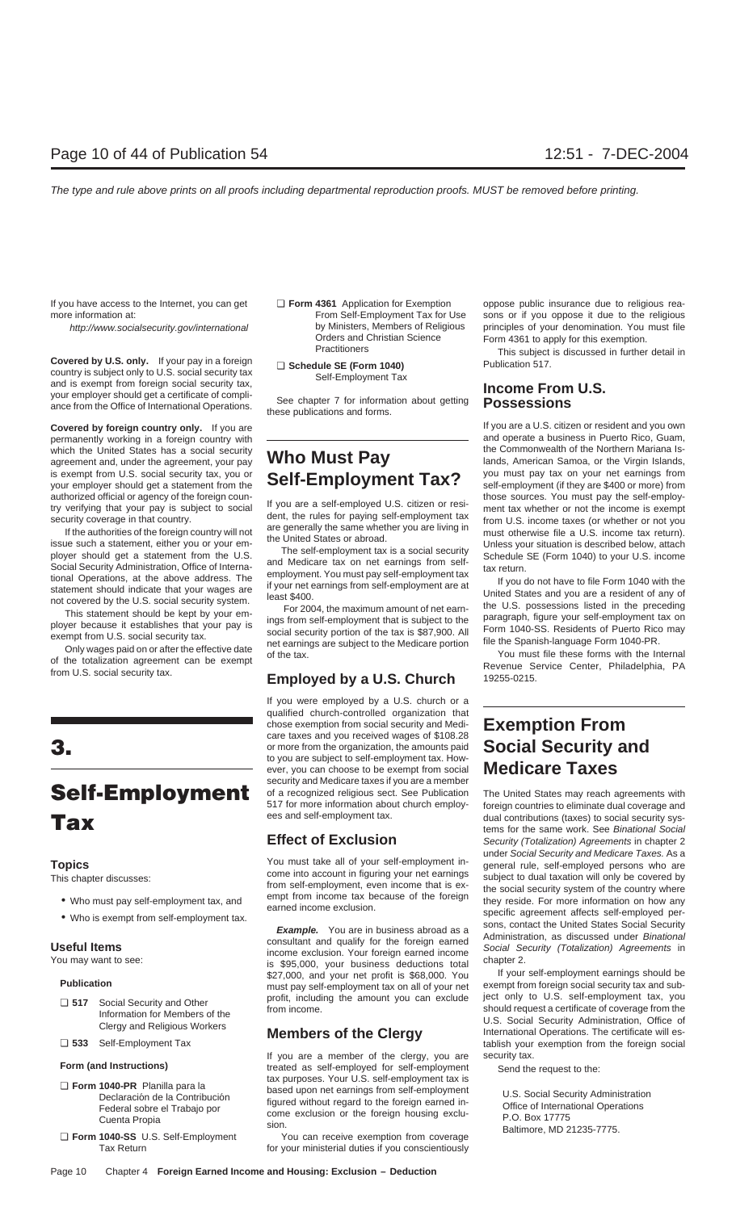Practitioners This subject is discussed in further detail in<br>
country is subject only to U.S. social security tax<br>
Self-Employment Tax<br>
Self-Employment Tax and is exempt from foreign social security tax,<br>
your employer should get a certificate of compli-<br>
See chapter 7 for information about getting<br> **Possessions** ance from the Office of International Operations. See chapter 7 for information about these publications and forms.

permanently working in a foreign country with <br>which the United States has a social security **NALL DEALL DEALL DEALLY DEALLY AND SECURE**<br>the Commonwealth of the Northern Mariana Iswhich the United States has a social security which the United States has a social security **Who Must Pay** and security lands, American Samoa, or the Virgin Islands, is exempt from U.S. social security tax, you or **Calf Emple with Algent Text** of you must pay tax on y is exempt from U.S. social security tax, you or is exempt from U.S. social security tax, you or **Self-Employment Tax?** you must pay tax on your net earnings from vour employer should get a statement from the **Self-Employment (if they are \$400 or more)** from

# **Self-Employment** of a recognized religious sect. See Publication The United States may reach agreements with 517 for more information about church employ-<br>517 for more information about church employ-

- 
- 

- 
- 

- 
- 
- If you have access to the Internet, you can get ❏ **Form 4361** Application for Exemption oppose public insurance due to religious rea-Orders and Christian Science Form 4361 to apply for this exemption.<br>Practitioners Fite authorities discussed in further
	-

If you were employed by a U.S. church or a qualified church-controlled organization that chose exemption from social security and Medi- **Exemption From** care taxes and you received wages of \$108.28 **3.** or the organization, the amounts paid **Social Security and** to you are subject to self-employment tax. How-<br>ever, you can choose to be exempt from social **Medicare Taxes** ever, you can choose to be exempt from social security and Medicare taxes if you are a member

\$27,000, and your net profit is \$68,000. You If your self-employment earnings should be

If you are a member of the clergy, you are security tax. **Form (and Instructions)** treated as self-employed for self-employment Send the request to the:<br>tax purposes. Your U.S. self-employment tax is □ Form 1040-PR Planilla para la tax purposes. Your U.S. self-employment tax is<br>Declaración de la Contribución beta contribución figured without regard to the foreign earned in-<br>Cuenta Propia come exclusion or the foreign Sion. Baltimore, MD 21235-7775.<br>E **Form 1040-SS** U.S. Self-Employment You can receive exemption from coverage<br>Vou can receive exemption from coverage Paltimore, MD 21235-7775.

Tax Return **For Struth and Tax Return** for your ministerial duties if you conscientiously

more information at: The same of the religious From Self-Employment Tax for Use sons or if you oppose it due to the religious http://www.socialsecurity.gov/international by Ministers, Members of Religious principles of your denomination. You must file<br>Orders and Christian Science Form 4361 to apply for this exemption.

**Covered by foreign country only.** If you are If you are If you are a U.S. citizen or resident and you own permanently working in a foreign country with  $\sim$  and operate a business in Puerto Rico, Guam, authorized official or agency of the foreign coun-<br>security coverage in that country.<br>the subject to social if you are a self-employed U.S. citizen or resi-<br>met ax whether or not the income is exempt<br>security coverage in t

517 for more information about church employ-<br>617 foreign countries to eliminate dual coverage and<br>618 dual contributions (taxes) to social security sysees and self-employment tax. dual contributions (taxes) to social security sys-<br>tems for the same work. See *Binational Social*<br>**Effect of Exclusion** Security (Totalization) Agreements in chapter 2 Security (Totalization) Agreements in chapter 2 under Social Security and Medicare Taxes. As a **Topics**<br>
This chapter discusses:<br>
This chapter discusses:<br>
This chapter discusses:<br>
Some into account in figuring your net earnings<br>
to all taxation will only be covered by<br>
to must pay self-employment tax, and<br>
earned in

**Publication**<br>must pay self-employment tax on all of your net exempt from foreign social security tax and sub-<br>profit. including the amount you can exclude ject only to U.S. self-employment tax, you □ 517 Social Security and Other profit, including the amount you can exclude ject only to U.S. self-employment tax, you<br>Information for Members of the from income.<br>Clergy and Religious Workers **Members of the Clergy** busi **Members of the Clergy** and tongless wender **Members of the Clergy** and tongless of the Funder and the foreign social<br>tablish your exemption from the foreign social and tablish your exemption from the foreign social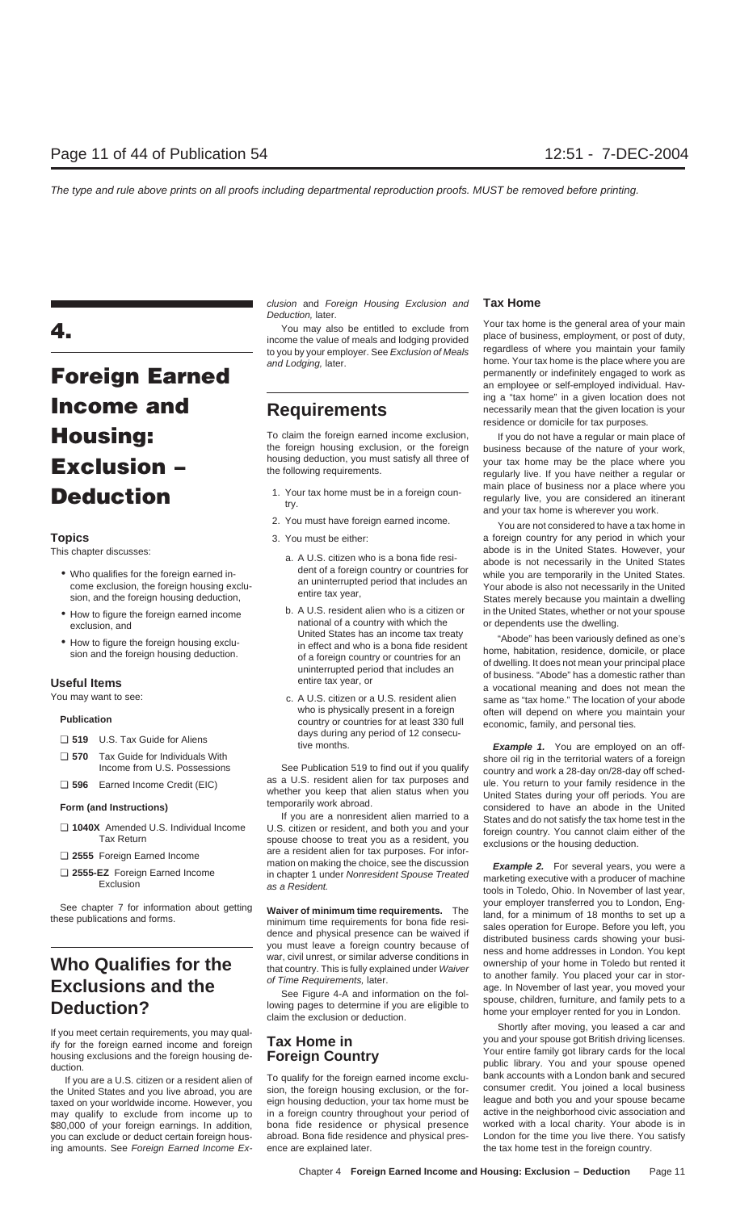# **Housing:** To claim the foreign earned income exclusion, If you do not have a regular or main place of the nature of your work

- 
- 
- 

- 
- 
- 
- 

- 
- 
- 

\$80,000 of your foreign earnings. In addition, bona fide residence or physical presence<br>you can exclude or deduct certain foreign hous- abroad. Bona fide residence and physical presing amounts. See Foreign Earned Income Ex- ence are explained later. The the tax home test in the foreign country.

clusion and Foreign Housing Exclusion and **Tax Home** Deduction, later.

the foreign housing exclusion, or the foreign business because of the nature of your work,<br>housing deduction, you must satisfy all three of your tax home may be the place where you

- 
- 
- -
- exclusion, and exclusion, and national of a country with which the or dependents use the dwelling.<br>United States has an income tax treaty the hand the hand results of the dwelling.
- Who is physically present in a foreign often will depend on where you maintain your<br>country or countries for at least 330 full economic, family, and personal ties.<br>**⊑ 519** U.S. Tax Guide for Aliens tive months.<br>tive month

1990 Tax Return<br>
1990 Tax Return Exclusions are a resident alien married to a<br>
1990 Tax Return Example U.S. Individual Income<br>
1991 Tax Return Spouse choose to treat you as a resident, you<br>
29555 Foreign Earned Income<br>
29

the United States and you live abroad, you are sion, the foreign housing exclusion, or the for-<br>taxed on your worldwide income. However you eign housing deduction, your tax home must be league and both you and your spouse taxed on your worldwide income. However, you eign housing deduction, your tax home must be league and both you and your spouse became<br>may qualify to exclude from income up to in a foreign country throughout your period of may qualify to exclude from income up to in a foreign country throughout your period of active in the neighborhood civic association and<br>\$80,000 of your foreign earnings. In addition, bona fide residence or physical presen you can exclude or deduct certain foreign hous- abroad. Bona fide residence and physical pres- London for the time you live there. You satisfy

You may also be entitled to exclude from Your tax home is the general area of your main income the value of meals and lodging provided place of business, employment, or post of duty, to you by your employer. See *Exclusion* home. Your tax home is the place where you are and Lodging, later.<br>and Lodging, later. **Foreign Earned** and Ecolyman, Ideol. **Foreign permanently or indefinitely engaged to work as** an employee or self-employed individual. Hav-**Income and Requirements ing a "tax home" in a given location does not Income And Requirements** residence or domicile for tax purposes.

**Exclusion** – housing deduction, you must satisfy all three of your tax home may be the place where you the following requirements. **Deduction** 1. Your tax home must be in a foreign coun-<br>try. The must have foreign earned income.<br>2. You must have foreign earned income.<br>2. You must have foreign earned income.

You are not considered to have a tax home in **Topics** 3. You must be either: a foreign country for any period in which your<br>This chapter discusses: a structure of a structure of a structure abode is in the United States. However, your This chapter discusses:<br>
• Who qualifies for the foreign earned in-<br>
other discusses and the United States dent of a foreign country or countries for<br>
the United States dent of a foreign country or countries for<br>
sin the U • How to figure the foreign earned income b. A U.S. resident alien who is a citizen or in the United States, whether or not your spouse in the United States, whether or not your spouse income b. A U.S. resident alien who i

• How to figure the foreign housing exclusion and the foreign housing deduction.<br>
Useful Items<br>
Useful Items<br>
Useful Items<br>
Useful Items<br>
Useful Items<br>
Useful Items<br>
Useful Items<br>
Conditions<br>
Useful Items<br>
Conditions<br>
Cond You may want to see: c. A U.S. citizen or a U.S. resident alien same as "tax home." The location of your abode<br>who is physically present in a foreign often will depend on where you maintain your

<table>\n<tbody>\n<tr>\n<td>■ 570</td>\n<td>Tax Guide for individuals With<br/>Income from U.S. Possessions</td>\n<td>See Publication 519 to find out if you qualify<br/>wether you keep that alien for tax purposes and<br/>temperature you keep that alien status when you<br/>comided States during your off periods. You are<br/>considered to have an abode in the United</td>\n</tr>\n</tbody>\n</table>\n<p>570</p>\n<p>731</p>\n<p>582</p>\n<p>74</p>\n<p>759</p>\n<p>76</p>\n<p>78</p>\n<p>79</p>\n<p>70</p>\n<p>70</p>\n<p>71</p>\n<p>73</p>\n<p>7

See chapter 7 for information about getting<br>these publications and forms.<br>these publications and forms.<br>these publications and forms.<br>these publications and forms.<br>these publications and forms.<br>these a distributed business

If you meet certain requirements, you may qual-<br>If you meet certain requirements, you may qual-<br>If you and you and your spouse got British driving licenses.<br>housing exclusions and the foreign housing de-**Foreign Country** T wer...<br>If you are a U.S. citizen or a resident alien of To qualify for the foreign earned income exclu- bank accounts with a London bank and secured<br>I lnited States and you live abroad you are sion, the foreign housing exc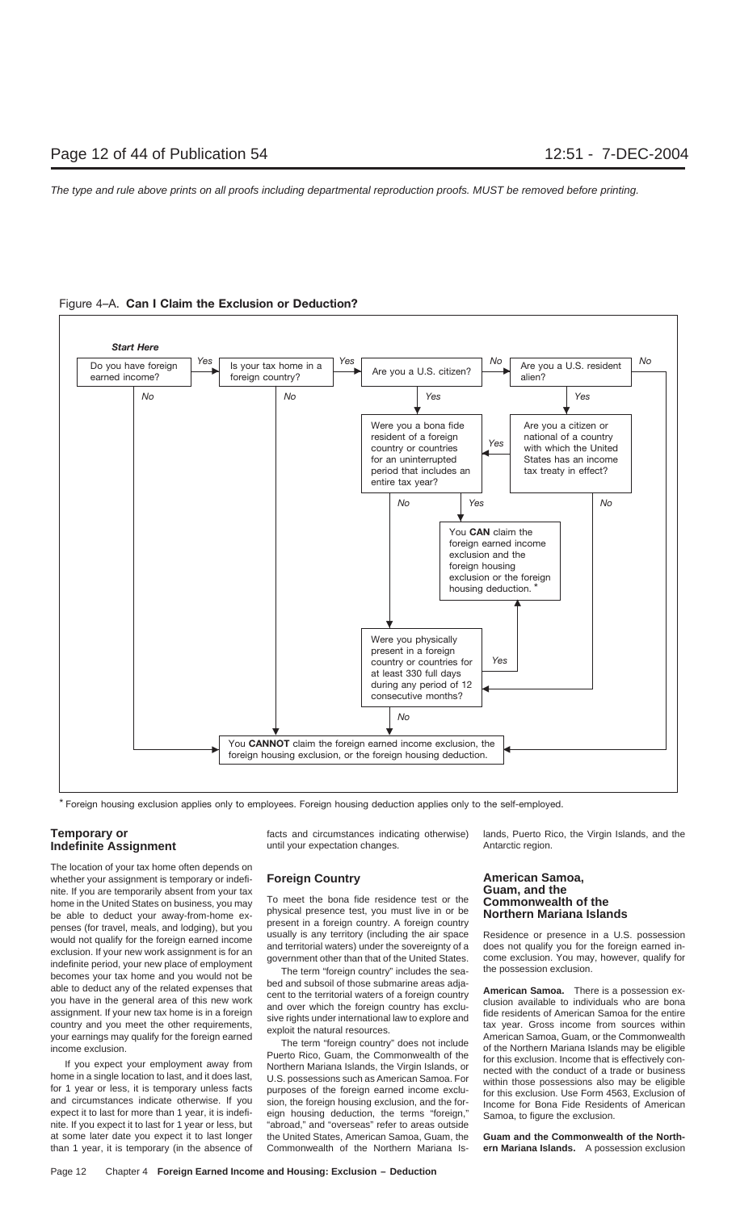Figure 4–A. **Can I Claim the Exclusion or Deduction?**



\* Foreign housing exclusion applies only to employees. Foreign housing deduction applies only to the self-employed.

# **Indefinite Assignment**

The location of your tax home often depends on whether your assignment is temporary or indefi- **Foreign Country American Samoa,** nite. If you are temporarily absent from your tax<br>**Formula in the United States on business** you may. To meet the bona fide residence test or the **Commonwealth** home in the United States on business, you may The meet the bona fide residence test or the **Commonwealth of the**<br>be able to deduct your away-from-home ex-<br>physical presence test, you must live in or be **Northern Mariana I** be able to deduct your away-from-home ex-<br>physical presence test, you must live in or be<br>able to deduct your away-from-home ex-<br>present in a foreign country. A foreign country The spenses (for travel, meals, and lodging), but you<br>
youted in a foreign country. A foreign country<br>
would not qualify for the foreign earned income<br>
sexuction. If your new work assignment is for and territorial waters)

than 1 year, it is temporary (in the absence of Commonwealth of the Northern Mariana Is- **ern Mariana Islands.** A possession exclusion

**Temporary or facts and circumstances indicating otherwise** ands, Puerto Rico, the Virgin Islands, and the **indefinite Assignment** and the until your expectation changes. Antarctic region.

and circumstances indicate otherwise. If you sion, the foreign nousing exclusion, and the for-<br>expect it to last for more than 1 year, it is indefi- eign housing deduction, the terms "foreign," Samoa, to figure the exclusi at some later date you expect it to last longer the United States, American Samoa, Guam, the **Guam and the Commonwealth of the North-**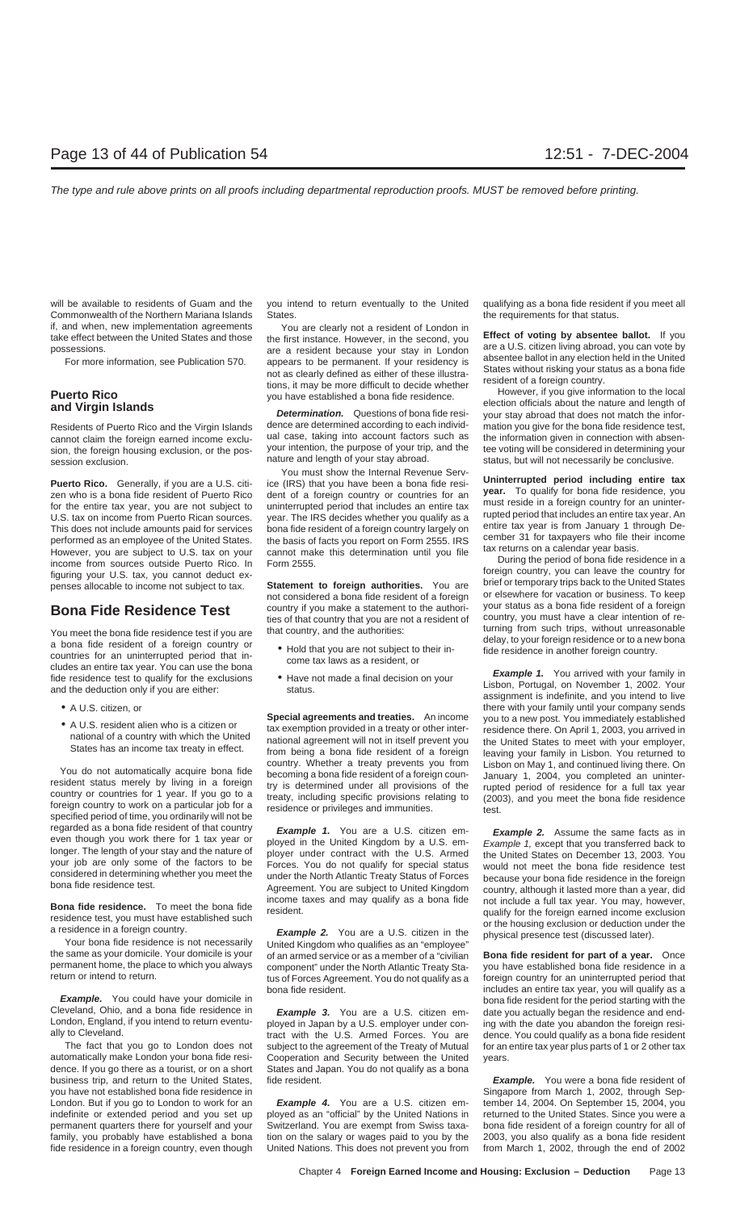Commonwealth of the Northern Mariana Islands States. The requirements for that status.

sion, the foreign housing exclusion, or the pos-<br>nature and length of your stay abroad.<br>nature and length of your stay abroad. session exclusion. The conclusive conclusive and length of your stay abroad. Status, but will not necessarily be conclusive.

zen who is a bona fide resident of Puerto Rico dent of a foreign country or countries for an **year.** To qualify for bona fide residence, you for the entire tax year, you are not subject to uninterrupted period that include income from sources outside Puerto Rico. In Form 2555. Details a puring the period of bona fide residence in a<br>figuring your U.S. tax, you cannot deduct ex-<br>foreign country, you can leave the country for

Vou meet the bona fide residence test if you are that country, and the authorities:<br>
a bona fide resident of a foreign country or<br>
countries for an uninterrupted period that in-<br>
cludes an entire tax year. You can use the

- 
- 

automatically make London your bona fide resi-<br>
Cooperation and Security between the United<br>
operation content States and Japan. You do not qualify as a bona<br>
States and Japan. You do not qualify as a bona business trip, and return to the United States, fide resident. **Example.** You were a bona fide resident of vou have not established bona fide residence in vou have not established bona fide residence in London. But if you go to London to work for an **Example 4.** You are a U.S. citizen em- tember 14, 2004. On September 15, 2004, you fide residence in a foreign country, even though United Nations. This does not prevent you from from March 1, 2002, through the end of 2002

if, and when, new implementation agreements<br>take effect between the United States and those the first instance. However, in the second, you<br>possessions. The second in the second of the second of the second of the second of

Residents of Puerto Rico and the Virgin Islands dence are determined according to each individ-<br>cannot claim the foreign earned income exclus ual case, taking into account factors such as the information given in connectio cannot claim the foreign earned income exclu-<br>sion, the foreign housing exclusion, or the pos-<br>your intention, the purpose of your intention with as the websing will be considered in determining your

You must show the Internal Revenue Serv-**Puerto Rico.** Generally, if you are a U.S. citi- ice (IRS) that you have been a bona fide resident of Puerto Rico. don't ice (IRS) that you have been a bona fide resident of Puerto Rico. don't given a bona fide residence,

not considered a bona fide resident of a foreign or elsewhere for vacation or business. To keep<br>country if you make a statement to the authori- vour status as a bona fide resident of a foreign **Bona Fide Residence Test**<br>ties of that country that you are not a resident of country, you must have a clear intention of re-<br>You meet the here ide residence test if you are that country and the authorities:<br>turning from

- 
- 

• A U.S. resident alien who is a citizen or<br>
mational of a country with which the United<br>
States has an income tax treaty in effect.<br>
States has an income tax treaty in effect.<br>
Trom being a bona fide resident of a foreign

regarded as a bona fide resident of that country<br>example 1. You are a U.S. citizen em-<br>longer. The length of your stay and the nature of<br>longer. The length of your stay and the nature of<br>your job are only some of the facto

the same as your domicile. Your domicile is your of an armed service or as a member of a "civilian **Bona fide resident for part of a year.** Once permanent home, the place to which you always component" under the North Atlantic Treaty Sta-<br>tus of Forces Agreement You do not qualify as a foreign country for an uninterrupted period that tus of Forces Agreement. You do not qualify as a foreign country for an uninterrupted period that bona fide resident. **includes** an entire tax year, you will qualify as a

States and Japan. You do not qualify as a bona

indefinite or extended period and you set up ployed as an "official" by the United Nations in returned to the United States. Since you were a permanent quarters there for yourself and your Switzerland. You are exempt from Swiss taxa- bona fide resident of a foreign country for all of family, you probably have established a bona tion on the salary or wages paid to you by the 2003, you also qualify as a bona fide resident

will be available to residents of Guam and the you intend to return eventually to the United qualifying as a bona fide resident if you meet all

**Puerto Rico**<br>you have established a bona fide residence.<br>**Determination.** Questions of bona fide residence.<br>Determination. Questions of bona fide resi-<br>your stay abroad that does not match the infor-

my your C.C. tax, you cannot doctor of the Statement to foreign authorities. You are brief or temporary trips back to the United States penses allocable to income not subject to tax. Statement to foreign authorities. You a

• A U.S. citizen, or there with your family until your company sends<br>Special agreements and treaties. An income you to a new post. You immediately established You do not automatically acquire bona fide<br>resident status merely by living in a foreign becoming a bona fide resident of a foreign coun-<br>resident status merely by living in a foreign<br>country is determined under all provis

**Bona fide residence.** To meet the bona fide income taxes and may qualify as a bona fide not include a full tax year. You may, however,<br>residence test, you must have established such<br>a residence in a foreign country.<br>Four

**Example.** You could have your domicile in **Example.** Solutionally bona fide resident for the period starting with the Cleveland, Ohio, and a bona fide residence in **Example 3** You are a U.S. citizen em- date you actually Cleveland, Ohio, and a bona fide residence in **Example 3.** You are a U.S. citizen em-<br>London, England, if you intend to return eventu-<br>ployed in Japan by a U.S. employer under con-<br>ing with the date you abandon the foreign London, England, if you intend to return eventu-<br>tract with the U.S. Armed Forces. You are adone You culd qualify as a bona fide resident tract with the U.S. Armed Forces. You are dence. You could qualify as a bona fide resident The fact that you go to London does not subject to the agreement of the Treaty of Mutual for an entire tax year plus parts of 1 or 2 other tax

Singapore from March 1, 2002, through Sep-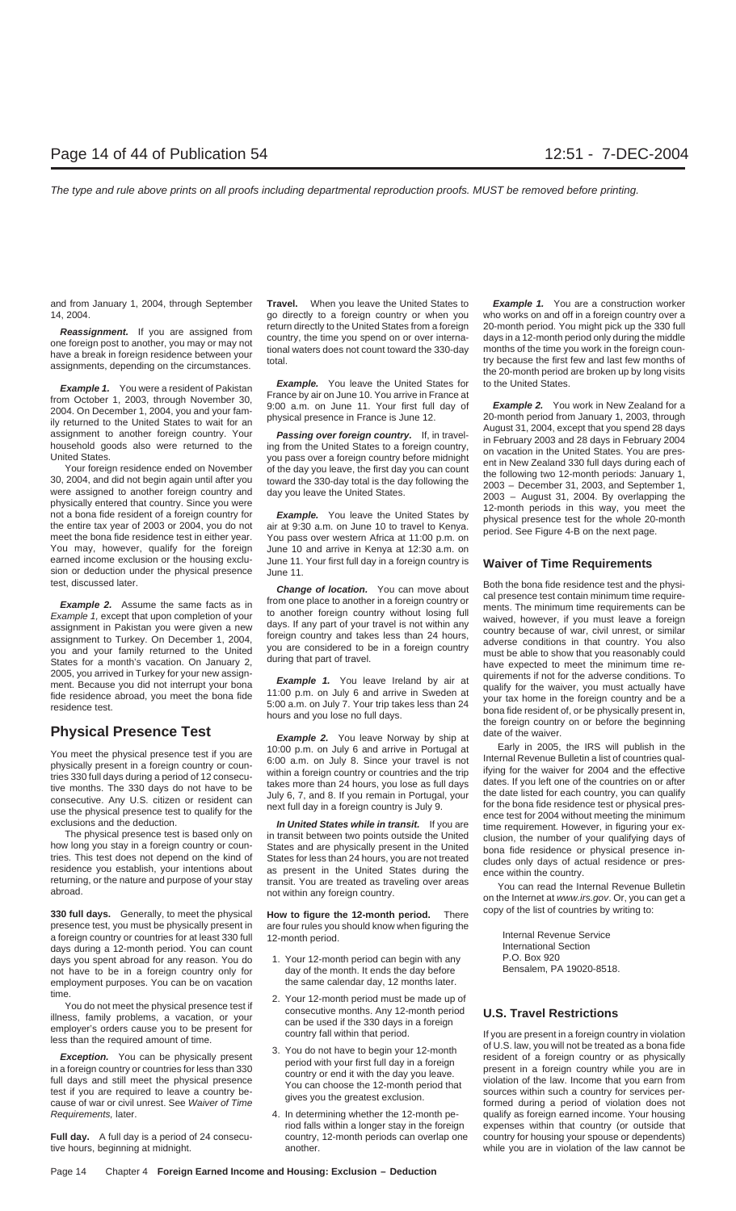You may, however, qualify for the foreign June 10 and arrive in Kenya at 12:30 a.m. on earned income exclusion or the housing exclu-<br>sion or deduction under the physical presence June 11.<br>test, discussed later.

a foreign country or countries for at least 330 full 12-month period. Internal Revenue Service Internal Revenue Service days during a 12-month period. You can count<br>
days you spent abroad for any reason, You do a 1. Your 12-month period can begin with any P.O. Box 920 days you spent abroad for any reason. You do 1. Your 12-month period can begin with any P.O. Box 920<br>not have to be in a foreign country only for day of the month. It ends the day before Bensalem, PA 19020-8518. not have to be in a foreign country only for employment purposes. You can be on vacation the same calendar day, 12 months later.

illness, family problems, a vacation, or your consecutive months. Any 12-month period **U.S. Travel Restrictions**

Requirements, later. The state of the 4. In determining whether the 12-month pe- qualify as foreign earned income. Your housing

and from January 1, 2004, through September **Travel.** When you leave the United States to **Example 1.** You are a construction worker 14, 2004. go directly to a foreign country or when you who works on and off in a foreign country over a

330 full days. Generally, to meet the physical **How to figure the 12-month period.** There copy of the list of countries by writing to: presence test, you must be physically present in are four rules you should know when fi are four rules you should know when figuring the

- 
- time.<br>2. Your 12-month period must be made up of<br>2. You do not meet the physical presence test if<br>2. Your 12-month period<br>2. Your the physical presence test if
	-
	-

**Reassignment.** If you are assigned from return directly to the United States from a foreign 20-month period. You might pick up the 330 full<br>one foreign post to another, you may or may not<br>have a break in foreign residence

**Example 1.** You were a resident of Pakistan **Example.** You leave the United States for to the United States.<br>
from October 1, 2003, through November 30, France by air on June 10. You arrive in France is the United States

test, discussed later.<br> **Example 2.** Assume the same facts as in from one place to another in a foreign country or cal presence test and the physi-<br> **Example 1,** except that upon completion of your<br>
Example 1, except that **Physical Presence Test** Example 2. You leave Norway by ship at the foreign country on or before the beginning<br>Example 2. You leave Norway by ship at date of the waiver.<br>10:00 p.m. on July 6 and arrive in Portugal at Early

You meet the physical presence test if you are  $10:00$  p.m. on July 6 and arrive in Portugal at Early in 2005, the IRS will publish in the physically present in a foreign country or coun-<br>
fries 330 duldays during a perio

Exception. The exercise you to be present for<br>
Less than the required amount of time.<br>
Less than the required amount of time.<br>
Less than the required amount of time.<br>
Less than the required amount of time.<br>
Less than the r riod falls within a longer stay in the foreign expenses within that country (or outside that Full day. A full day is a period of 24 consecu-<br>
country for housing your spouse or dependents) tive hours, beginning at midnight. **Another** another. **another.** while you are in violation of the law cannot be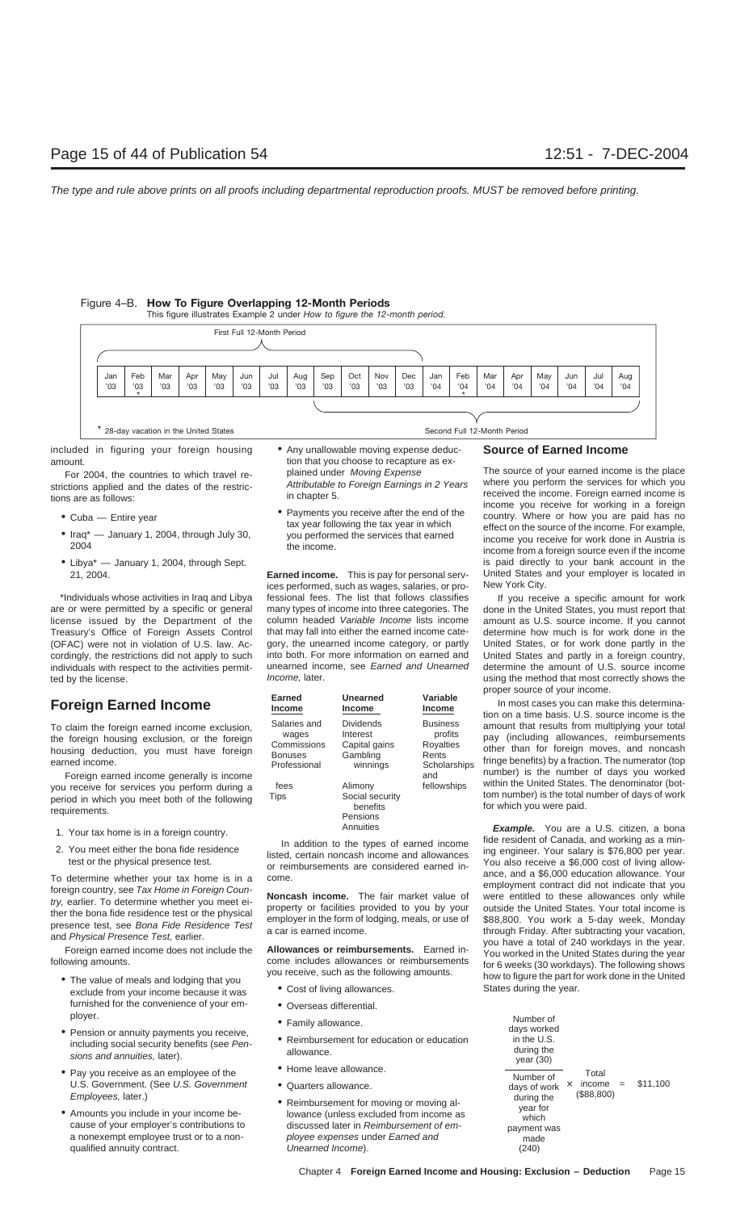Figure 4–B. **How To Figure Overlapping 12-Month Periods**

First Full 12-Month Period \* 28-day vacation in the United States Second Full 12-Month Period Second Full 12-Month Period Jan | Feb | Mar | Apr | May | Jun | Jul | Aug | Sep | Oct | Nov | Dec | Jan | Feb | Mar | Apr | May | Jun | Jul | Aug '03 | '03 | '03 | '03 | '03 | '03 | '03 | '03 | '03 | '03 | '03 | '03 | '04 | \* This figure illustrates Example 2 under *How to figure the 12-month period.* \* '03 '03 '03 '03 '03 '03 '03 '03 '03 '03 '03 '04 '04 '04 '04 '04 '04 '04

included in figuring your foreign housing • Any unallowable moving expense deduc- **Source of Earned Income**

strictions applied and the dates of the restric-<br>in chapter 5. The orient of the restrictions are as follows:<br>in chapter 5.

- 
- 
- 

ted by the license. The method that most correctly shows the method that most correctly shows the

- 
- 

- furnished for the convenience of your em-<br>ployer.
- Family allowance.<br>
 Pension or annuity payments you receive,<br>
including social security benefits (see Pen-<br>
 Reimbursement for education or education<br>
allowance. sions and annuities, later).<br>
Downey researce an ample year (the single leave allowance.
- Pay you receive as an employee of the Tome leave allowance.<br>U.S. Government. (See U.S. Government Quarters allowance. U.S. Government. (See U.S. Government<br>Employees, later.)
- a nonexempt employee trust or to a non- ployee expenses under Earned and qualified annuity contract.<br>
Unearned Income). qualified annuity contract.
- amount.<br>For 2004, the countries to which travel re-<br>For 2004, the countries to which travel re-<br>plained under Moving Expense
	-

21, 2004. **Earned income.** This is pay for personal services performed, such as wages, salaries, or pro- New York City. \*Individuals whose activities in Iraq and Libya fessional fees. The list that follows classifies If you receive a specific amount for work<br>e or were permitted by a specific or general many types of income into three catego are or were permitted by a specific or general many types of income into three categories. The done in the United States, you must report that license issued by the Department of the column headed Variable Income lists income amount as U.S. source income. If you cannot Treasury's Office of Foreign Assets Control that may fall into either the earned income cate- determine how much is for work done in the (OFAC) were not in violation of U.S. law. Ac- gory, the unearned income category, or partly United States, or for work done partly in the cordingly, the restrictions did not apply to such into both. For more information on earned and United States and partly in a foreign country, individuals with respect to the activities permit- unearned income, see *Earned* individuals with respect to the activities permit- unearned income, see Earned and Unearned determine the amount of U.S. source income

| <b>Foreign Earned Income</b>                                                                                                                                  | Earned<br><b>Income</b>                                                | Unearned<br>Income                                                    | Variable<br><u>Income</u>                                        | proper source of your income.<br>In most cases you can make this determina-<br>tion on a time basis. U.S. source income is the                                                                  |
|---------------------------------------------------------------------------------------------------------------------------------------------------------------|------------------------------------------------------------------------|-----------------------------------------------------------------------|------------------------------------------------------------------|-------------------------------------------------------------------------------------------------------------------------------------------------------------------------------------------------|
| To claim the foreign earned income exclusion,<br>the foreign housing exclusion, or the foreign<br>housing deduction, you must have foreign<br>earned income.  | Salaries and<br>wages<br>Commissions<br><b>Bonuses</b><br>Professional | <b>Dividends</b><br>Interest<br>Capital gains<br>Gambling<br>winnings | <b>Business</b><br>profits<br>Royalties<br>Rents<br>Scholarships | amount that results from multiplying your total<br>pay (including allowances, reimbursements<br>other than for foreign moves, and noncash<br>fringe benefits) by a fraction. The numerator (top |
| Foreign earned income generally is income<br>you receive for services you perform during a<br>period in which you meet both of the following<br>requirements. | fees<br>Tips                                                           | Alimony<br>Social security<br>benefits<br>Pensions                    | and<br>fellowships                                               | number) is the number of days you worked<br>within the United States. The denominator (bot-<br>tom number) is the total number of days of work<br>for which you were paid.                      |
| 1 Voustor bomp in in o foroign country                                                                                                                        |                                                                        | Annuities                                                             |                                                                  | <b>Example.</b> You are a U.S. citizen, a bona                                                                                                                                                  |

- 
- 
- 
- 
- 
- 
- Employees, (att.) **and all example 1990)** Reimbursement for moving or moving al-<br>• Amounts you include in your income be-<br>cause of your employer's contributions to discussed later in *Reimbursement of em-*

For 2004, the countries to which travel re-<br>
plained under Moving Expense The source of your earned income is the place<br>
Attributable to Foreign Farnings in 2 Years where you perform the services for which you Figure of the state of the state of the state of the state of the state of the state of the state of the state of the state of the state of the state of the state of the state of the state of the state of the state of the • Libya\* — January 1, 2004, through Sept.<br>• 21. 2004, **Earned income.** This is pay for personal sery- United States and your employer is located in

1. You rax home is in a foreign country.<br>
2. You meet either the bona fide residence<br>
test or the physical presence test.<br>
To determine whether you mee is in a come.<br>
To determine whether you meet is in a come.<br>
To determi

| Number of<br>days worked<br>in the $\overline{U}$ S.<br>during the<br>year(30)      |          |                               |     |          |  |
|-------------------------------------------------------------------------------------|----------|-------------------------------|-----|----------|--|
| Number of<br>days of work<br>during the<br>year for<br>which<br>payment was<br>made | $\times$ | Total<br>income<br>(\$88,800) | $=$ | \$11.100 |  |
| (240)                                                                               |          |                               |     |          |  |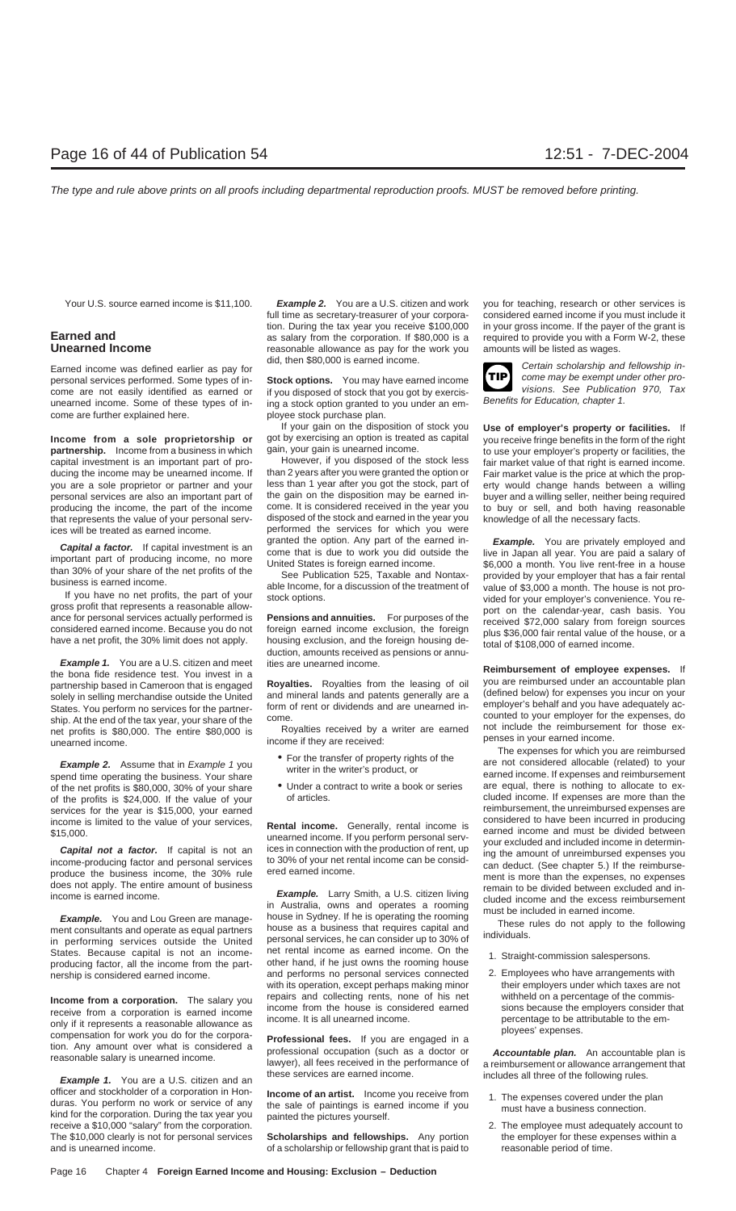personal services performed. Some types of in-<br>come are not easily identified as earned or if you disposed of stock that you got by exercis-<br>come are not easily identified as earned or if you disposed of stock that you got come are further explained here. ployee stock purchase plan.

Income from a sole proprietorship or got by exercising an option is treated as capital you receive fringe benefits in the form of the right partnership. Income from a business in which gain, your gain is unearned income. t capital investment is an important part of pro-<br>
ducing the income may be unearned income. If than 2 years after you were granted the option or Fair market value is the price at which the propducing the income may be unearned income. If than 2 years after you were granted the option or Fair market value is the price at which the prop-<br>Vou are a sole proprietor or partner and your less than 1 year after you got you are a sole proprietor or partner and your less than 1 year after you got the stock, part of erty would change hands between a willing<br>personal services are also an important part of the gain on the disposition may be e personal services are also an important part of the gain on the disposition may be earned in-<br>producing the income, the part of the income come. It is considered received in the year you to buy or sell, and both having rea producing the income, the part of the income come. It is considered received in the year you to buy or sell, and both having reasonable that represents the value of your personal served disposed of the stock and earned in that represents the value of your personal serv- disposed of the stock and earned in the year you knowledge of all the necessary facts.

**Example 1.** You are a U.S. citizen and meet ities are unearned income.<br> **Reimbursement of employee expenses.** If<br> **Reimbursement of employee expenses.** If<br> **Reimbursement of employee expenses.** If partnership based in Cameroon that is engaged **Royalties.** Royalties from the leasing of oil you are reimbursed under an accountable plan partnership based in Cameroon that is engaged **Royalties.** Royalties from the leasin solely in selling merchandise outside the United and mineral lands and patents generally are a (defined below) for expenses you incur on your<br>States. You perform no services for the partner-<br>ship. At the end of the tax vea ship. At the end of the tax year, your share of the come.<br>Royalties received by a writer are earned not include the reimbursement for those ex-<br>and pot profits is \$80,000. The optics \$80,000 is Royalties received by a writ net profits is \$80,000. The entire \$80,000 is Royalties received by a writer are earned not include the reimbursement for those ex-<br>unearned income. penses in your earned income.<br>The expenses for which you are reimbursed

spend time operating the business. Your share<br>
of the net profits is \$80,000, 30% of your share<br>
of the net profits is \$80,000, 30% of your share<br>
of articles.<br>
of articles.<br>
of articles.<br>
of articles abook or series are e of the profits is \$24,000. If the value of your of articles.<br>
services for the vear is \$15,000, your earned<br>
services for the vear is \$15,000, your earned services for the year is \$15,000, your earned<br>income is limited to the value of your services reservant income and reservant the service considered to have been incurred in producing

Example. To and Lou Green are manage-<br>ment consultants and operate as equal partners in the second services of the second services of the second services of the second services of the second services of the United personal States. Because capital is not an income- net rental income as earned income. On the<br>producing factor, all the income from the part- other hand, if he just owns the rooming house<br>nership is considered earned income<br>and per

**Income from a corporation.** The salary you repairs and collecting rents, none of his net withheld on a percentage of the commis-<br>
receive from a corporation is earned income<br>
only if it represents a reasonable allowance a

officer and stockholder of a corporation in Hon-<br>
duras. You perform no work or service of any<br>
kind for the corporation. During the tax year you painted the pictures yourself.<br>
receive a \$10,000 "salary" from the corporat The \$10,000 clearly is not for personal services **Scholarships and fellowships.** Any portion the employer for these expenses within a

full time as secretary-treasurer of your corpora- considered earned income if you must include it tion. During the tax year you receive \$100,000 in your gross income. If the payer of the grant is **Earned and** as salary from the corporation. If \$80,000 is a required to provide you with a Form W-2, these **Unearned Income**<br>**Unearned Income** extending the section of the work you amounts will be listed as wages. reasonable allowance as pay for the work you did, then \$80,000 is earned income.

earned are not easily identified as earned or if you disposed of stock that you got by exercis-<br>unearned income. Some of these types of in- ing a stock option granted to you under an em-<br> $\frac{Benefits$  for Education, chapter 1.

If your gain on the disposition of stock you **Use of employer's property or facilities.** If

ices will be treated as earned income. performed the services for which you were

- 
- 

does not apply. The entire amount of business<br>income is earned income.<br>in Australia, owns and operates a rooming cluded income and the excess reimbursement<br>**Example.** You and Lou Green are manage-<br>**Example.** Nouse in Sydne nership is considered earned income. and performs no personal services connected 2. Employees who have arrangements with with its operation, except perhaps making minor their employers under which taxes are not with its operation, except perhaps making minor their employers under which taxes are not repairs and collecting rents, none of his net withheld on a percentage of the commis-

and is unearned income.  $\qquad \qquad$  of a scholarship or fellowship grant that is paid to reasonable period of time.

Your U.S. source earned income is \$11,100. **Example 2.** You are a U.S. citizen and work you for teaching, research or other services is



Earned income was defined earlier as pay for<br>nersonal services performed. Some types of in-<br>Note of Certain scholarship and fellowship in-

**partnerships** in sumearned income. In the use your employer's property or facilities, the However, if you disposed of the stock less fair market value of that right is earned income.

**Capital a factor.** If capital investment is an granted the option. Any part of the earned in-<br>
important part of producing income, no more that is due to work you did outside the live in Japan all year. You are privately

**Example 2.** Assume that in Example 1 you<br>
For the transfer of property rights of the are not considered allocable (related) to your<br>
spend time operating the business. Your share writer in the writer's product, or earned income is limited to the value of your services,<br>
\$15,000.<br> **Capital not a factor.** If capital is not an ices in connection with the production of rent, up<br>
income-producing factor and personal services to 30% of your net

- 
- 

these services are earned income.<br> **Example 1.** You are a U.S. citizen and an these services are earned income.<br> **Example 1.** You are a U.S. citizen and an these services are earned income. **Example 1.** You are a U.S. cit

- 
-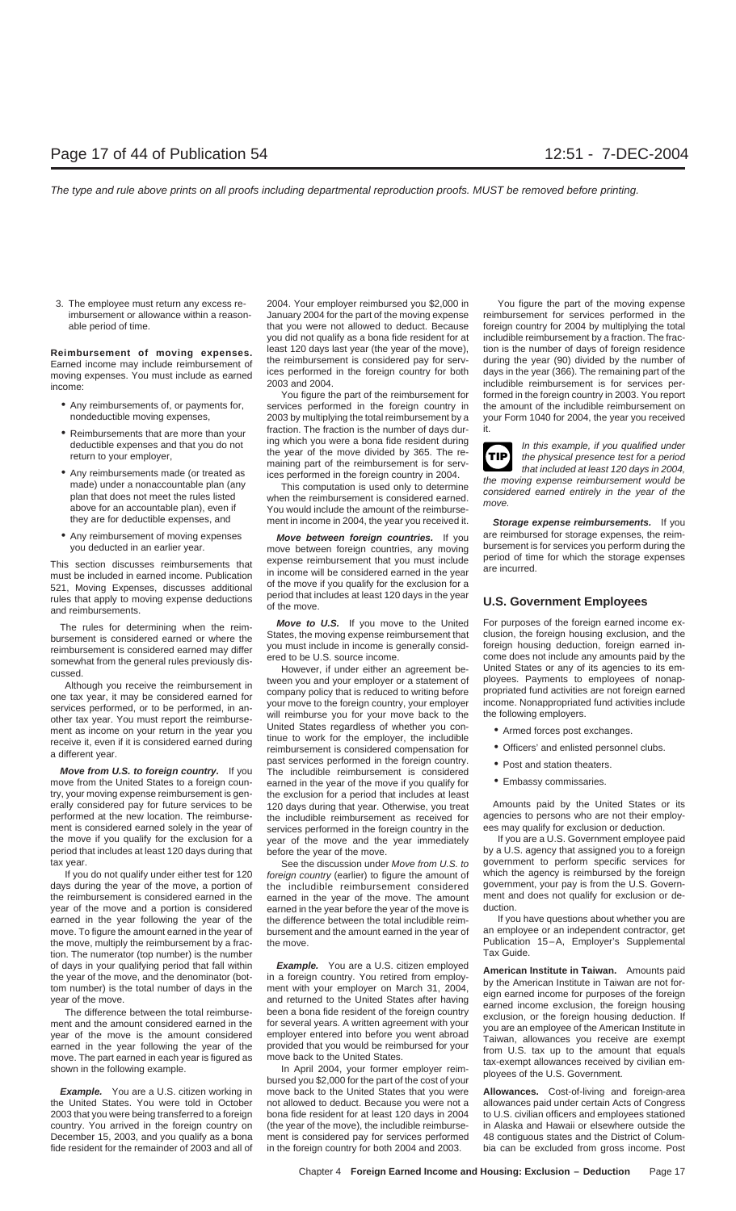moving expenses. You must include as earned ices performed in the foreign country for both income:

- 
- 
- Any reimbursements made (or treated as ices performed in the foreign country in 2004.<br>
made) under a nonaccountable plan (any This computation is used only to determine<br>
plan that does not meet the rules listed when the
- 

must be included in earned income. Publication in income will be considered earned in the year<br>521. Moving Expenses, discusses, additional of the move if you qualify for the exclusion for a 521, Moving Expenses, discusses additional of the move if you quality for the exclusion for a<br>rules that apply to moving expense deductions period that includes at least 120 days in the year<br>of the move.

Expression of the semi-bursement is considered earned may differ<br>somewhat from the general rules previously dis-<br>cussed. The However, if under either an agreement be-<br>cussed. However, if under either an agreement be-<br>cusse

try, your moving expense reimbursement is gen-<br>erally considered pay for future services to be<br> $120$  days during that year. Otherwise, you treat period that includes at least 120 days during that before the year of the move.

days during the year of the move, a portion of the includible reimbursement considered government, your pay is from the U.S. Govern-<br>the reimbursement is considered earned in the earned in the year of the move. The amount the reimbursement is considered earned in the earned in the year of the move. The amount ment and  $\alpha$  nove and a portion is considered earned in the year before the wear of the move is duction. year of the move and a portion is considered earned in the year before the year of the move is duction.<br>earned in the year following the year of the the difference between the total includible reim-<br>If you have questions a earned in the year following the year of the the difference between the total includible reim-<br>move. To figure the amount earned in the year of bursement and the amount earned in the year of an employee or an independent c move. To figure the amount earned in the year of bursement and the amount earned in the year of an employee or an independent contractor, get<br>the move multiply the reimbursement by a frac-<br>the move extine move are publicat the move, multiply the reimbursement by a frac-<br>tion The numerator (top number) is the number<br>Tax Guide. tion. The numerator (top number) is the number

• Reimbursements that are more than your<br>deductible expenses and that you do not<br>return to your employer,<br>hence than you do not the reimbursement is for server a bond fide resident during<br>maining part of the reimbursement

they are for deductible expenses, and ment in income in 2004, the year you received it. **Storage expense reimbursements.** If you

This section discusses reimbursements that expense reimbursement that you must include period of time must be incurred.

Considered earned for the performed, in an-<br>
Although you receive the reimbursement in tween you and your employer or a statement of ployees. Payments to employees of nonap-<br>
one tax year, it may be considered earned for **Move from U.S. to foreign country.** If you The includible reimbursement is considered<br>move from the United States to a foreign coun-earned in the year of the move if you qualify for • Embassy commissaries. 120 days during that year. Otherwise, you treat Amounts paid by the United States or its performed at the new location. The reimburse-<br>ment is considered earned solely in the year of services performed in the foreign country in the ees may qualify for exclusion or deduction. ment is considered earned solely in the year of services performed in the foreign country in the ees may qualify for exclusion or deduction.<br>the move if you qualify for the exclusion for a year of the move and the year imm year of the move and the year immediately If you are a U.S. Government employee paid<br>hefore the year of the move by a U.S. agency that assigned you to a foreign

**Example.** You are a U.S. citizen working in move back to the United States that you were **Allowances.** Cost-of-living and foreign-area the United States. You were told in October not allowed to deduct. Because you were not a allowances paid under certain Acts of Congress 2003 that you were being transferred to a foreign bona fide resident for at least 120 days in 2004 to U.S. civilian officers and employees stationed country. You arrived in the foreign country on (the year of the move), the includible reimburse- in Alaska and Hawaii or elsewhere outside the December 15, 2003, and you qualify as a bona ment is considered pay for services performed 48 contiguous states and the District of Columfide resident for the remainder of 2003 and all of in the foreign country for both 2004 and 2003. bia can be excluded from gross income. Post

3. The employee must return any excess re- 2004. Your employer reimbursed you \$2,000 in You figure the part of the moving expense imbursement or allowance within a reason- January 2004 for the part of the moving expense reimbursement for services performed in the able period of time. that you were not allowed to deduct. Because foreign country for 2004 by multiplying the total you did not qualify as a bona fide resident for at includible reimbursement by a fraction. The frac-Reimbursement of moving expenses. Least 120 days last year (the year of the move), tion is the number of days of foreign residence<br>Earned income may include reimbursement of the reimbursement is considered pay for serv-<br>mo moving experises. The mast medic is carried and 2004.<br>You figure the part of the reimbursement for formed in the foreign country in 2003. You report formed in the foreign country in 2003. You report • Any reimbursements of, or payments for, services performed in the foreign country in the amount of the includible reimbursement on nondeductible moving expenses, 2003 by multiplying the total reimbursement by a your Form 2003 by multiplying the total reimbursement by a your Form 1040 for 2004, the year you received

**TIP**

• Any reimbursement of moving expenses **Move between foreign countries.** If you are reimbursed for storage expenses, the reim-<br>you deducted in an earlier year. The move between foreign countries, any moving bursement is fo move between foreign countries, any moving bursement is for services you perform during the<br>expense reimbursement that you must include period of time for which the storage expenses

The rules for determining when the reim-<br>bursement is considered earned or where the<br>response of the United For purposes of the foreign earned income ex-<br>bursement is considered earned or where the<br>response is generally co

- 
- 
- 
- 

tax year.<br>If you do not qualify under either test for 120 foreign country (earlier) to figure the amount of which the agency is reimbursed by the foreign If you do not qualify under either test for 120 *foreign country* (earlier) to figure the amount of which the agency is reimbursed by the foreign states for the toreign states of the move, a portion of the includible reimb

of days in your qualifying period that fall within<br>the year of the move, and the denominator (bot-<br>the area U.S. citizen employed<br>the year of the move, and the denominator (bot-<br>the area with your employer on March 31, 200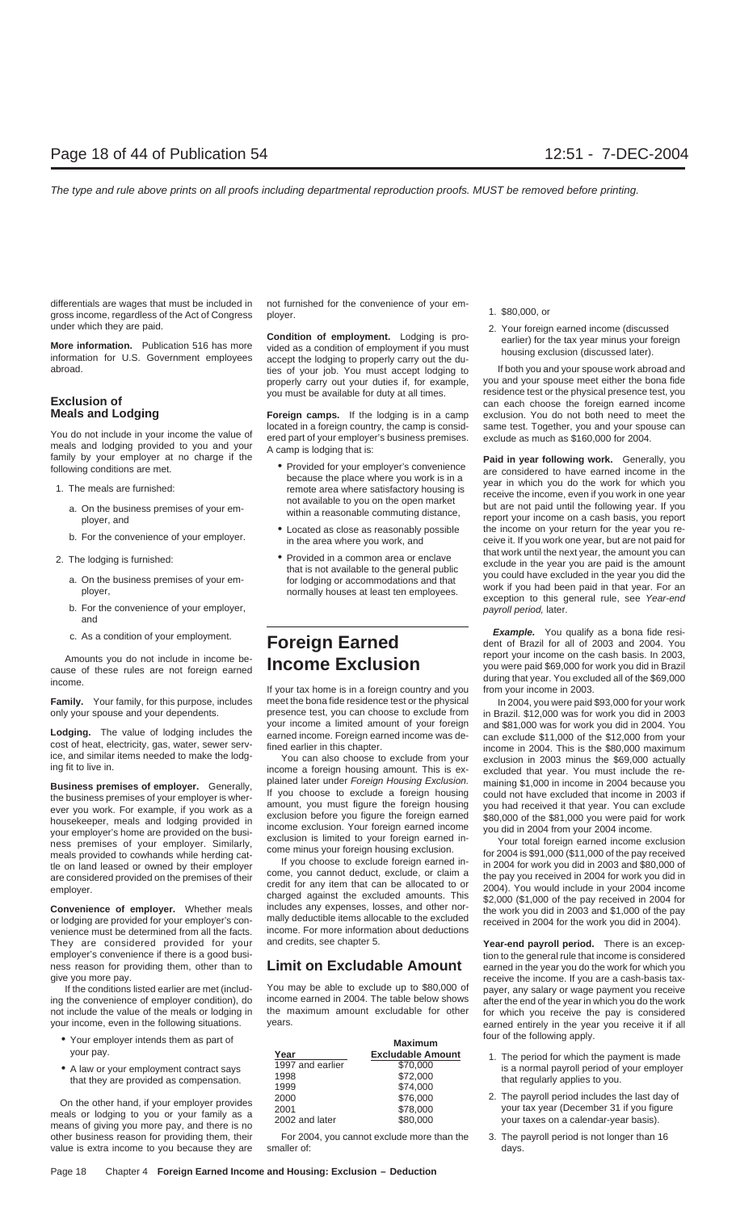- -
	-
- -
	- b. For the convenience of your employer, example the convenience of your employer, payroll period, later. and
	-

**Business premises of employer.** Generally, plained later under Foreign Housing Exclusion. maining \$1,000 in income in 2004 because you<br>the business premises of your employer is where<br>wer you work. For example, if you wor

or lodging are provided for your employer's con- mally deductible items allocable to the excluded received in 2004 for the work you did in 2004).<br>Venience must be determined from all the facts income. For more information venience must be determined from all the facts. income. For more information is the considered provided for your and credits, see chapter 5. They are considered provided for your and credits, see chapter 5. **Year-end payroll period.** There is an excepemployer's convenience if there is a good busi-<br>ness reason for providing them, other than to Limit on Excludable Amount earned in the year you do the work for which you

- four of the following apply. Your employer intends them as part of **Maximum**
- 

On the other hand, if your employer provides<br>
meals or lodging to you or your family as a<br>
means of giving you more pay, and there is no<br>
other business reason for providing them, their<br>
other business reason for providing other business reason for providing them, their For 2004, you cannot exclude more than the value is extra income to you because they are smaller of: **days.** days.

differentials are wages that must be included in not furnished for the convenience of your em-<br>gross income, regardless of the Act of Congress ployer.

under which they are paid.<br> **Condition of employment.** Lodging is pro-<br> **More information.** Publication 516 has more vided as a condition of employment if you must<br>
information for U.S. Government employees accept the lodg information for U.S. Government employees accept the lodging to properly carry out the du-<br>abroad. ties of your job. You must accept lodging to If both you and your spouse work abroad and<br>properly carry out your duties if, properly carry out your duties if, for example, you must be available for duty at all times. residence test or the physical presence test, you

**Meals and Lodging Foreign camps.** If the lodging is in a camp exclusion. You do not both need to meet the

- 
- 
- 

If your tax home is in a foreign country and you from your income in 2003.<br>
meet the bona fide residence test or the physical  $\frac{1}{2}$  in 2004, you were paid **Family.** Your family, for this purpose, includes meet the bona fide residence test or the physical In 2004, you were paid \$93,000 for your work concerned to the bona fide residence test or the physical In 2004, you were p presence test, you can choose to exclude from in Brazil. \$12,000 was for work you did in 2003<br>your income a limited amount of your foreign and \$81,000 was for work you did in 2004. You

Charged against the excluded amounts. This \$2,000 (\$1,000 of the pay received in 2004 for<br>**Convenience of employer.** Whether meals includes any expenses, losses, and other nor-<br>or lodging are provided for your employer's c

You may be able to exclude up to  $$80,000$  of payer, any salary or wage payment you receive income earned in 2004. The table below shows after the end of the vear in which you do the work ing the convenience of employer condition), do income earned in 2004. The table below shows after the end of the year in which you do the work<br>not include the value of the meals or lodging in the maximum amount excludable

| • Your employer intends them as part of                                                  |                  | <b>Maximum</b>           | <b>TOUT OF LITE TUITOWITHY APPIY.</b>          |
|------------------------------------------------------------------------------------------|------------------|--------------------------|------------------------------------------------|
| your pay.                                                                                | Year             | <b>Excludable Amount</b> | 1. The period for which the payment is made    |
| • A law or your employment contract says                                                 | 1997 and earlier | \$70,000                 | is a normal payroll period of your employer    |
| that they are provided as compensation.                                                  | 1998             | \$72,000                 | that regularly applies to you.                 |
|                                                                                          | 1999             | \$74.000                 |                                                |
| On the other hand, if your employer provides                                             | 2000             | \$76,000                 | 2. The payroll period includes the last day of |
|                                                                                          | 2001             | \$78,000                 | your tax year (December 31 if you figure       |
| eals or lodging to you or your family as a<br>ane of aiving you more now and there is no | 2002 and later   | \$80,000                 | your taxes on a calendar-year basis).          |

**Exclusion of Exclusion of EXCLUSION CAN EXCLUSION CAN EXCLUSION CAN EXCLUSION CAN EXCLUSION CAN EXCLUSION CAN EXCLUSION CAN EXCLUSION CAN EXCLUSION CAN EXCLUSION CAN EXCLUSION CAN EXCLUSION CAN** 

Vou do not include in your income the value of the value of the value of the value of the value of the value of the value of the value of the value of the value of the value of the value of the value of the value of the va ployer, and<br>b. For the convenience of your employer.<br>b. For the convenience of your employer.<br>http://www.indext.org/work, and the income on your return for the year you re-<br>ceive it. If you work one year, but are not paid 2. The lodging is furnished:<br>
a. On the business premises of your em-<br>
ployer,<br>
a. On the business premises of your em-<br>
ployer,<br>
a. On the sex premises of your em-<br>
ployer,<br>
a. On the sex premises of your em-<br>
ployer,<br>
pl

**Example.** You qualify as a bona fide resi-<br> **Foreign Earned** Earnew Condition of 2003 and 2004. You<br>
report your income on the cash basis. In 2003, Amounts you do not include in income be **Income Exclusion** report your income on the cash basis. In 2003,<br>income of these rules are not foreign earned **Income Exclusion** you were paid \$69,000 for work you did in Brazil<br>dur

your income a limited amount of your foreign and \$81,000 was for work you did in 2004. You<br>cost of heat, electricity, gas, water, sewer serv-<br>ince, and similar items needed to make the lodg-<br>income a foreign housing amount

ness reason for providing them, other than to **Limit on Excludable Amount** earned in the year you do the work for which you<br>give you more pay.<br>
receive the income. If you are a cash-basis taxe you more pay.<br>If the conditions listed earlier are met (includ- You may be able to exclude up to \$80,000 of payer, any salary or wage payment you receive not include the value of the meals or lodging in the maximum amount excludable for other for which you receive the pay is considered<br>your income, even in the following situations. years. earned entirely in the year you receive it if all

- 
- 
-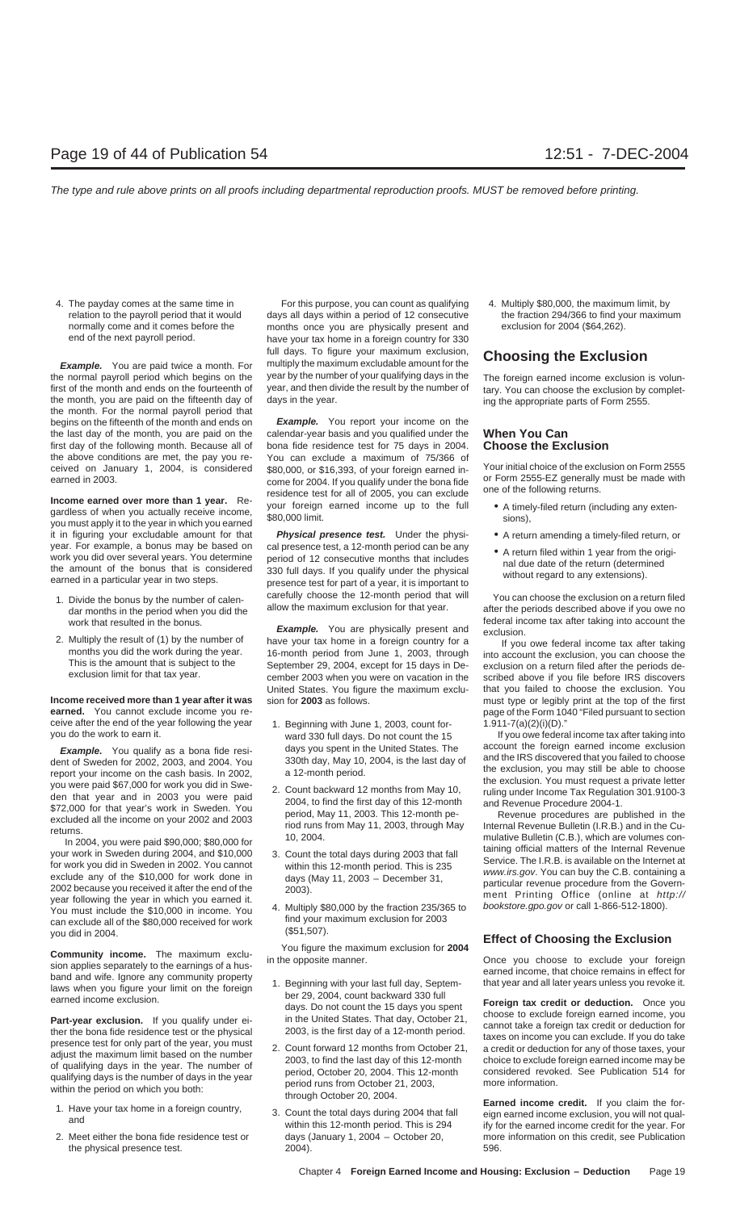the normal payroll period which begins on the year by the number of your qualifying days in the The foreign earned income exclusion is volun-<br>first of the month and ends on the fourteenth of year, and then divide the resul first of the month and ends on the fourteenth of year, and then divide the result by the number of tary. You can choose the exclusion by complet-<br>the month, you are paid on the fifteenth day of days in the year. the month, you are paid on the fifteenth day of days in the year. The state of the appropriate parts of Form 2555. the month. For the normal payroll period that begins on the fifteenth of the month and ends on **Example.** You report your income on the the last day of the month, you are paid on the calendar-year basis and you qualified under the **When You Can** first day of the following month. Because all of bona fide residence test for 75 days in 2004. **Choose the Exclusion** ceived on January 1, 2004, is considered \$80,000, or \$16,393, of your foreign earned in-<br>come for 2004. If you qualify under the bona fide or Form 2555-EZ generally must be made with

it in figuring your excludable amount for that **Physical presence test.** Under the physi- • A return amending a timely-filed return, or

- 
- 

ceive after the end of the year following the year 1. Beginning with June 1, 2003, count for-<br>ward 330 full days Do not count the 15 f vou owe federally

- 
- the physical presence test. 2004). 596.

4. The payday comes at the same time in For this purpose, you can count as qualifying 4. Multiply \$80,000, the maximum limit, by relation to the payroll period that it would days all days within a period of 12 consecutive the fraction 294/366 to find your maximum normally come and it comes before the exclusion for 2004 (\$64,262).<br>end of the next payroll period. have your tax home in a foreign country for 330 have your tax home in a foreign country for 330 full days. To figure your maximum exclusion,<br>**Example.** You are paid twice a month. For multiply the maximum excludable amount for the **Choosing the Exclusion**<br>Example arrived to month in the year by the number of your qua

You can exclude a maximum of 75/366 of earned in 2003. Come for 2004. If you qualify under the bona fide or Form 2555-EZ generally must be made with<br> **Income earned over more than 1 year.** Represidence test for all of 2005, you can exclude one of the following

year. For example, a bonus may be based on cal presence test, a 12-month period can be any<br>work you did over several years. You determine period of 12 consecutive months that includes<br>the amount of the bonus that is consid 1. Divide the bonus by the number of calen-<br>determined that will the carefully choose the 12-month period that will you can choose the exclusion on a return filed<br>after the periods described above if you owe no

work that resulted in the bonus.<br>**Example.** You are physically present and exclusion.<br>2. Multiply the result of (1) by the number of have your tax home in a foreign country for a 2. Multiply the result of (1) by the number of have your tax home in a foreign country for a This is the amount of the work during the year.<br>This is the amount that is subject to the September 29, 2004, except for 15 days United States. You figure the maximum exclu- that you failed to choose the exclusion. You

- 
- 
- 
- 

- 
- 
- 

- 
- 
- 

dar months in the period when you did the allow the maximum exclusion for that year. after the periods described above if you owe no<br>work that resulted in the bonus.

**Income received more than 1 year after it was** sion for **2003** as follows. Must type or legibly print at the top of the first earned. You cannot exclude income you repage of the Form 1040 "Filed pursuant to section

ward 330 full days. Do not count the 15 If you owe federal income tax after taking into<br>days you spent in the United States. The account the foreign earned income exclusion

Example, You qualify as a bona fide resi-<br>
day out space in discussion. The unit of the celubratic states. The celubratic state of the celubratic state of the celubratic state of the celubratic proportion you mean paid to

2. Meet either the bona fide residence test or days (January 1, 2004 – October 20, more information on this credit, see Publication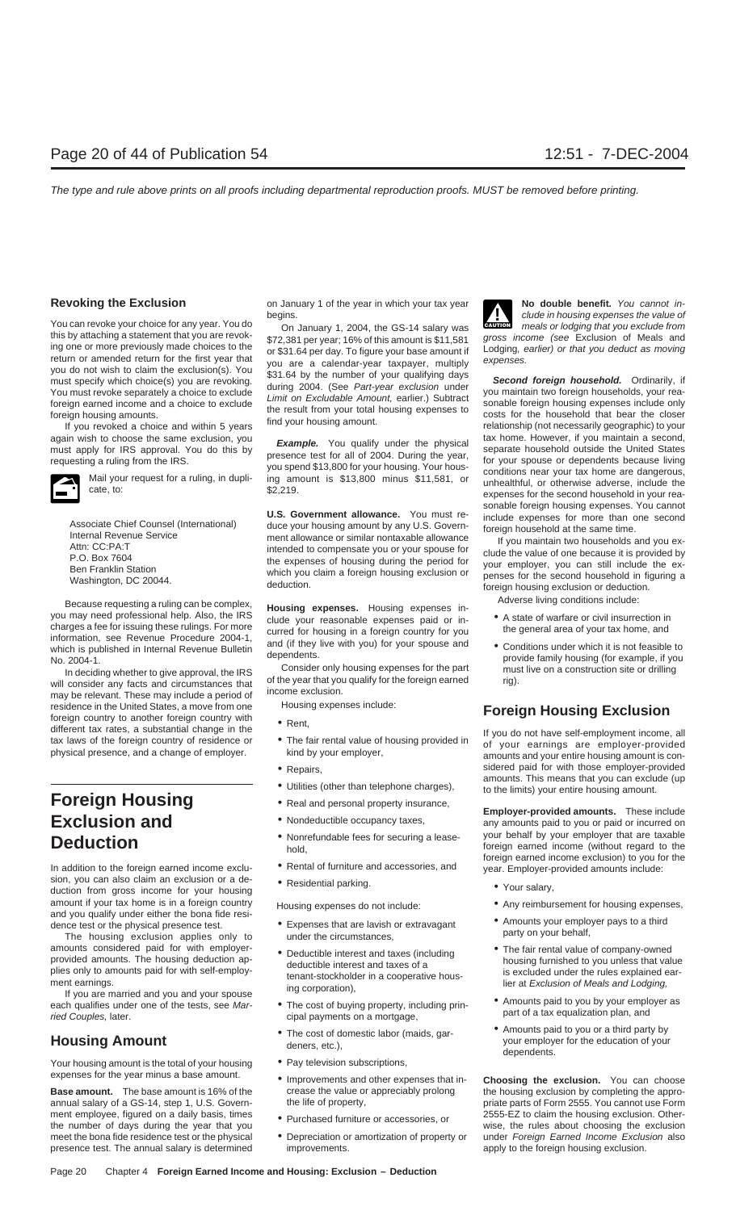You can revoke your choice for any year. You do  $\overline{O}$  January 1, 2004, the GS-14 salary was **CAUTION** meals or lodging that you exclude from this by attaching a statement that you are revok-<br>this by attaching a statemen this by attaching a statement that you are revok-<br>the revolution of the statement that you are revok-<br>ing one or more previously made choices to the or \$31 64 per day. To figure your base amount if Lodging, earlier) or tha ing one or more previously made choices to the organization of digital control as a mount if Lodging, earlier<br>The or that is more previously made choices to the organization of the digital proposer multiply expenses.



Because requesting a ruling can be complex,<br>you may need professional help. Also, the IRS<br>clude your reasonable expenses paid or in-<br>charges a fee for issuing these rulings. For more<br>curred for housing in a foreign country Granges a ree for issuing these runnys. For more<br>information, see Revenue Procedure 2004-1,<br>which is published in Internal Revenue Bulletin<br>dependents.

will consider any facts and circumstances that <sup>or the year that you move be relevant</sup> These may include a next of the forme exclusion. may be relevant. These may include a period of income exclusion.<br>residence in the United States, a move from one Housing expenses include: Foreign country to another foreign country with<br>
different tax rates, a substantial change in the<br>
tax laws of the foreign country of residence or<br>
physical presence, and a change of employer.<br>
the fair rental value of hou

# **Foreign Housing**<br>
• Utilities (other than telephone charges),<br>
• Real and personal property insurance,<br>
• Nondeductible occupancy taxes,<br>
• Nondeductible occupancy taxes,<br>
• Nondeductible occupancy taxes,<br>
• Nondeductible

sion, you can also claim an exclusion or a de-<br>
duction from gross income for your housing<br> **•** Your salary, amount if your tax home is in a foreign country Housing expenses do not include:<br>and you qualify under either the bona fide resi-<br>and you qualify under either the bona fide resi-

amounts considered paid for with employer<br>provided amounts. The housing deduction ap-<br>plies only to amounts paid for with self-employ-<br>ment earnings.<br>If you are married and you and you and your spouse<br>each qualifies under

Your housing amount is the total of your housing • Pay television subscriptions,

meet the bona fide residence test or the physical . Depreciation or amortization of property or under Foreign Earned Income Exclusion also presence test. The annual salary is determined approvements. The stream apply to the foreign housing exclusion.

**Revoking the Exclusion being the Samuary 1** on January 1 of the year in which your tax year **No double benefit.** You cannot inbegins. clude in housing expenses the value of

The term of amended return for the first year that<br>you are a calendar-year taxpayer, multiply<br>which choice (s) you are revoking.<br>You must specify which choice (s) you are revoking.<br>You must revoke separately a choice to ex

V.S. Government allowance. You must re-<br>
Associate Chief Counsel (International)<br>
Internal Revenue Service<br>
Internal Revenue Service<br>
Internal Revenue Service<br>
Attn: CC:PA:T<br>
Attn: CC:PA:T<br>
Attn: CC:PA:T<br>
Attn: CC:PA:T<br>
In

In deciding whether to give approval, the IRS consider only nousing expenses for the part must must live on a consider any facts and circumstances that of the year that you qualify for the foreign earned rig).

- 
- 
- 
- 
- 
- 
- 
- 
- 

- 
- 
- 
- 
- 
- 
- 
- 

**!**

again wish to choose the same exclusion, you **Example.** You qualify under the physical tax home. However, if you maintain a second,<br>must apply for IRS approval. You do this by presence test for all of 2004. During the year

- 
- No. 2004-1.<br>In deciding whether to give approval, the IRS Consider only housing expenses for the part housing the construction site or drilling

• Repairs, sidered paid for with those employer-provided amounts. This means that you can exclude (up

**Deduction**<br>• Nonrefundable fees for securing a lease- your behalf by your employer that are taxable<br>foreign earned income (without regard to the foreign earned income exclusion) to you for the In addition to the foreign earned income exclusion) to you for the<br>In addition to the foreign earned income exclu-<br>exclusion of furniture and accessories, and year. Employer-provided amounts include:

- 
- 
- and you qualify under either the bona fide resi-<br>dence test or the physical presence test.<br>The housing exclusion applies only to under the circumstances, and party on your behalf,
	-
	-
- **Housing Amount**<br> **Housing Amount**<br> **Housing Amount**<br> **COUSING Amount**<br> **COUSING Amount**<br> **COUSING AMOUNT**<br> **COUSING AMOUNT**<br> **COUSING AMOUNT**<br> **COUSING AMOUNT**<br> **COUSING AMOUNT**<br> **COUSING AMOUNT**<br> **COUSING AMOUNT**<br> **COUSI**

expenses for the year minus a base amount. • Improvements and other expenses that in- **Choosing the exclusion.** You can choose Base amount. The base amount is 16% of the crease the value or appreciably prolong the housing exclusion by completing the approannual salary of a GS-14, step 1, U.S. Govern- the life of property, entity and priate parts of Form 2555. You cannot use Form ment employee, figured on a daily basis, times <br> **•** Purchased furniture or accessories, or  $\qquad$  2555-EZ to claim the housing exclusion. Other-<br>
wise, the rules about choosing the exclusion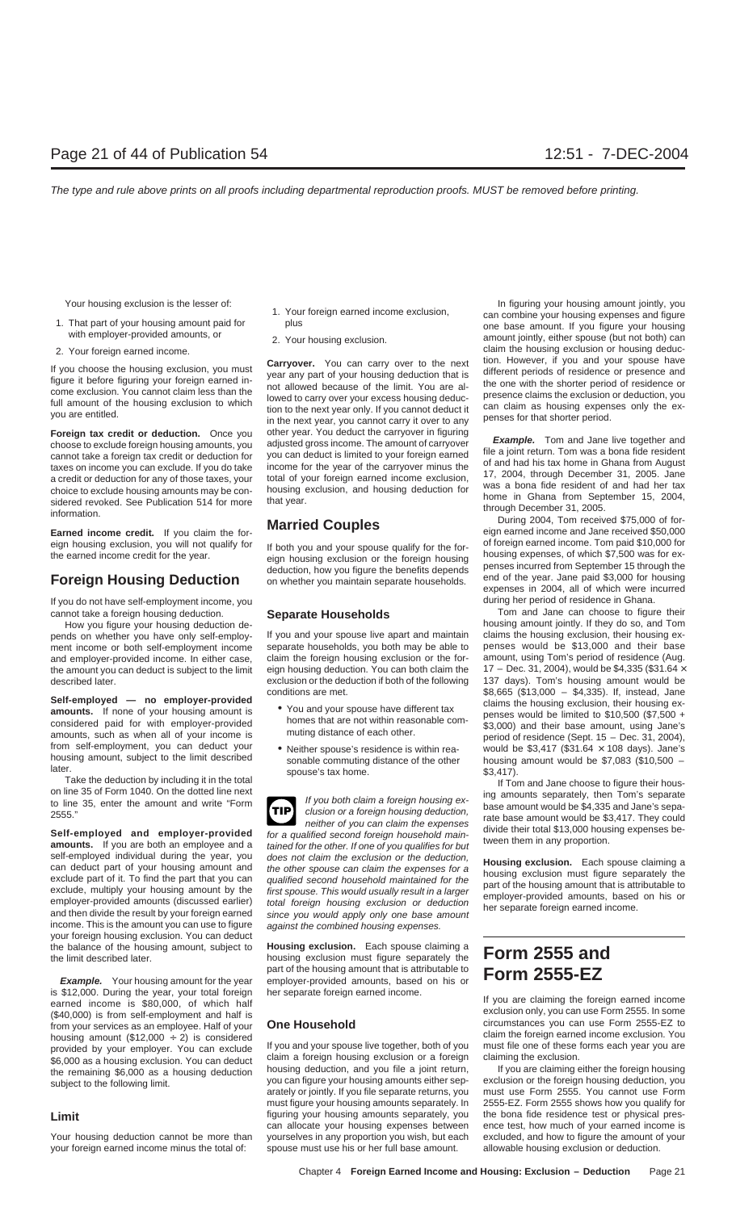- 
- 

Foreign tax credit or deduction. Once you other year. You deduct the carryover in figuring<br>choose to exclude foreign housing amounts, you adjusted gross income. The amount of carryover  $\frac{1}{2}$  Example. Tom and Jane live

If you do not have self-employment income, you<br> **Senarate Households** Tom and Jane can choose to figure their<br>
Tom and Jane can choose to figure their cannot take a foreign housing deduction. **Separate Households**<br>How you figure your housing deduction de-

pends on whether you have only self-employthe amount you can deduct is subject to the limit eign housing deduction. You can both claim the described later.

income. This is the amount you can use to figure against the combined housing expenses. your foreign housing exclusion. You can deduct the balance of the housing amount, subject to **Housing exclusion.** Each spouse claiming a the balance of the housing amount, subject to **Housing exclusion.** Each spouse claiming a<br>the limit described later. **housing exclusion must figure separately the <b>Form 2555 and** 

is \$12,000. During the year, your total foreign her separate foreign earned income.<br>
earned income is \$80,000, of which half<br>
(\$40,000) is from self-employment and half is exclusion only, you can use Form 2555. In some<br>
fr From your services as an employee. Half of your<br>housing amount (\$12,000 ÷ 2) is considered<br>provided by your employer. You can exclude<br>\$6,000 as a housing exclusion. You can deduct<br>the remaining \$6,000 as a housing deductio

your foreign earned income minus the total of: spouse must use his or her full base amount. allowable housing exclusion or deduction.

- 
- 

If you choose the housing exclusion, you must<br>
figure it before figuring your foreign earned in-<br>
figure it before figuring your foreign earned in-<br>
come exclusion. You cannot claim less than the<br>
figure it before figuring

ment income or both self-employment income separate households, you both may be able to penses would be \$13,000 and their base and employer-provided income. In either case, claim the foreign housing exclusion or the for-<br>the amount you can deduct is subject to the limit eign housing deduction. You can both claim the 17 – Dec. 31, 2004), would be described later. exclusion or the deduction if both of the following 137 days). Tom's housing amount would be<br>conditions are met. \$8,665 (\$13,000 - \$4,335). If, instead, Jane

- 
- 

**TIP** Self-employed and employer-provided<br>and the expenses of the expenses distribution of the state of the state of the state of the state of the state of the state of the state of the state of the state of the state of the sta self-employed individual during the year, you does not claim the exclusion or the deduction,<br>can deduct part of your housing amount and the other spouse can claim the expenses for a<br>exclude part of it. To find the part tha

part of the housing amount that is attributable to part of the housing amount that is attributable to<br>**Example.** Your housing amount for the year employer-provided amounts, based on his or **Form 2555-EZ** 

must figure your housing amounts separately. In 2555-EZ. Form 2555 shows how you qualify for **Limit Limit Example 3** figuring your housing amounts separately, you the bona fide residence test or physical pres-<br>can allocate your housing expenses between ence test, how much of your earned income is can allocate your housing expenses between Your housing deduction cannot be more than yourselves in any proportion you wish, but each excluded, and how to figure the amount of your

Your housing exclusion is the lesser of:<br>1. Your foreign earned income exclusion, and combine your housing amount jointly, you<br>1. That part of your housing amount paid for plus<br>1. Wour foreign earned income exclusion, and 2. Your housing exclusion. The magnetic method of the housing exclusion.<br>2. Your foreign earned income.<br>Carryover You can carry over to the next tion. However, if you and your spouse have

eign housing exclusion, you will not qualify for<br>the earned income credit for the year.<br>deduction, how you figure the benefits depends<br>deduction, how you figure the benefits depends<br>deduction, how you figure the benefits d deduction, how you figure the benefits depends<br> **Foreign Housing Deduction** on whether you maintain separate households.<br>
expenses in 2004, all of which were incurred

Housing amount jointly. If they do so, and Tom<br>If you and your spouse live apart and maintain claims the housing exclusion, their housing ex-**Self-employed — no employer-provided**<br> **amounts.** If none of your housing amount is<br>
considered paid for with employer-provided<br>
considered paid for with employer-provided<br>
then all of your income shall are not within re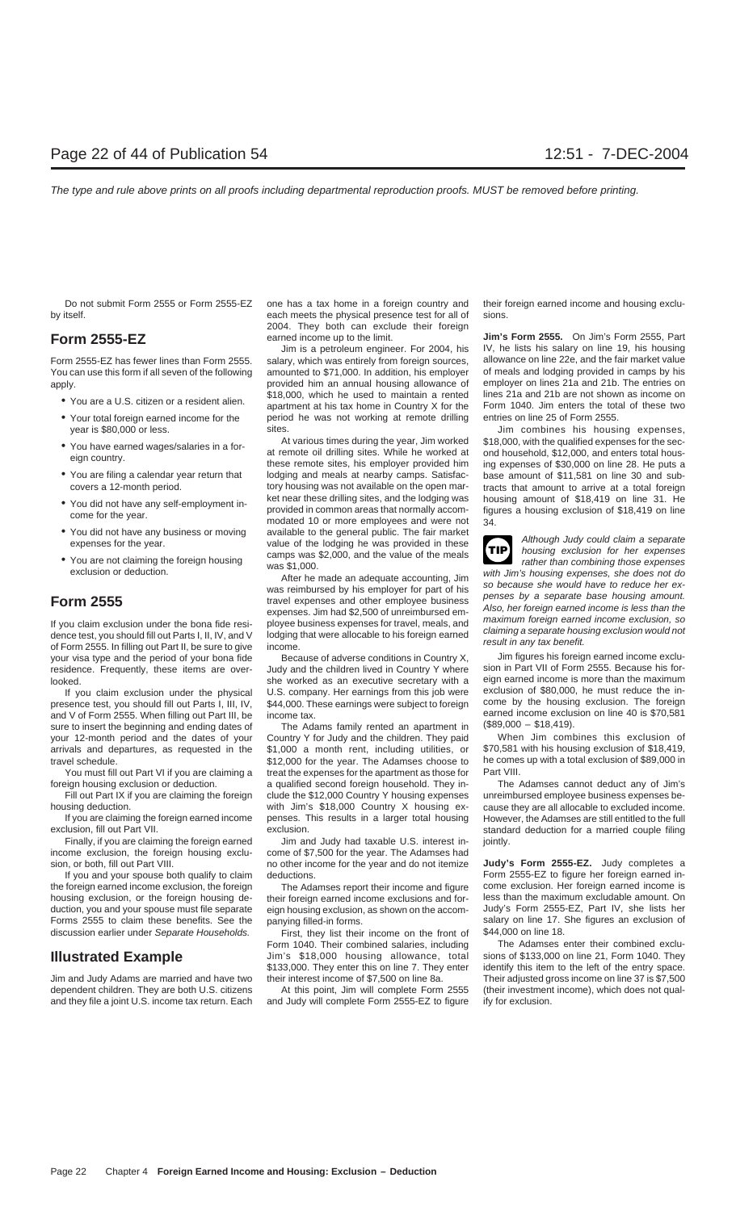by itself. **Each meets the physical presence test for all of** sions.

- 
- year is \$80,000 or less. Sites. Sites. Sites. Sites is housing expenses,
- 
- 
- 
- 
- 

of Form 2555. In filling out Part II, be sure to give income.<br>your visa type and the period of your bona fide Because of adverse conditions in Country X, Jim figures his foreign earned income exclu-<br>residence Frequently, t

and V of Form 2555. When filling out Part III, be income tax.<br>sure to insert the beginning and ending dates of The Adams family rented an apartment in (\$89,000 – \$18,419). sure to insert the beginning and ending dates of The Adams family rented an apartment in arrivals and departures, as requested in the  $$1,000$  a month rent, including utilities, or

exclusion, fill out Part VII. exclusion. exclusion. exclusion. The standard deduction for a married couple filing

discussion earlier under Separate Households. First, they list their income on the front of

and they file a joint U.S. income tax return. Each and Judy will complete Form 2555-EZ to figure ify for exclusion.

Do not submit Form 2555 or Form 2555-EZ one has a tax home in a foreign country and their foreign earned income and housing exclu-2004. They both can exclude their foreign

Jim is a petroleum engineer. For 2004, his Form 2555-EZ has fewer lines than Form 2555. salary, which was entirely from foreign sources, allowance on line 22e, and the fair market value<br>You can use this form if all seven of the following amounted to \$71,000. In add You can use this form if all seven of the following amounted to \$71,000. In addition, his employer of meals and lodging provided in camps by his verovided him an annual housing allowance of employer on lines 21a and 21b. T apply.<br>apply. provided him an annual housing allowance of employer on lines 21a and 21b. The entries on<br>a stream the stream \$18,000, which he used to maintain a rented lines 21a and 21b are not shown as income on • You are a U.S. citizen or a resident alien. \$18,000, which he used to maintain a rented lines 21a and 21b are not shown as income on<br>apartment at his tax home in Country X for the Form 1040. Jim enters the total of thes • Your total foreign earned income for the period he was not working at remote drilling entries on line 25 of Form 2555.

• You have earned wages/salaries in a for-<br>at remote oil drilling sites. While he worked \$18,000, with the qualified expenses for the sec-<br>eign country.<br>• You are filing a calendar year return that lodging and meals at nea covers a 12-month period. tory housing was not available on the open mar- tracts that amount to arrive at a total foreign • You did not have any self-employment in-<br>come for the year.<br>The provided in common areas that normally accom-<br>modated 10 or more employees and were not<br>available to the general public. The fair market<br>Vou did not have an • You did not have any business or moving available to the general public. The fair market<br>expenses for the year.<br>• You are not claiming the foreign housing camps was \$2,000, and the value of the meals<br>• You are not claimi

Exclusion or deduction.<br>
Exclusion or deduction.<br>
Exclusion or deduction.<br>
The made an adequate accounting, Jim<br>
was \$1,000.<br>
Was a space accounting was semble to the made an adequate accounting, Jim<br>
was eimbursed by his

residence. Frequently, these items are over-<br>She worked as an executive secretary with a eign earned income is more than the maximum looked.<br>If you claim exclusion under the physical U.S. company. Her earnings from this job were exclusion of \$80,000, he must reduce the in-If you claim exclusion under the physical U.S. company. Her earnings from this job were exclusion of \$80,000, he must reduce the in-<br>sence test, you should fill out Parts I. III, IV. \$44,000. These earnings were subject to presence test, you should fill out Parts I, III, IV, \$44,000. These earnings were subject to foreign come by the housing exclusion. The foreign and V of Eorm 2555 When filling out Part III be income tax

your 12-month period and the dates of your Country Y for Judy and the children. They paid When Jim combines this exclusion of \$18,419, and departures, as requested in the \$1,000 a month rent, including utilities, or \$70,58 travel schedule. \$12,000 for the year. The Adamses choose to he comes up with a total exclusion of \$89,000 in You must fill out Part VI if you are claiming a treat the expenses for the apartment as those for Part VIII. foreign housing exclusion or deduction. a qualified second foreign household. They in- The Adamses cannot deduct any of Jim's Fill out Part IX if you are claiming the foreign clude the \$12,000 Country Y housing expenses unreimbursed employee business expenses behousing deduction. with Sim's \$18,000 Country X housing ex- cause they are all allocable to excluded income. If you are claiming the foreign earned income penses. This results in a larger total housing However, the Adamses are still entitled to the full

Finally, if you are claiming the foreign earned Jim and Judy had taxable U.S. interest in- jointly. income exclusion, the foreign housing exclu- come of \$7,500 for the year. The Adamses had sion, or both, fill out Part VIII. no other income for the year and do not itemize **Judy's Form 2555-EZ.** Judy completes a

housing exclusion, or the foreign housing de-<br>their foreign earned income exclusions and forduction, you and your spouse must file separate eign housing exclusion, as shown on the accom- Judy's Form 2555-EZ, Part IV, she lists her

Form 1040. Their combined salaries, including The Adamses enter their combined exclu-**Illustrated Example** Jim's \$18,000 housing allowance, total sions of \$133,000 on line 21, Form 1040. They **Stated Example** \$133,000. They enter this on line 7. They enter identify this item to the left of the entry space.

**Form 2555-EZ** earned income up to the limit.<br>Jim is a petroleum engineer. For 2004, his V, he lists his salary on line 19, his housing

base amount of \$11,581 on line 30 and sub-



If you and your spouse both qualify to claim deductions. The state of the state of Form 2555-EZ to figure her foreign earned inthe foreign earned income exclusion, the foreign The Adamses report their income and figure come exclusion. Her foreign earned income is<br>housing exclusion, or the foreign housing de-<br>their foreign earned income exclusions Forms 2555 to claim these benefits. See the panying filled-in forms.<br>
discussion earlier under Separate Households. First, they list their income on the front of \$44,000 on line 18.

Jim and Judy Adams are married and have two their interest income of \$7,500 on line 8a. Their adjusted gross income on line 37 is \$7,500 dependent children. They are both U.S. citizens At this point, Jim will complete Form 2555 (their investment income), which does not qual-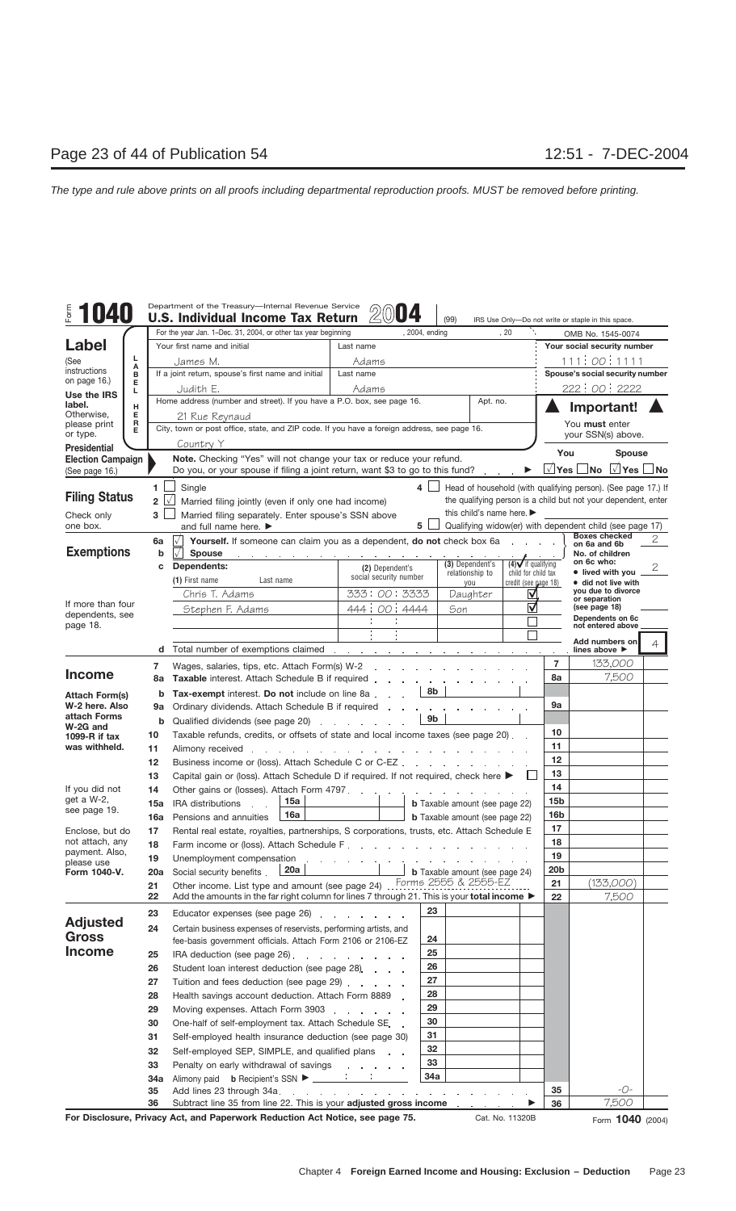| 1040<br>Form                       |                | Department of the Treasury-Internal Revenue Service<br><b>U.S. Individual Income Tax Return</b>                         | ക                                                        | (99)                                     |                                               |                            |                                    |                                                                                 |           |
|------------------------------------|----------------|-------------------------------------------------------------------------------------------------------------------------|----------------------------------------------------------|------------------------------------------|-----------------------------------------------|----------------------------|------------------------------------|---------------------------------------------------------------------------------|-----------|
|                                    |                | For the year Jan. 1-Dec. 31, 2004, or other tax year beginning                                                          |                                                          | , 2004, ending                           |                                               | .20                        |                                    | IRS Use Only-Do not write or staple in this space.<br>OMB No. 1545-0074         |           |
| Label                              |                | Your first name and initial                                                                                             | Last name                                                |                                          |                                               |                            |                                    | Your social security number                                                     |           |
| г<br>(See                          |                | James M.                                                                                                                | Adams                                                    |                                          |                                               |                            |                                    | 111:00 1111                                                                     |           |
| A<br>instructions<br>B             |                | If a joint return, spouse's first name and initial                                                                      | Last name                                                |                                          |                                               |                            |                                    | Spouse's social security number                                                 |           |
| on page 16.)<br>Е<br>г             |                | Judith E.                                                                                                               | Adams                                                    |                                          |                                               |                            |                                    | 222 00 2222                                                                     |           |
| Use the IRS<br>label.<br>н         |                | Home address (number and street). If you have a P.O. box, see page 16.                                                  |                                                          |                                          | Apt. no.                                      |                            |                                    |                                                                                 |           |
| Otherwise,<br>Е                    |                | 21 Rue Reynaud                                                                                                          |                                                          |                                          |                                               |                            |                                    | Important!                                                                      |           |
| R<br>please print<br>Е<br>or type. |                | City, town or post office, state, and ZIP code. If you have a foreign address, see page 16.                             |                                                          |                                          |                                               |                            |                                    | You must enter<br>your SSN(s) above.                                            |           |
| <b>Presidential</b>                |                | Country Y                                                                                                               |                                                          |                                          |                                               |                            |                                    |                                                                                 |           |
| <b>Election Campaign</b>           |                | Note. Checking "Yes" will not change your tax or reduce your refund.                                                    |                                                          |                                          |                                               |                            | You                                | <b>Spouse</b>                                                                   |           |
| (See page 16.)                     |                | Do you, or your spouse if filing a joint return, want \$3 to go to this fund?                                           |                                                          |                                          |                                               | ▶                          | $\sqrt{ }$ Yes                     | ∣No ⊻Yes                                                                        | $\Box$ No |
|                                    | 1.             | Single                                                                                                                  |                                                          | $\overline{4}$                           |                                               |                            |                                    | Head of household (with qualifying person). (See page 17.) If                   |           |
| <b>Filing Status</b>               | $\mathbf{2}$   | $\sqrt{}$<br>Married filing jointly (even if only one had income)                                                       |                                                          |                                          |                                               |                            |                                    | the qualifying person is a child but not your dependent, enter                  |           |
| Check only                         | 3              | Married filing separately. Enter spouse's SSN above                                                                     |                                                          |                                          | this child's name here. $\blacktriangleright$ |                            |                                    |                                                                                 |           |
| one box.                           |                | and full name here. $\blacktriangleright$                                                                               |                                                          | 5                                        |                                               |                            |                                    | Qualifying widow(er) with dependent child (see page 17)<br><b>Boxes checked</b> |           |
|                                    | 6a             | Yourself. If someone can claim you as a dependent, do not check box 6a                                                  |                                                          |                                          |                                               | $\sim$ $\sim$              |                                    | on 6a and 6b                                                                    | 2         |
| <b>Exemptions</b>                  | b              | <b>Spouse</b><br>and a straightful contract and a straight                                                              |                                                          |                                          | (3) Dependent's                               | $(4)$ if qualifying        |                                    | No. of children<br>on 6c who:                                                   |           |
|                                    | c              | Dependents:                                                                                                             | (2) Dependent's<br>social security number                |                                          | relationship to                               | child for child tax        |                                    | • lived with you                                                                | 2         |
|                                    |                | (1) First name<br>Last name<br>Chris T. Adams                                                                           | 333   00   3333                                          |                                          | vou                                           | credit (see page 18)<br>IV |                                    | · did not live with<br>you due to divorce                                       |           |
| If more than four                  |                |                                                                                                                         | 444: 00: 4444                                            |                                          | Daughter                                      | ⊽                          |                                    | or separation<br>(see page 18)                                                  |           |
| dependents, see                    |                | Stephen F. Adams                                                                                                        |                                                          | Son                                      |                                               |                            |                                    | Dependents on 6c                                                                |           |
| page 18.                           |                |                                                                                                                         |                                                          |                                          |                                               |                            |                                    | not entered above                                                               |           |
|                                    | d              |                                                                                                                         |                                                          |                                          |                                               |                            |                                    | Add numbers on<br>lines above ▶                                                 |           |
|                                    | $\overline{7}$ | Wages, salaries, tips, etc. Attach Form(s) W-2                                                                          | and the company of the company of                        |                                          |                                               |                            | $\overline{7}$                     | 133,000                                                                         |           |
| <b>Income</b>                      | 8a             | <b>Taxable</b> interest. Attach Schedule B if required                                                                  |                                                          | the contract of the contract of the con- |                                               |                            | 8a                                 | 7,500                                                                           |           |
| <b>Attach Form(s)</b>              | b              | <b>Tax-exempt</b> interest. Do not include on line 8a                                                                   |                                                          | 8b                                       |                                               |                            |                                    |                                                                                 |           |
| W-2 here, Also                     | 9а             |                                                                                                                         |                                                          |                                          |                                               |                            | 9a                                 |                                                                                 |           |
| attach Forms<br>W-2G and           | b              | Qualified dividends (see page 20)                                                                                       |                                                          | 9b                                       |                                               |                            |                                    |                                                                                 |           |
| 1099-R if tax                      | 10             | Taxable refunds, credits, or offsets of state and local income taxes (see page 20).                                     |                                                          |                                          |                                               |                            | 10                                 |                                                                                 |           |
| was withheld.                      | 11             | de la provincia de la provincia de la provincia de la provincia de<br>Alimony received                                  |                                                          |                                          |                                               |                            | 11                                 |                                                                                 |           |
|                                    | 12             |                                                                                                                         |                                                          |                                          |                                               |                            | 12                                 |                                                                                 |           |
|                                    | 13             | Capital gain or (loss). Attach Schedule D if required. If not required, check here $\blacktriangleright$                |                                                          |                                          |                                               |                            | 13                                 |                                                                                 |           |
| If you did not<br>get a W-2,       | 14             | Other gains or (losses). Attach Form 4797.                                                                              |                                                          |                                          |                                               |                            | 14                                 |                                                                                 |           |
| see page 19.                       | 15a            | 15a<br>IRA distributions<br>16a                                                                                         |                                                          | <b>b</b> Taxable amount (see page 22)    |                                               |                            | 15 <sub>b</sub><br>16 <sub>b</sub> |                                                                                 |           |
|                                    | 16a            | Pensions and annuities                                                                                                  |                                                          | <b>b</b> Taxable amount (see page 22)    |                                               |                            | 17                                 |                                                                                 |           |
| Enclose, but do<br>not attach, any | 17             | Rental real estate, royalties, partnerships, S corporations, trusts, etc. Attach Schedule E                             |                                                          |                                          |                                               |                            | 18                                 |                                                                                 |           |
| payment. Also,                     | 18<br>19       | Farm income or (loss). Attach Schedule F.<br>Unemployment compensation                                                  |                                                          |                                          |                                               |                            | 19                                 |                                                                                 |           |
| please use<br>Form 1040-V.         | 20a            | 20a<br>Social security benefits.                                                                                        |                                                          | <b>b</b> Taxable amount (see page 24)    |                                               |                            | 20b                                |                                                                                 |           |
|                                    | 21             | Other income. List type and amount (see page 24) Forms 2555 & 2555-EZ                                                   |                                                          |                                          |                                               |                            | 21                                 | (133,000)                                                                       |           |
|                                    | 22             | Add the amounts in the far right column for lines 7 through 21. This is your total income                               |                                                          |                                          |                                               |                            | 22                                 | 7,500                                                                           |           |
|                                    | 23             | Educator expenses (see page 26)                                                                                         |                                                          | 23                                       |                                               |                            |                                    |                                                                                 |           |
| <b>Adjusted</b>                    | 24             | Certain business expenses of reservists, performing artists, and                                                        |                                                          |                                          |                                               |                            |                                    |                                                                                 |           |
| <b>Gross</b>                       |                | fee-basis government officials. Attach Form 2106 or 2106-EZ                                                             |                                                          | 24                                       |                                               |                            |                                    |                                                                                 |           |
| <b>Income</b>                      | 25             | IRA deduction (see page 26).                                                                                            |                                                          | 25                                       |                                               |                            |                                    |                                                                                 |           |
|                                    | 26             | Student loan interest deduction (see page 28)                                                                           |                                                          | 26                                       |                                               |                            |                                    |                                                                                 |           |
|                                    | 27             | Tuition and fees deduction (see page 29).                                                                               |                                                          | 27                                       |                                               |                            |                                    |                                                                                 |           |
|                                    | 28             | Health savings account deduction. Attach Form 8889                                                                      |                                                          | 28                                       |                                               |                            |                                    |                                                                                 |           |
|                                    | 29             | Moving expenses. Attach Form 3903                                                                                       |                                                          | 29                                       |                                               |                            |                                    |                                                                                 |           |
|                                    | 30             | One-half of self-employment tax. Attach Schedule SE.                                                                    |                                                          | 30                                       |                                               |                            |                                    |                                                                                 |           |
|                                    | 31             | Self-employed health insurance deduction (see page 30)                                                                  |                                                          | 31<br>32                                 |                                               |                            |                                    |                                                                                 |           |
|                                    | 32             | Self-employed SEP, SIMPLE, and qualified plans                                                                          |                                                          | 33                                       |                                               |                            |                                    |                                                                                 |           |
|                                    | 33<br>34a      | Penalty on early withdrawal of savings<br>Alimony paid <b>b</b> Recipient's SSN ▶ <u>______________________________</u> |                                                          | 34a                                      |                                               |                            |                                    |                                                                                 |           |
|                                    | 35             | Add lines 23 through 34a,                                                                                               | the contract of the contract of the contract of the con- |                                          |                                               |                            | 35                                 | -0-                                                                             |           |
|                                    | 36             | Subtract line 35 from line 22. This is your adjusted gross income                                                       |                                                          |                                          |                                               |                            | 36                                 | 7,500                                                                           |           |
|                                    |                | For Disclosure, Privacy Act, and Paperwork Reduction Act Notice, see page 75.                                           |                                                          |                                          |                                               | Cat. No. 11320B            |                                    | Form 1040 (2004)                                                                |           |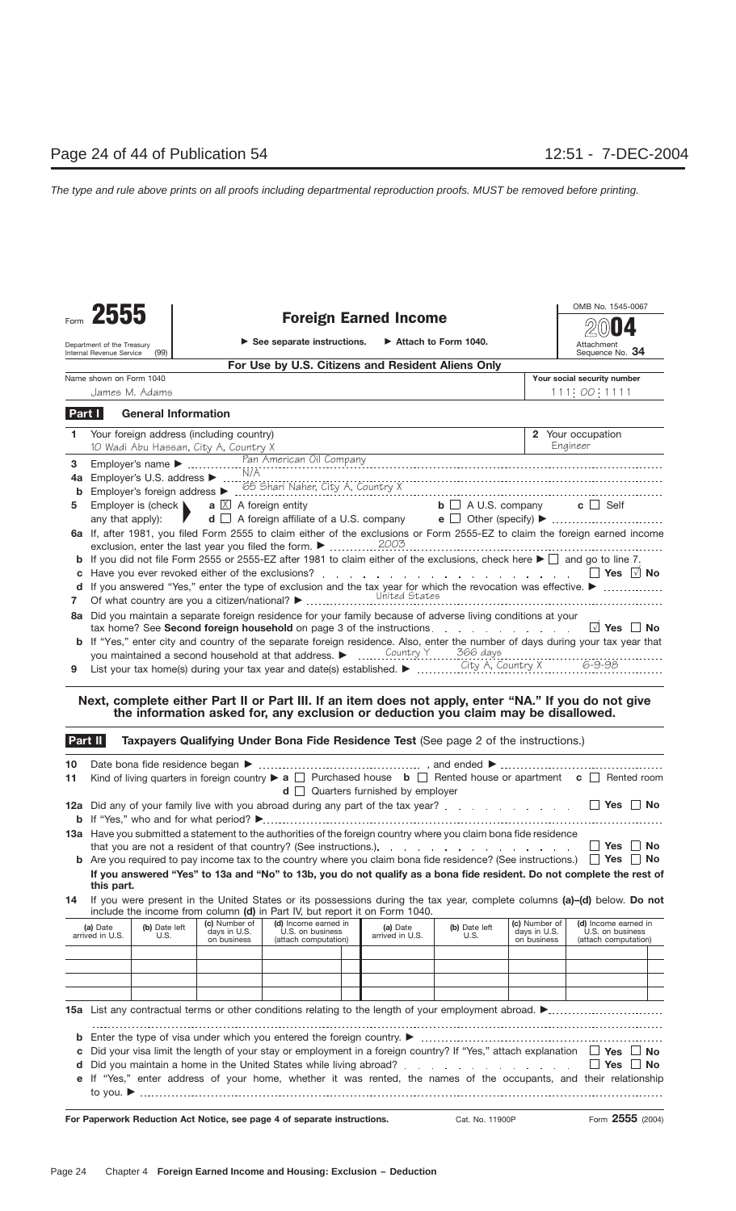| Form |                                                        |  |
|------|--------------------------------------------------------|--|
|      | Department of the Treasury<br>Internal Revenue Service |  |

### **Foreign Earned Income**

OMB No. 1545-0067 **2004**

▶ See separate instructions. ▶ Attach to Form 1040. **EXECUTE SECTED INSTRUCTIONS.** EXACTED FORM 1040.<br>(99) Sequence No. 34

|               |                                                                                                                                  |                                     |                                          | For Use by U.S. Citizens and Resident Aliens Only                                                                                                                                                                                                                                   |                                         |                       |                               |                                                                                                                                                                                                                                 |
|---------------|----------------------------------------------------------------------------------------------------------------------------------|-------------------------------------|------------------------------------------|-------------------------------------------------------------------------------------------------------------------------------------------------------------------------------------------------------------------------------------------------------------------------------------|-----------------------------------------|-----------------------|-------------------------------|---------------------------------------------------------------------------------------------------------------------------------------------------------------------------------------------------------------------------------|
|               | Name shown on Form 1040                                                                                                          |                                     |                                          |                                                                                                                                                                                                                                                                                     |                                         |                       |                               | Your social security number                                                                                                                                                                                                     |
|               |                                                                                                                                  | James M. Adams                      |                                          |                                                                                                                                                                                                                                                                                     |                                         |                       |                               | 111 00 1111                                                                                                                                                                                                                     |
| <b>Part I</b> |                                                                                                                                  | <b>General Information</b>          |                                          |                                                                                                                                                                                                                                                                                     |                                         |                       |                               |                                                                                                                                                                                                                                 |
| 1             |                                                                                                                                  |                                     | Your foreign address (including country) |                                                                                                                                                                                                                                                                                     |                                         |                       |                               | 2 Your occupation                                                                                                                                                                                                               |
|               |                                                                                                                                  |                                     | 10 Wadi Abu Hassan, City A, Country X    |                                                                                                                                                                                                                                                                                     |                                         |                       |                               | Engineer                                                                                                                                                                                                                        |
| 3             |                                                                                                                                  |                                     |                                          |                                                                                                                                                                                                                                                                                     |                                         |                       |                               |                                                                                                                                                                                                                                 |
| 4a            |                                                                                                                                  | Employer's U.S. address ▶           | ``N/A`                                   |                                                                                                                                                                                                                                                                                     |                                         |                       |                               |                                                                                                                                                                                                                                 |
| b             |                                                                                                                                  |                                     |                                          |                                                                                                                                                                                                                                                                                     |                                         |                       |                               |                                                                                                                                                                                                                                 |
| 5             | any that apply):                                                                                                                 | Employer is (check $\blacktriangle$ |                                          |                                                                                                                                                                                                                                                                                     |                                         |                       |                               |                                                                                                                                                                                                                                 |
|               |                                                                                                                                  |                                     |                                          | exclusion, enter the last year you filed the form. $\blacktriangleright$ 2003.                                                                                                                                                                                                      |                                         |                       |                               | 6a If, after 1981, you filed Form 2555 to claim either of the exclusions or Form 2555-EZ to claim the foreign earned income                                                                                                     |
|               | <b>b</b> If you did not file Form 2555 or 2555-EZ after 1981 to claim either of the exclusions, check here ► □ and go to line 7. |                                     |                                          |                                                                                                                                                                                                                                                                                     |                                         |                       |                               |                                                                                                                                                                                                                                 |
| c             |                                                                                                                                  |                                     |                                          |                                                                                                                                                                                                                                                                                     |                                         |                       |                               | $\Box$ Yes $\Box$ No                                                                                                                                                                                                            |
|               |                                                                                                                                  |                                     |                                          |                                                                                                                                                                                                                                                                                     |                                         |                       |                               | d If you answered "Yes," enter the type of exclusion and the tax year for which the revocation was effective. $\blacktriangleright$                                                                                             |
| 7             |                                                                                                                                  |                                     |                                          |                                                                                                                                                                                                                                                                                     |                                         |                       |                               |                                                                                                                                                                                                                                 |
|               |                                                                                                                                  |                                     |                                          | 8a Did you maintain a separate foreign residence for your family because of adverse living conditions at your                                                                                                                                                                       |                                         |                       |                               |                                                                                                                                                                                                                                 |
|               |                                                                                                                                  |                                     |                                          | tax home? See Second foreign household on page 3 of the instructions.                                                                                                                                                                                                               |                                         |                       |                               | $\Box$ Yes $\Box$ No                                                                                                                                                                                                            |
|               |                                                                                                                                  |                                     |                                          | you maintained a second household at that address. During Country Y 366 days                                                                                                                                                                                                        |                                         |                       |                               | <b>b</b> If "Yes," enter city and country of the separate foreign residence. Also, enter the number of days during your tax year that                                                                                           |
| 9             |                                                                                                                                  |                                     |                                          | List your tax home(s) during your tax year and date(s) established. ▶ City A, Country X Country X Country X                                                                                                                                                                         |                                         |                       |                               |                                                                                                                                                                                                                                 |
|               |                                                                                                                                  |                                     |                                          |                                                                                                                                                                                                                                                                                     |                                         |                       |                               |                                                                                                                                                                                                                                 |
| Part II       |                                                                                                                                  |                                     |                                          | Next, complete either Part II or Part III. If an item does not apply, enter "NA." If you do not give<br>the information asked for, any exclusion or deduction you claim may be disallowed.<br>Taxpayers Qualifying Under Bona Fide Residence Test (See page 2 of the instructions.) |                                         |                       |                               |                                                                                                                                                                                                                                 |
| 10            |                                                                                                                                  |                                     |                                          |                                                                                                                                                                                                                                                                                     |                                         |                       |                               |                                                                                                                                                                                                                                 |
| 11            |                                                                                                                                  |                                     |                                          |                                                                                                                                                                                                                                                                                     |                                         |                       |                               | Kind of living quarters in foreign country $\triangleright$ a $\square$ Purchased house $\triangleright$ $\square$ Rented house or apartment $\circ$ $\square$ Rented room                                                      |
|               |                                                                                                                                  |                                     |                                          |                                                                                                                                                                                                                                                                                     | $d \Box$ Quarters furnished by employer |                       |                               |                                                                                                                                                                                                                                 |
|               |                                                                                                                                  |                                     |                                          | 12a Did any of your family live with you abroad during any part of the tax year?                                                                                                                                                                                                    |                                         |                       |                               | $\Box$ Yes<br>∣No                                                                                                                                                                                                               |
|               |                                                                                                                                  |                                     |                                          |                                                                                                                                                                                                                                                                                     |                                         |                       |                               |                                                                                                                                                                                                                                 |
|               |                                                                                                                                  |                                     |                                          | 13a Have you submitted a statement to the authorities of the foreign country where you claim bona fide residence                                                                                                                                                                    |                                         |                       |                               | ∣ Yes I<br>No                                                                                                                                                                                                                   |
|               |                                                                                                                                  |                                     |                                          | <b>b</b> Are you required to pay income tax to the country where you claim bona fide residence? (See instructions.)                                                                                                                                                                 |                                         |                       |                               | $\Box$ Yes $\Box$<br><b>No</b>                                                                                                                                                                                                  |
|               | this part.                                                                                                                       |                                     |                                          |                                                                                                                                                                                                                                                                                     |                                         |                       |                               | If you answered "Yes" to 13a and "No" to 13b, you do not qualify as a bona fide resident. Do not complete the rest of                                                                                                           |
| 14            |                                                                                                                                  |                                     |                                          | include the income from column (d) in Part IV, but report it on Form 1040.                                                                                                                                                                                                          |                                         |                       |                               | If you were present in the United States or its possessions during the tax year, complete columns (a)-(d) below. Do not                                                                                                         |
|               | (a) Date<br>arrived in U.S.                                                                                                      | (b) Date left<br>U.S.               | (c) Number of<br>days in U.S.            | (d) Income earned in<br>U.S. on business                                                                                                                                                                                                                                            | (a) Date<br>arrived in U.S.             | (b) Date left<br>U.S. | (c) Number of<br>days in U.S. | (d) Income earned in<br>U.S. on business                                                                                                                                                                                        |
|               |                                                                                                                                  |                                     | on business                              | (attach computation)                                                                                                                                                                                                                                                                |                                         |                       | on business                   | (attach computation)                                                                                                                                                                                                            |
|               |                                                                                                                                  |                                     |                                          |                                                                                                                                                                                                                                                                                     |                                         |                       |                               |                                                                                                                                                                                                                                 |
|               |                                                                                                                                  |                                     |                                          |                                                                                                                                                                                                                                                                                     |                                         |                       |                               |                                                                                                                                                                                                                                 |
|               |                                                                                                                                  |                                     |                                          |                                                                                                                                                                                                                                                                                     |                                         |                       |                               |                                                                                                                                                                                                                                 |
|               |                                                                                                                                  |                                     |                                          |                                                                                                                                                                                                                                                                                     |                                         |                       |                               | 15a List any contractual terms or other conditions relating to the length of your employment abroad.<br>• Contractual terms or other conditions relating to the length of your employment abroad.<br>• Contractual terms of the |
|               |                                                                                                                                  |                                     |                                          |                                                                                                                                                                                                                                                                                     |                                         |                       |                               |                                                                                                                                                                                                                                 |
|               |                                                                                                                                  |                                     |                                          |                                                                                                                                                                                                                                                                                     |                                         |                       |                               |                                                                                                                                                                                                                                 |
| С             |                                                                                                                                  |                                     |                                          |                                                                                                                                                                                                                                                                                     |                                         |                       |                               | Did your visa limit the length of your stay or employment in a foreign country? If "Yes," attach explanation $\Box$ Yes $\Box$ No                                                                                               |
| d             |                                                                                                                                  |                                     |                                          | Did you maintain a home in the United States while living abroad?                                                                                                                                                                                                                   |                                         |                       |                               | $\Box$ Yes $\Box$<br>No.                                                                                                                                                                                                        |
|               |                                                                                                                                  |                                     |                                          |                                                                                                                                                                                                                                                                                     |                                         |                       |                               | e If "Yes," enter address of your home, whether it was rented, the names of the occupants, and their relationship                                                                                                               |
|               |                                                                                                                                  |                                     |                                          |                                                                                                                                                                                                                                                                                     |                                         |                       |                               |                                                                                                                                                                                                                                 |
|               |                                                                                                                                  |                                     |                                          | For Paperwork Reduction Act Notice, see page 4 of separate instructions.                                                                                                                                                                                                            |                                         | Cat. No. 11900P       |                               | Form 2555 (2004)                                                                                                                                                                                                                |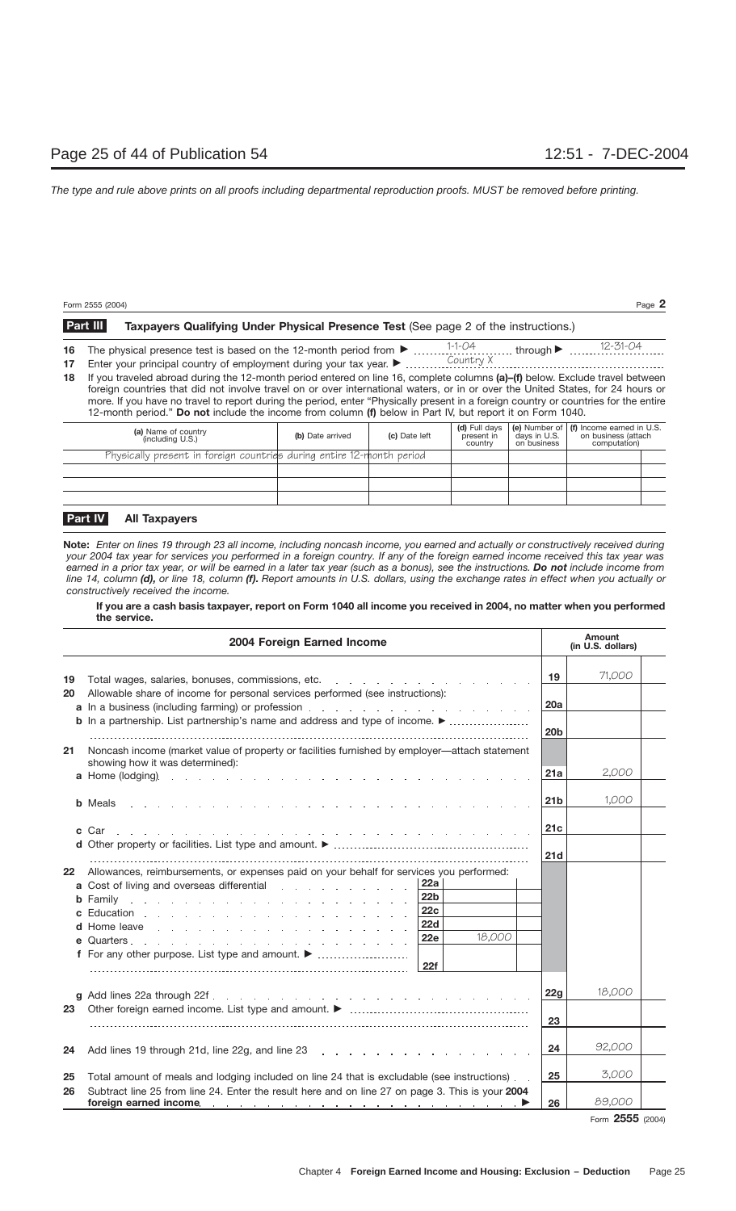### **Taxpayers Qualifying Under Physical Presence Test** (See page 2 of the instructions.) **Part III**

- 16 The physical presence test is based on the 12-month period from  $\blacktriangleright$  ........<sup>1-1-04</sup> through  $\blacktriangleright$ 12-31-04
- Country X **17** Enter your principal country of employment during your tax year.

If you traveled abroad during the 12-month period entered on line 16, complete columns **(a)–(f)** below. Exclude travel between foreign countries that did not involve travel on or over international waters, or in or over the United States, for 24 hours or more. If you have no travel to report during the period, enter "Physically present in a foreign country or countries for the entire 12-month period." **Do not** include the income from column **(f)** below in Part IV, but report it on Form 1040. **18**

| (a) Name of country<br>(including U.S.)                               | (b) Date arrived | (c) Date left | (d) Full days<br>present in<br>country | days in U.S.<br>on business | (e) Number of   (f) Income earned in U.S.<br>on business (attach<br>computation) |  |
|-----------------------------------------------------------------------|------------------|---------------|----------------------------------------|-----------------------------|----------------------------------------------------------------------------------|--|
| Physically present in foreign countries during entire 12-month period |                  |               |                                        |                             |                                                                                  |  |
|                                                                       |                  |               |                                        |                             |                                                                                  |  |
|                                                                       |                  |               |                                        |                             |                                                                                  |  |
|                                                                       |                  |               |                                        |                             |                                                                                  |  |
|                                                                       |                  |               |                                        |                             |                                                                                  |  |

### **All Taxpayers Part IV**

**Note:** *Enter on lines 19 through 23 all income, including noncash income, you earned and actually or constructively received during your 2004 tax year for services you performed in a foreign country. If any of the foreign earned income received this tax year was earned in a prior tax year, or will be earned in a later tax year (such as a bonus), see the instructions. Do not include income from line 14, column (d), or line 18, column (f). Report amounts in U.S. dollars, using the exchange rates in effect when you actually or constructively received the income.*

**If you are a cash basis taxpayer, report on Form 1040 all income you received in 2004, no matter when you performed the service.**

|          | 2004 Foreign Earned Income                                                                                                                                                                                                                                                                                                                                                                                                             | <b>Amount</b><br>(in U.S. dollars) |        |  |
|----------|----------------------------------------------------------------------------------------------------------------------------------------------------------------------------------------------------------------------------------------------------------------------------------------------------------------------------------------------------------------------------------------------------------------------------------------|------------------------------------|--------|--|
| 19<br>20 | Total wages, salaries, bonuses, commissions, etc.<br>Allowable share of income for personal services performed (see instructions):<br><b>b</b> In a partnership. List partnership's name and address and type of income. ▶                                                                                                                                                                                                             | 19<br>20a<br>20 <sub>b</sub>       | 71,000 |  |
| 21       | Noncash income (market value of property or facilities furnished by employer-attach statement<br>showing how it was determined):                                                                                                                                                                                                                                                                                                       | 21a                                | 2,000  |  |
|          | <b>b</b> Meals<br>and a company of the second company of the second company of the second company of the second company of the second company of the second company of the second company of the second company of the second company of the sec                                                                                                                                                                                       | 21 <sub>b</sub>                    | 1,000  |  |
|          | d Other property or facilities. List type and amount. Decreases contained and other property or facilities.                                                                                                                                                                                                                                                                                                                            | 21c<br>21d                         |        |  |
| 22       | Allowances, reimbursements, or expenses paid on your behalf for services you performed:<br>22a<br>a Cost of living and overseas differential<br>22 <sub>b</sub><br>22c<br>22d<br>d Home leave in the contract of the contract of the leave the contract of the contract of the contract of the contract of the contract of the contract of the contract of the contract of the contract of the contract of the<br>18,000<br>22e<br>22f |                                    |        |  |
| 23       |                                                                                                                                                                                                                                                                                                                                                                                                                                        | 22g<br>23                          | 18,000 |  |
| 24       | Add lines 19 through 21d, line 22g, and line 23 resources and the contract of the contract of the 22g, and line 23 resources and the contract of the contract of the contract of the contract of the contract of the contract                                                                                                                                                                                                          | 24                                 | 92,000 |  |
| 25       | Total amount of meals and lodging included on line 24 that is excludable (see instructions).                                                                                                                                                                                                                                                                                                                                           | 25                                 | 3,000  |  |
| 26       | Subtract line 25 from line 24. Enter the result here and on line 27 on page 3. This is your 2004<br>foreign earned income with the state of the state of the state of the state of the state of the state of the state of the state of the state of the state of the state of the state of the state of the state of the state of                                                                                                      | 26                                 | 89,000 |  |

Form **2555** (2004)

 $\sim$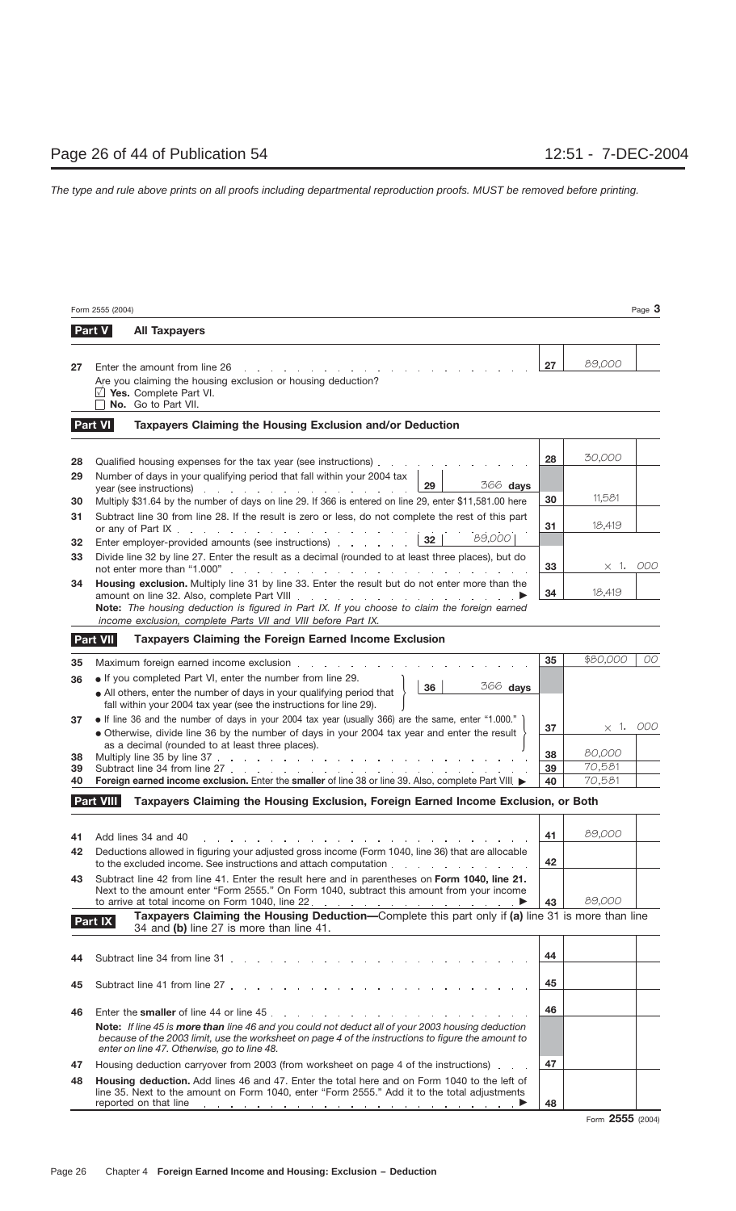|          | Part V    | <b>All Taxpayers</b>                                                                                                                                                                                                                                                                                                                                                                          |          |                  |     |
|----------|-----------|-----------------------------------------------------------------------------------------------------------------------------------------------------------------------------------------------------------------------------------------------------------------------------------------------------------------------------------------------------------------------------------------------|----------|------------------|-----|
|          |           |                                                                                                                                                                                                                                                                                                                                                                                               | 27       | 89,000           |     |
| 27       |           | Enter the amount from line 26<br>and the contract of the con-<br>Are you claiming the housing exclusion or housing deduction?<br>$\vee$ Yes. Complete Part VI.<br>No. Go to Part VII.                                                                                                                                                                                                         |          |                  |     |
|          | Part VI   | Taxpayers Claiming the Housing Exclusion and/or Deduction                                                                                                                                                                                                                                                                                                                                     |          |                  |     |
|          |           |                                                                                                                                                                                                                                                                                                                                                                                               |          | 30,000           |     |
| 28<br>29 |           | Qualified housing expenses for the tax year (see instructions)<br>Number of days in your qualifying period that fall within your 2004 tax<br>366 days<br>29<br>year (see instructions) extending the set of the set of the set of the set of the set of the set of the set of the set of the set of the set of the set of the set of the set of the set of the set of the set of the set of t | 28       |                  |     |
| 30       |           | Multiply \$31.64 by the number of days on line 29. If 366 is entered on line 29, enter \$11,581.00 here                                                                                                                                                                                                                                                                                       | 30       | 11,581           |     |
| 31       |           | Subtract line 30 from line 28. If the result is zero or less, do not complete the rest of this part<br>89,000<br>32 <sub>2</sub>                                                                                                                                                                                                                                                              | 31       | 18,419           |     |
| 32<br>33 |           | Enter employer-provided amounts (see instructions)<br>Divide line 32 by line 27. Enter the result as a decimal (rounded to at least three places), but do                                                                                                                                                                                                                                     | 33       | $\times$ 1.      | 000 |
| 34       |           | Housing exclusion. Multiply line 31 by line 33. Enter the result but do not enter more than the                                                                                                                                                                                                                                                                                               |          |                  |     |
|          |           | Note: The housing deduction is figured in Part IX. If you choose to claim the foreign earned<br>income exclusion, complete Parts VII and VIII before Part IX.                                                                                                                                                                                                                                 | 34       | 18,419           |     |
|          | Part VII  | <b>Taxpayers Claiming the Foreign Earned Income Exclusion</b>                                                                                                                                                                                                                                                                                                                                 |          |                  |     |
| 35       |           | Maximum foreign earned income exclusion.                                                                                                                                                                                                                                                                                                                                                      | 35       | \$80,000         | 00  |
| 36       |           | • If you completed Part VI, enter the number from line 29.<br>36<br>366 days<br>• All others, enter the number of days in your qualifying period that<br>fall within your 2004 tax year (see the instructions for line 29).                                                                                                                                                                   |          |                  |     |
| 37       |           | • If line 36 and the number of days in your 2004 tax year (usually 366) are the same, enter "1.000."<br>· Otherwise, divide line 36 by the number of days in your 2004 tax year and enter the result<br>as a decimal (rounded to at least three places).                                                                                                                                      | 37       | $\times$ 1.      | 000 |
| 38<br>39 |           |                                                                                                                                                                                                                                                                                                                                                                                               | 38<br>39 | 80,000<br>70,581 |     |
| 40       |           | Foreign earned income exclusion. Enter the smaller of line 38 or line 39. Also, complete Part VIII.                                                                                                                                                                                                                                                                                           | 40       | 70,581           |     |
|          | Part VIII | Taxpayers Claiming the Housing Exclusion, Foreign Earned Income Exclusion, or Both                                                                                                                                                                                                                                                                                                            |          |                  |     |
| 41       |           | Add lines 34 and 40                                                                                                                                                                                                                                                                                                                                                                           | 41       | 89,000           |     |
| 42       |           | Deductions allowed in figuring your adjusted gross income (Form 1040, line 36) that are allocable<br>to the excluded income. See instructions and attach computation entering to the excluded income. See instructions and attach computation                                                                                                                                                 | 42       |                  |     |
| 43       |           | Subtract line 42 from line 41. Enter the result here and in parentheses on Form 1040, line 21.<br>Next to the amount enter "Form 2555." On Form 1040, subtract this amount from your income                                                                                                                                                                                                   | 43       | 89,000           |     |
|          | Part IX   | Taxpayers Claiming the Housing Deduction-Complete this part only if (a) line 31 is more than line<br>34 and (b) line 27 is more than line 41.                                                                                                                                                                                                                                                 |          |                  |     |
| 44       |           |                                                                                                                                                                                                                                                                                                                                                                                               | 44       |                  |     |
| 45       |           |                                                                                                                                                                                                                                                                                                                                                                                               | 45       |                  |     |
| 46       |           | Enter the <b>smaller</b> of line 44 or line 45, and a series and a series of the smaller of line 44 or line 45, and a series and a series of the series of the series of the series of the series of the series of the series of th                                                                                                                                                           | 46       |                  |     |
|          |           | Note: If line 45 is more than line 46 and you could not deduct all of your 2003 housing deduction<br>because of the 2003 limit, use the worksheet on page 4 of the instructions to figure the amount to<br>enter on line 47. Otherwise, go to line 48.                                                                                                                                        |          |                  |     |
| 47       |           | Housing deduction carryover from 2003 (from worksheet on page 4 of the instructions).                                                                                                                                                                                                                                                                                                         | 47       |                  |     |
| 48       |           | <b>Housing deduction.</b> Add lines 46 and 47. Enter the total here and on Form 1040 to the left of<br>line 35. Next to the amount on Form 1040, enter "Form 2555." Add it to the total adjustments<br>reported on that line<br>the contract of the contract of the contract of the contract of the contract of the contract of                                                               | 48       |                  |     |
|          |           |                                                                                                                                                                                                                                                                                                                                                                                               |          |                  |     |

Form **2555** (2004)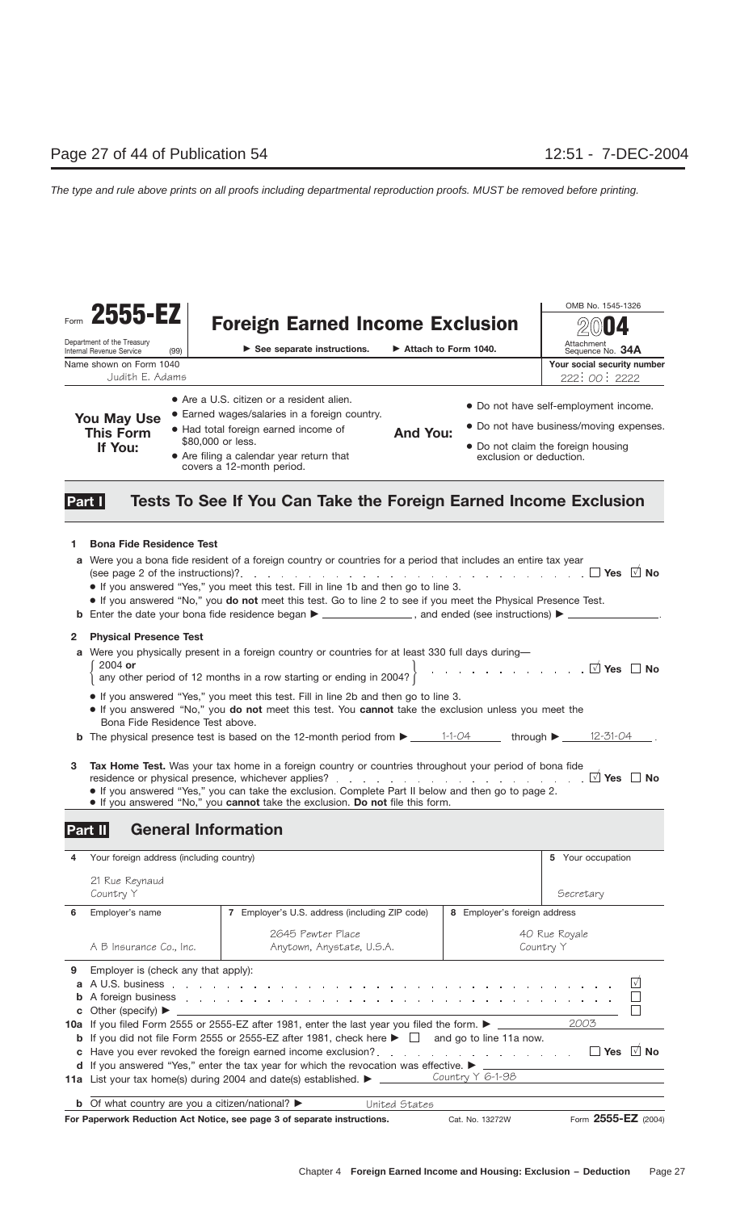|   | 2555-EZ                                                        |                                                                                                                                                                                                                                                                                                                                                                                                                                                                   |                      |                         | OMB No. 1545-1326                                                                                                      |
|---|----------------------------------------------------------------|-------------------------------------------------------------------------------------------------------------------------------------------------------------------------------------------------------------------------------------------------------------------------------------------------------------------------------------------------------------------------------------------------------------------------------------------------------------------|----------------------|-------------------------|------------------------------------------------------------------------------------------------------------------------|
|   |                                                                | <b>Foreign Earned Income Exclusion</b>                                                                                                                                                                                                                                                                                                                                                                                                                            |                      |                         |                                                                                                                        |
|   | Department of the Treasury<br>(99)<br>Internal Revenue Service | $\triangleright$ See separate instructions.                                                                                                                                                                                                                                                                                                                                                                                                                       | Attach to Form 1040. |                         | Attachment<br>Sequence No. 34A                                                                                         |
|   | Name shown on Form 1040                                        |                                                                                                                                                                                                                                                                                                                                                                                                                                                                   |                      |                         | Your social security number                                                                                            |
|   | Judith E. Adams                                                |                                                                                                                                                                                                                                                                                                                                                                                                                                                                   |                      |                         | 222 00 2222                                                                                                            |
|   | <b>You May Use</b><br><b>This Form</b><br>If You:              | • Are a U.S. citizen or a resident alien.<br>• Earned wages/salaries in a foreign country.<br>• Had total foreign earned income of<br>\$80,000 or less.<br>• Are filing a calendar year return that<br>covers a 12-month period.                                                                                                                                                                                                                                  | <b>And You:</b>      | exclusion or deduction. | • Do not have self-employment income.<br>• Do not have business/moving expenses.<br>• Do not claim the foreign housing |
|   | <b>Part I</b>                                                  | Tests To See If You Can Take the Foreign Earned Income Exclusion                                                                                                                                                                                                                                                                                                                                                                                                  |                      |                         |                                                                                                                        |
| 1 | <b>Bona Fide Residence Test</b>                                | Were you a bona fide resident of a foreign country or countries for a period that includes an entire tax year<br>. If you answered "Yes," you meet this test. Fill in line 1b and then go to line 3.<br>. If you answered "No," you do not meet this test. Go to line 2 to see if you meet the Physical Presence Test.<br><b>b</b> Enter the date your bona fide residence began $\triangleright$ ________________, and ended (see instructions) $\triangleright$ |                      |                         | . $\Box$ Yes $\Box$ No                                                                                                 |
| 2 | <b>Physical Presence Test</b><br>2004 or                       | a Were you physically present in a foreign country or countries for at least 330 full days during-<br>any other period of 12 months in a row starting or ending in 2004?                                                                                                                                                                                                                                                                                          |                      |                         | $\ldots$ $\blacksquare$ Yes $\blacksquare$ No                                                                          |
|   | Bona Fide Residence Test above.                                | • If you answered "Yes," you meet this test. Fill in line 2b and then go to line 3.<br>If you answered "No," you do not meet this test. You cannot take the exclusion unless you meet the                                                                                                                                                                                                                                                                         |                      |                         |                                                                                                                        |
|   |                                                                |                                                                                                                                                                                                                                                                                                                                                                                                                                                                   |                      |                         |                                                                                                                        |
| 3 |                                                                | Tax Home Test. Was your tax home in a foreign country or countries throughout your period of bona fide<br>. If you answered "Yes," you can take the exclusion. Complete Part II below and then go to page 2.<br>• If you answered "No," you cannot take the exclusion. Do not file this form.                                                                                                                                                                     |                      |                         | $\Box$ Yes $\Box$ No                                                                                                   |
|   | Part II                                                        | <b>General Information</b>                                                                                                                                                                                                                                                                                                                                                                                                                                        |                      |                         |                                                                                                                        |

| 4 |                                                                                                                                          | Your foreign address (including country)                                                                                                                                                                                      |  |   |  |  |  |
|---|------------------------------------------------------------------------------------------------------------------------------------------|-------------------------------------------------------------------------------------------------------------------------------------------------------------------------------------------------------------------------------|--|---|--|--|--|
|   | 21 Rue Reynaud<br>Country Y                                                                                                              |                                                                                                                                                                                                                               |  |   |  |  |  |
| 6 | Employer's name                                                                                                                          | Employer's foreign address                                                                                                                                                                                                    |  |   |  |  |  |
|   | 2645 Pewter Place<br>40 Rue Royale<br>Anytown, Anystate, U.S.A.<br>A B Insurance Co., Inc.<br>Country Y                                  |                                                                                                                                                                                                                               |  |   |  |  |  |
| 9 | Employer is (check any that apply):                                                                                                      |                                                                                                                                                                                                                               |  |   |  |  |  |
|   |                                                                                                                                          |                                                                                                                                                                                                                               |  | V |  |  |  |
|   |                                                                                                                                          | A foreign business enterprise to the contract of the contract of the contract of the contract of the contract of the contract of the contract of the contract of the contract of the contract of the contract of the contract |  |   |  |  |  |
|   | Other (specify) $\blacktriangleright$                                                                                                    |                                                                                                                                                                                                                               |  |   |  |  |  |
|   | 2003<br><b>10a</b> If you filed Form 2555 or 2555-EZ after 1981, enter the last year you filed the form. $\blacktriangleright$ _________ |                                                                                                                                                                                                                               |  |   |  |  |  |
|   | <b>b</b> If you did not file Form 2555 or 2555-EZ after 1981, check here $\blacktriangleright \Box$ and go to line 11a now.              |                                                                                                                                                                                                                               |  |   |  |  |  |
|   | $\Box$ Yes $\Box$ No                                                                                                                     |                                                                                                                                                                                                                               |  |   |  |  |  |
|   |                                                                                                                                          |                                                                                                                                                                                                                               |  |   |  |  |  |
|   | Country Y 6-1-98<br><b>11a</b> List your tax home(s) during 2004 and date(s) established. $\blacktriangleright$ _________                |                                                                                                                                                                                                                               |  |   |  |  |  |
|   | <b>b</b> Of what country are you a citizen/national? $\triangleright$<br>United States                                                   |                                                                                                                                                                                                                               |  |   |  |  |  |

**For Paperwork Reduction Act Notice, see page 3 of separate instructions.** Cat. No. 13272W Form 2555-EZ (2004)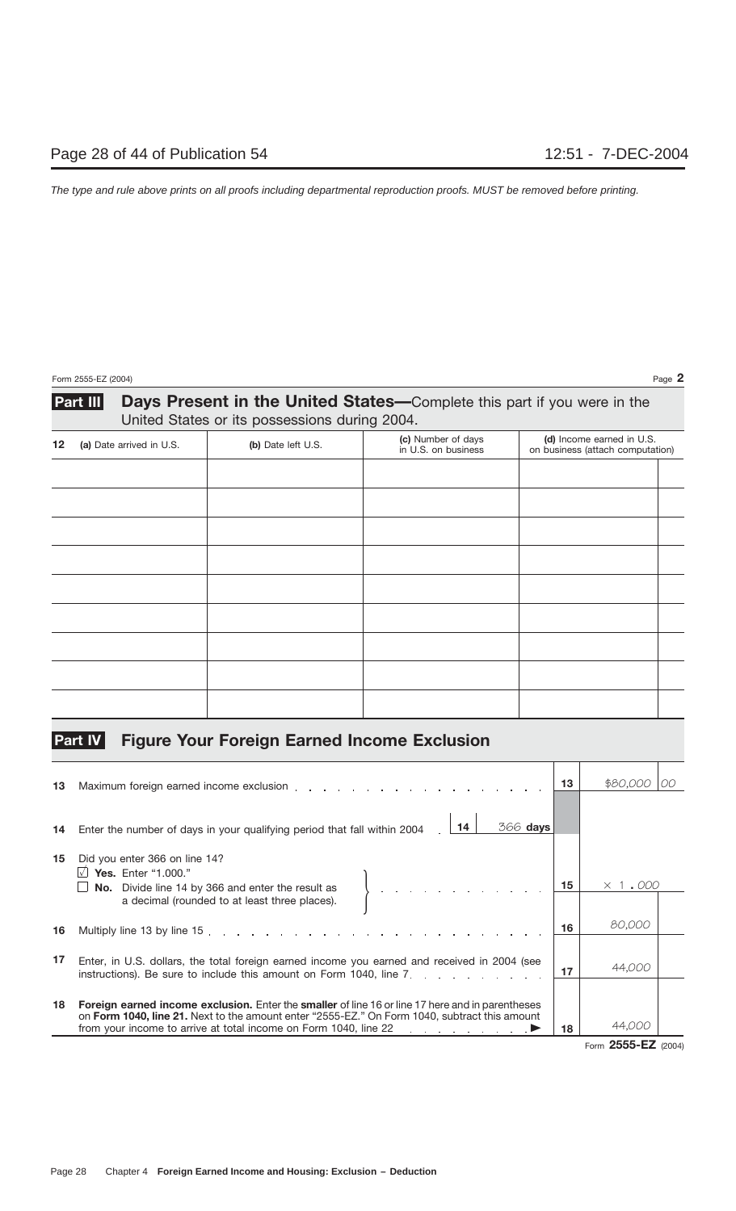# **Part III (d)** Income earned in U.S. on business (attach computation) **(c)** Number of days **(a)** Date arrived in U.S. **(b)** Date left U.S. **(c)** Number of days **(d)** Date left U.S. **(d)** in U.S. on business **Days Present in the United States—**Complete this part if you were in the United States or its possessions during 2004. **12**

# **Part IV Figure Your Foreign Earned Income Exclusion**

| 13  |                                                                                                                                                                                                                                                                                                                      | 13 | \$80,000       |  |
|-----|----------------------------------------------------------------------------------------------------------------------------------------------------------------------------------------------------------------------------------------------------------------------------------------------------------------------|----|----------------|--|
| 14. | 366 days<br> 14 <br>Enter the number of days in your qualifying period that fall within 2004                                                                                                                                                                                                                         |    |                |  |
| 15  | Did you enter 366 on line 14?<br>$\vee$ Yes. Enter "1.000."<br>$\Big\}$<br><b>No.</b> Divide line 14 by 366 and enter the result as<br>a decimal (rounded to at least three places).                                                                                                                                 | 15 | $\times$ 1.000 |  |
| 16  |                                                                                                                                                                                                                                                                                                                      | 16 | 80,000         |  |
| 17  | Enter, in U.S. dollars, the total foreign earned income you earned and received in 2004 (see<br>instructions). Be sure to include this amount on Form 1040, line 7.                                                                                                                                                  | 17 | 44,000         |  |
| 18  | <b>Foreign earned income exclusion.</b> Enter the <b>smaller</b> of line 16 or line 17 here and in parentheses<br>on Form 1040, line 21. Next to the amount enter "2555-EZ." On Form 1040, subtract this amount<br>from your income to arrive at total income on Form 1040, line 22<br>a se de la caractería de la D | 18 |                |  |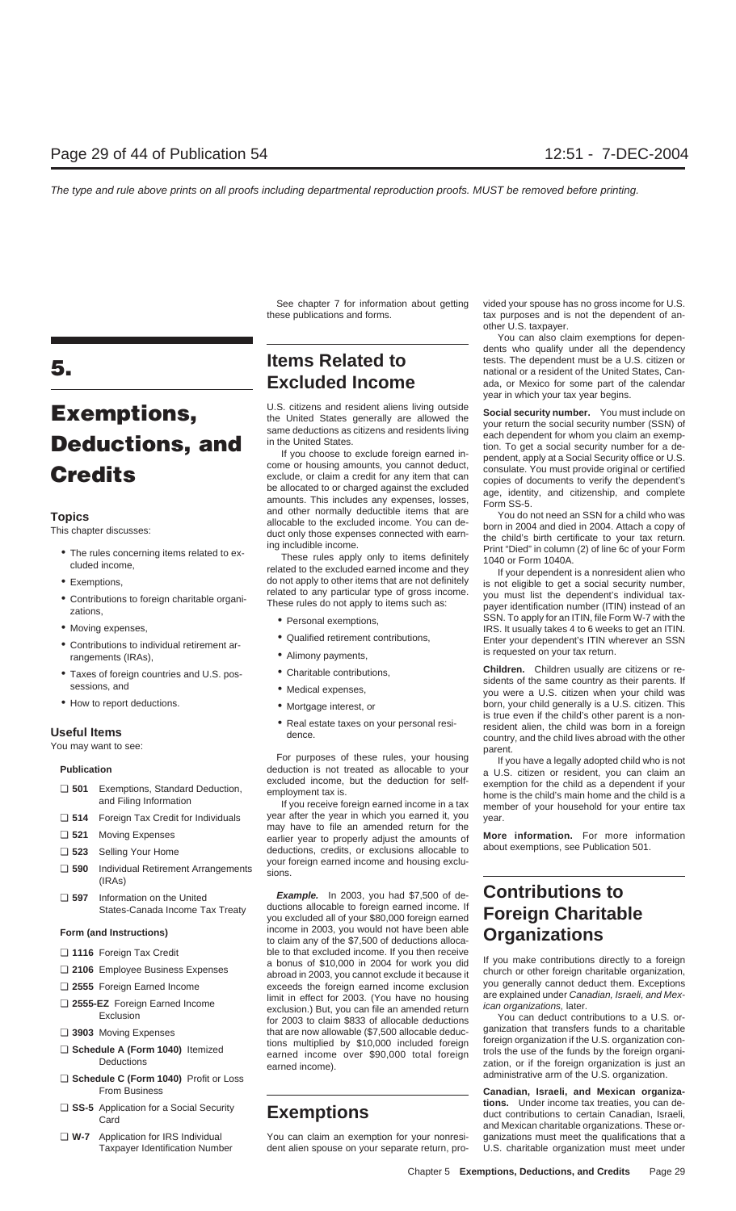- 
- 
- 
- 
- 
- 
- 

- 
- 
- 
- 
- (IRAs)
- 

- 
- 
- 
- 
- 
- 
- 
- 
- 

and other normally deductible items that are<br>allocable to the excluded income. You can de-<br>This shart are **Topics** You do not need an SSN for a child who was

- 
- 
- 
- 
- 
- 

and Filling information<br>
If you receive foreign earned income in a tax member of your household for your entire tax <br>
may have to file an amended return for the □ 521 Moving Expenses earlier year to properly adjust the amounts of **More information.** For more information<br>□ 523 Selling Your Home deductions, credits, or exclusions allocable to about exemptions, see Publication 501. your foreign earned income and housing exclu- ❏ **<sup>590</sup>** Individual Retirement Arrangements sions.

❏ **<sup>597</sup>** Information on the United **Example.** In 2003, you had \$7,500 of de- **Contributions to** States-Canada Income Tax Treaty<br>you excluded all of your \$80,000 foreign earned<br>all Instructions) income in 2003, you would not have been able Form (and Instructions) **Form (and Instructions)** income in 2003, you would not have been able **Organizations** <table>\n<tbody>\n<tr>\n<td>□ 1116 Foreign Tax Credit</td>\n<td>2106 Employee Business Express Express in the image.</td>\n</tr>\n<tr>\n<td>□ 2106 Employee Business Express Express in the image.</td>\n<td>2106</td>\n</tr>\n<tr>\n<td>□ 2555 Foreign Example: The image is shown in the image.</td>\n</tr>\n<tr>\n<td>□ 2555</td>\n<td>255</td>\n</tr>\n<tr>\n<td>□ 2555</td>\n<td>255</td>\n</tr>\n<tr>\n<td>□ 2556</td>\n<td>255</td>\n</tr>\n<tr>\n<td>□ 2556</td>\n<td>255</td>\n</tr>\

See chapter 7 for information about getting vided your spouse has no gross income for U.S. other U.S. taxpayer.

You can also claim exemptions for dependents who qualify under all the dependency **thems Related to**<br>**Items Related to**<br>**Items Related to**<br>**Excluded Income** ada, or Mexico for some part of the calendar ada, or Mexico for some part of the calendar year in which your tax year begins.

**Exemptions,**<br> **Exemptions,**<br> **Deductions,**<br> **Exercise the United States generally are allowed the**<br>
In the United States and residents living<br>
in the United States and residents living<br>
in the United States and residents

This chapter discusses:<br>
This chapter discusses:<br>
The rules concerning items related to ex-<br>
excluded income.<br>
The rules concerning items related to ex-<br>
excluded income.<br>
These rules apply only to items definitely<br>
relate

• Exemptions,<br>
• Contributions to foreign charitable organi-<br>
• Contributions to foreign charitable organi-<br>
• Contributions to foreign charitable organi-<br>
• Moving expenses,<br>
• Contributions to individual retirement ar-<br>

• Taxes of foreign countries and U.S. pos-<br>Charitable contributions, **Children.** Children usually are citizens or re-<br>sidents of the same country as their parents. If sidents of the same country as their parents. If<br>• Medical expenses, when you were a U.S. citizen when your child was<br>• Mortgage interest or born, your child generally is a U.S. citizen. This • Mortgage interest, or born, your child generally is a U.S. citizen. This born, your child generally is a U.S. citizen. This is true even if the child's other parent is a non-

Useful Items<br>
Nou may want to see:<br>
Nou may want to see:<br>
Nou may want to see:<br>
For purposes of these rules, your housing<br>
For purposes of these rules, your housing<br>
Exemptions, Standard Deduction,<br>
a U.S. citizen or resi

<table>\n<tbody>\n<tr>\n<td>■</td>\n<td>3903</td>\n<td>Moving Express</td>\n<td>that are now allowable (\$7,500 allowable deduc-</td>\n<td>ganization that transfers funds to a charitable<br/>tions multiplied by \$10,000 included foreign organization if the U.S. organization con-</td>\n</tr>\n<tr>\n<td>■</td>\n<td>Scheduling</td>\n<td>1040</td>\n<td>Itemized<br/>earmed income over \$90,000 total foreign<br/>earmed income).</td>\n<td>1040</td>\n<td>1040</td>\n<td>1040</td>\n<td>1041</td>\n</tr>\n<tr>\n<td>■</td>\n<td>Scheduling</td>\n<td>1042</td>\

From Business **Canadian, Israeli, and Mexican organiza-**<p>• <b>CP</b> SSS-5 Application for a Social Security <b>EXemptions</b></p>\n<p>• <b>QALC</b> Card</p>\n<p>• <b>QALC</b> Card</p>\n<p>• <b>QALC</b> Card</p>\n<p>• <b>QALC</b> Card</p>\n<p>• <b>QALC</b> Card</p>\n<p>• <b>QALC</b> Card</p>\n<p>• <b>QALC</b> Card</p>\n<p>• <b>QALC</b> Card</p>\n<p>• <b>QALC</b> Card</p>\n<p>• <b>QALC</b> Card</p>\n<p>• <b>QALC</ ❏ **W-7** Application for IRS Individual You can claim an exemption for your nonresi- ganizations must meet the qualifications that a Taxpayer Identification Number dent alien spouse on your separate return, pro- U.S. charitable organization must meet under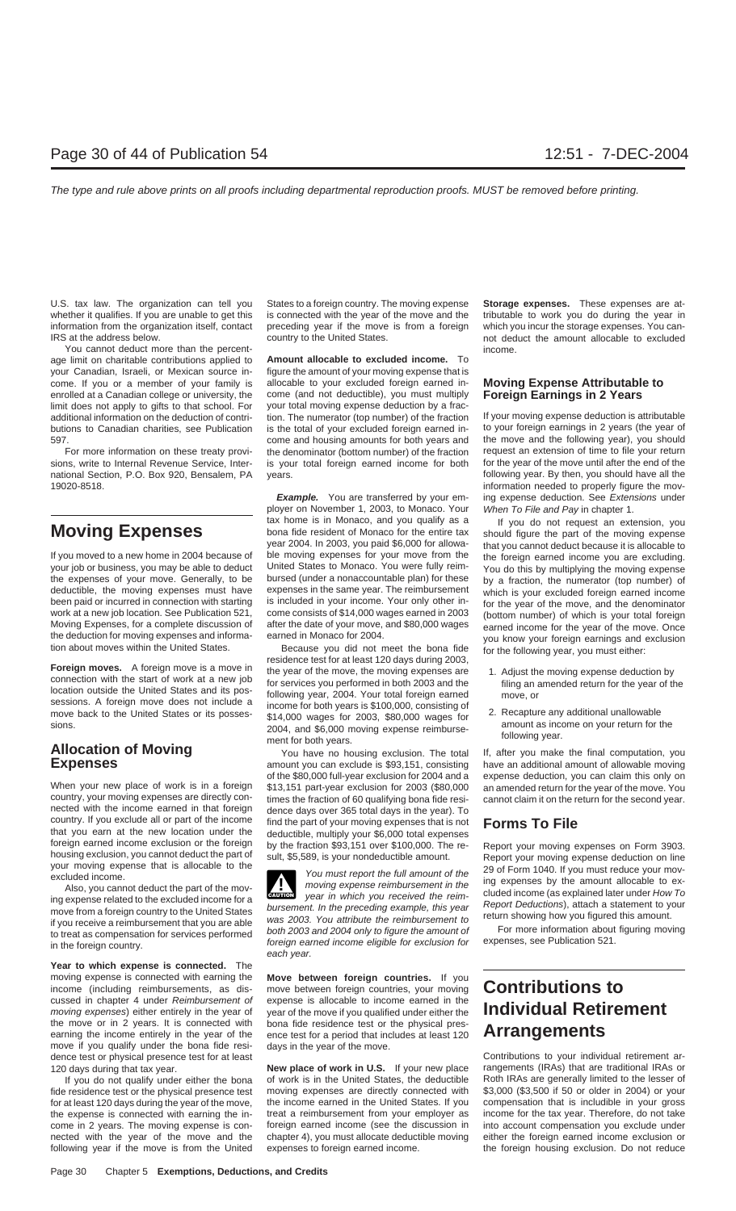U.S. tax law. The organization can tell you States to a foreign country. The moving expense **Storage expenses.** These expenses are atwhether it qualifies. If you are unable to get this is connected with the year of the move and the tributable to work you do during the year in information from the organization itself, contact preceding year if the move is from a foreign which you incur the storage expenses. You can-IRS at the address below. The Country to the United States. The Country to the United States. The country to the United States.

You cannot deduct more than the percent-<br>I limit on charitable contributions applied to **Amount allocable to excluded income.** To age limit on charitable contributions applied to your Canadian, Israeli, or Mexican source in- figure the amount of your moving expense that is limit does not apply to gifts to that school. For butions to Canadian charities, see Publication is the total of your excluded foreign earned in-

sions, write to Internal Revenue Service, Inter- is your total foreign earned income for both national Section, P.O. Box 920, Bensalem, PA years.<br>19020-8518<br>19020-8518 information needed to properly figure the mov-

country, your moving expenses are directly con-<br>nected with the income earned in that foreign dence days over 365 total days in the year). To<br>country. If you exclude all or part of the income find the part of your moving country. If you exclude all or part of the income<br>that you earn at the new location under the<br>foreign earned income exclusion or the foreign<br>foreign earned income exclusion or the foreign<br>housing exclusion, you cannot dedu

**Year to which expense is connected.** The moving expense is connected with earning the **Move between foreign countries.** If you income (including reimbursements, as dis-<br>cussed in chapter 4 under *Reimbursement of* expense is allocable to income earned in the cussed in chapter 4 under Reimbursement of moving expenses) either entirely in the year of year of the move if you qualified under either the **Individual Retirement**<br>the move or in 2 years. It is connected with bona fide residence test or the physical presearning the income entirely in the year of the ence test for a period that includes at least 120 **Arrangements** move if you qualify under the bona fide resi- days in the year of the move. dence test or physical presence test for at least<br>120 days during that tax year.<br>120 days during that tax year.<br>120 days during that tax year. 120 days during that tax year. **New place of work in U.S.** If your new place

fide residence test or the physical presence test moving expenses are directly connected with following year if the move is from the United expenses to foreign earned income. The foreign housing exclusion. Do not reduce

come. If you or a member of your family is allocable to your excluded foreign earned in- **Moving Expense Attributable to** enrolled at a Canadian college or university, the come (and not deductible), you must multiply **Foreign Earnings in 2 Years**<br>limit does not apply to gifts to that school. For your total moving expense deduction by a fracadditional information on the deduction of contri-<br>
tion. The numerator (top number) of the fraction is the total of your excluded foreign earned in-<br>
to your foreign earnings in 2 years (the year of 597. come and housing amounts for both years and the move and the following year), you should<br>For more information on these treaty provi- the denominator (bottom number) of the fraction request an extension of time to file For more information on these treaty provi-<br>The denominator (bottom number) of the fraction of the fraction care income for the vears of the move until after the end of the<br>The version of the vear of the work of the work o

ployer on November 1, 2003, to Monaco. Your *When To File and Pay* in chapter 1.<br>tax home is in Monaco, and you qualify as a series the you do not request an extr tax home is in Monaco, and you qualify as a<br>bona fide resident of Monaco for the entire tax<br>year 2004. In 2003, you paid \$6,000 for allowa-<br>If you moved to a new home in 2004 because of ble moving expenses for your move fr If you moved to a new home in 2004 because of ble moving expenses for your move from the the foreign earned income you are excluding.<br>Vour job or business, you may be able to deduct United States to Monaco. You were fully your job or business, you may be able to deduct United States to Monaco. You were fully reim-<br>the expenses of your move. Generally, to be bursed (under a nonaccountable plan) for these by a fraction the numerator (fon numb bursed (under a nonaccountable plan) for these by a fraction, the numerator (top number) of expenses in the same year. The reimbursement which is your excluded foreign earned income. deductible, the moving expenses must have expenses in the same year. The reimbursement which is your excluded foreign earned income<br>been paid or incurred in connection with starting is included in your income. Your only ot

Foreign moves. A foreign move is a move in the year of the move, the moving expenses are<br>connection with the start of work at a new job<br>location outside the United States and its pos-<br>sessions. A foreign move does not incl

**Expenses** and the \$80,000 fave no housing exclusion. The total if, after you make the final computation, you<br>amount you can exclude is \$93,151, consisting have an additional amount of allowable moving<br>of the \$80,000 fullof the \$80,000 full-year exclusion for 2004 and a When your new place of work is in a foreign \$13,151 part-year exclusion for 2003 (\$80,000 an amended return for the year of the move. You country, your moving expenses are directly con-<br>country, your moving expenses are di

**!** ing expense related to the excluded income for a<br>move from a foreign country to the United States<br>if you receive a reimbursement that you are able<br>to treat as compensation for services performed<br>in the preceding example, t

bona fide residence test or the physical pres-

If you do not qualify under either the bona of work is in the United States, the deductible Roth IRAs are generally limited to the lesser of residence test or the physical presence test moving expenses are directly connect for at least 120 days during the year of the move, the income earned in the United States. If you compensation that is includible in your gross the expense is connected with earning the in- treat a reimbursement from your employer as income for the tax year. Therefore, do not take come in 2 years. The moving expense is con- foreign earned income (see the discussion in into account compensation you exclude under nected with the year of the move and the chapter 4), you must allocate deductible moving either the foreign earned income exclusion or

information needed to properly figure the mov-**Example.** You are transferred by your em- ing expense deduction. See Extensions under

been paid or incurred in connection with starting is included in your income. Your only other in-<br>work at a new job location. See Publication 521, come consists of \$14,000 wages earned in 2003 (bottom number) of which is y

- 
-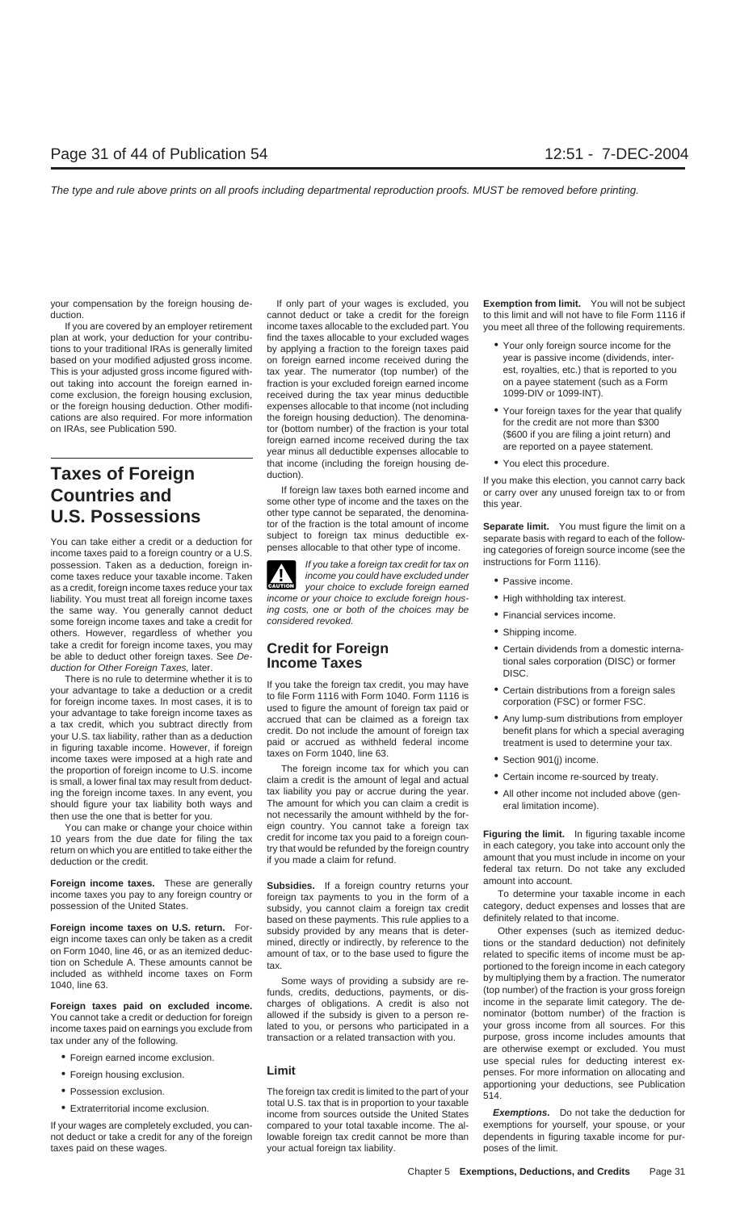duction. cannot deduct or take a credit for the foreign to this limit and will not have to file Form 1116 if

tions to your traditional IRAs is generally limited by applying a fraction to the foreign taxes paid Your only foreign source income for the behavior of the foreign taxes paid behavior of the sead on your modified adjusted based on your modified adjusted gross income. On foreign earned income received during the year is passive income (dividends, inter-<br>This is your adjusted gross income figured with-<br>tax year. The numerator (top number) of This is your adjusted gross income figured with- tax year. The numerator (top number) of the out taking into account the foreign earned in-<br>come exclusion, the foreign housing exclusion, received during the tax year minus deductible 1099-DIV or 1099-INT). come exclusion, the foreign housing exclusion, received during the tax year minus deductible

come taxes reduce your taxable income. Taken income your choice to exclude foreign earned<br>as a credit, foreign income taxes reduce your tax income or your choice to exclude foreign earned<br>iability. You must treat all forei liability. You must treat all foreign income taxes income or your choice to exclude foreign housthe same way. You generally cannot deduct ing costs, one or both of the choices may be • Financial services income.<br>some foreign income taxes and take a credit for considered revoked. others. However, regardless of whether you example and the state of the shipping income. take a credit for foreign income taxes, you may **Credit for Foreign** example able to deduct other foreign taxes. See De-<br>be able to deduct other foreign taxes. See De-**Income Taxes** from the tional sales corporation (DISC)

There is no rule to determine whether it is to<br>
your advantage to take a deduction or a credit<br>
for foreign income taxes. In most cases, it is to<br>
your advantage to take foreign income taxes as<br>
a tax credit, which you sub the proportion of foreign income to U.S. income<br>is small, a lower final tax may result from deduct-<br>in a the foreign income taxes. In any event, you tax liability you pay or accrue during the year.<br>in a the foreign income ing the foreign income taxes. In any event, you tax liability you pay or accrue during the year.  $\bullet$  All other income not included above (genshould figure your tax liability both ways and The amount for which you can claim a credit is eral limitation income).

**Foreign income taxes.** These are generally **Subsidies.** If a foreign country returns your amount into account.<br>
income taxes you pay to any foreign country of foreign tax payments to you in the form of a To determine your income taxes you pay to any foreign country or foreign tax payments to you in the form of a To determine your taxable income in each possession of the United States.

- 
- 
- 
- 

your compensation by the foreign housing de- If only part of your wages is excluded, you **Exemption from limit.** You will not be subject If you are covered by an employer retirement income taxes allocable to the excluded part. You you meet all three of the following requirements.<br>plan at work, your deduction for your contribu- find the taxes allocable to yo or the foreign housing deduction. Other modifi-<br>
cations are also required. For more information<br>
on IRAs, see Publication 590.<br>
on IRAs, see Publication 590.<br>
on IRAs, see Publication 590.<br>
on the credit are not more than Taxes of Foreign **Find that income (including the foreign housing de-** • You elect this procedure.<br>
If you make this election, you cannot carry back<br> **Countries and** If foreign law taxes both earned income and or carry ove

**Countries and** If foreign law taxes both earned income and or carry over any unused foreign tax to or from some other type of income and the taxes on the this year. Some other type of income and the taxes on the this year.<br>U.S. POSSESSIONS other type cannot be separated, the denomina-<br>tor of the fraction is the total amount of income Separate limit. You must figure the limit on a

**!**

then use the one that is better for you. not necessarily the amount withheld by the for-<br>You can make or change your choice within eign country. You cannot take a foreign tax

subsidy, you cannot claim a foreign tax credit category, deduct expenses and lossed on these payments. This rule applies to a based on these payments. This rule applies to a

• Possession exclusion. The foreign tax credit is limited to the part of your apportioning your deductions, see Publication<br>• Extraterritorial income exclusion. total U.S. tax that is in proportion to your taxable<br>• Extrat If your wages are completely excluded, you can- compared to your total taxable income. The al- exemptions for yourself, your spouse, or your not deduct or take a credit for any of the foreign lowable foreign tax credit cannot be more than dependents in figuring taxable income for purtaxes paid on these wages. your actual foreign tax liability. poses of the limit.

- 
- 
- 

You can take either a credit or a deduction for subject to foreign tax minus deductible ex-<br>income taxes paid to a foreign country or a U.S.<br>possession. Taken as a deduction, foreign in-<br>possession. Taken as a deduction, f

- 
- 
- 
- 
- 
- 
- 
- 
- 
- 

You can make or change your choice within<br>10 years from the due date for filing the tax credit for income tax you paid to a foreign coun-<br>10 years from the due date for filing the tax credit for income tax you paid to a fo

Foreign income taxes on U.S. return. For-<br>eign income taxes can only be taken as a credit mined, directly or indirectly, by reference to the texpenses (such as itemized deduc-<br>on Form 1040, line 46, or as an itemized deduc Foreign taxes paid on excluded income. Charges of obligations. A credit is also not income in the separate limit category. The de-<br>
You cannot take a credit or deduction for foreign allowed if the subsidy is given to a per • Foreign housing exclusion. **Limit** penses. For more information on allocating and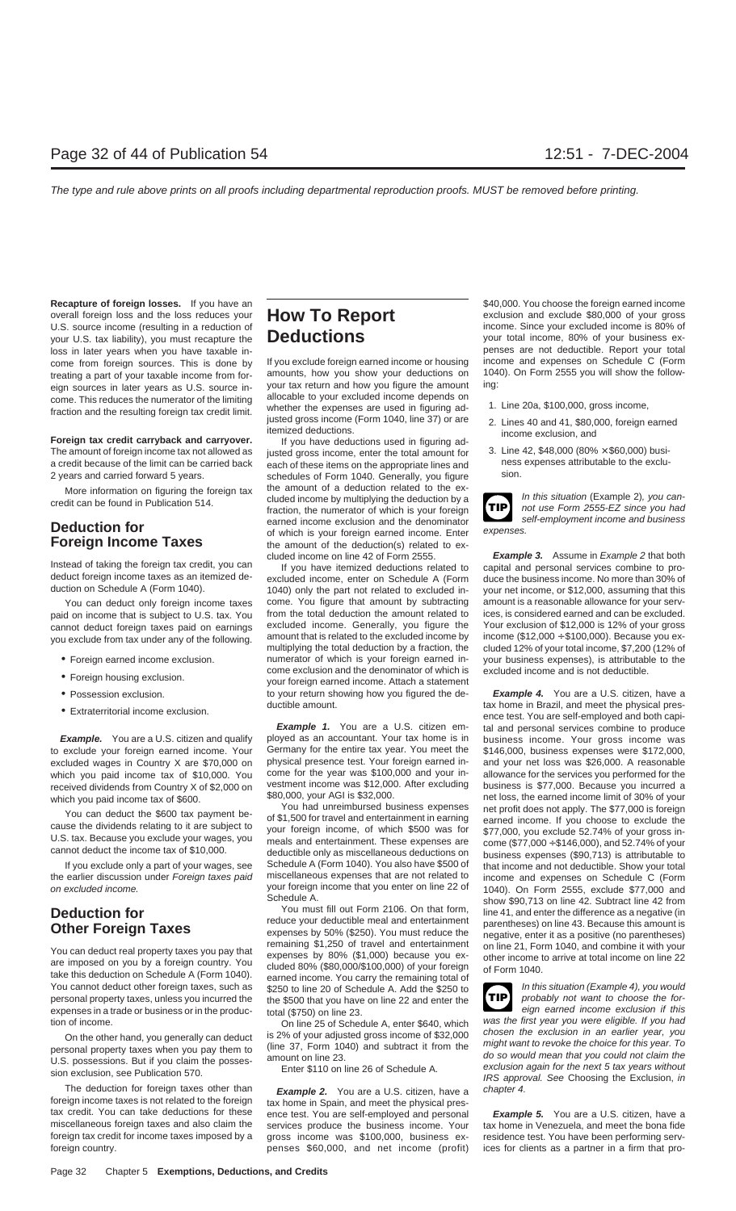overall foreign loss and the loss reduces your **How To Report** exclusion and exclude \$80,000 of your gross<br>U.S. source income (resulting in a reduction of U.S. source income (resulting in a reduction of  $\overline{\mathbf{DeductionS}}$ your U.S. tax liability), you must recapture the **Deductions** your setting your total income, 80% of your business ex-<br>
loss in later vears when you have taxable inloss in later years when you have taxable in-<br>come from foreign sources. This is done by If you exclude foreign earned income or housing income and expenses on Schedule C (Form come from foreign sources. This is done by If you exclude foreign earned income or housing income and expenses on Schedule C (Form<br>treating a part of your taxable income from for- amounts, how you show your deductions on 1 treating a part of your taxable income from for- amounts, how you show your deductions on 104<br>eign sources in later years as U.S. source in-your tax return and how you figure the amount ing:

deduct foreign income taxes as an itemized de-<br>duction on Schedule A (Form 1040).<br>1040) only the part not related to excluded in-<br>wour net income, or \$12,000, assuming that this

paid on income that is subject to U.S. tax. You from the total deduction the amount related to cannot deduct foreign taxes paid on earnings excluded income. Generally, you figure the cannot deduct foreign taxes paid on earnings excluded income. Generally, you figure the Your exclusion of \$12,000 is 12% of your gross<br>Vou exclude from tax under any of the following amount that is related to the excluded

- 
- 
- 
- 

to exclude your foreign earned income. Your Germany for the entire tax year. You meet the \$146,000, business expenses were \$172,000, excluded wages in Country X are \$70,000 on physical presence test. Your foreign earned in excluded wages in Country X are \$70,000 on physical presence test. Your foreign earned in-<br>which you paid income tax of \$10,000. You come for the year was \$100,000 and your in- allowance for the services you performed for which you paid income tax of \$10,000. You come for the year was \$100,000 and your in-<br>received dividends from Country X of \$2,000 on vestment income was \$12,000. After excluding business is \$77,000. Because you incurred a received dividends from Country X of \$2,000 on vestment income was  $\frac{312,000}{880,000}$ , your AGI is \$32,000.

the earlier discussion under Foreign taxes paid miscellaneous expenses that are not related to income and expenses on Schedule C (Form<br>on excluded income. your foreign income that you enter on line 22 of 1040). On Form 255

expenses in a trade or business or in the produc-<br>total (\$750) on line 23.<br>On line 25 of Schedule A enter \$640 which was the first year you were eligible. If you had

The deduction for foreign taxes other than **Example 2.** You are a U.S. citizen, have a chapter 4. foreign income taxes is not related to the foreign tax home in Spain and meet the physical prestax credit. You can take deductions for these ence test. You are self-employed and personal **Example 5.** You are a U.S. citizen, have a miscellaneous foreign taxes and also claim the services produce the business income. Y miscellaneous foreign taxes and also claim the services produce the business income. Your tax home in Venezuela, and meet the bona fide<br>foreign tax credit for income taxes imposed by a gross income was \$100,000, business e

eign sources in later years as U.S. source in-<br>
come. This reduces the numerator of the limiting<br>
fraction and the resulting foreign tax credit limit.<br>
Foreign tax credit carryback and carryover.<br>
Foreign tax credit carryb

Foreign tax credit carryback and carryover.<br>The amount of foreign income tax not allowed as justed gross income, enter the total amount for 3. Line 42, \$48,000 (80% × \$60,000) busi-<br>a credit because of the limit can be car a credit because of the limit can be carried back each of these items on the appropriate lines and ness<br>2 years and carried forward 5 years. excludes of Form 1040. Generally, you figure sion. schedules of Form 1040. Generally, you figure More information on figuring the foreign tax the amount of a deduction related to the ex-In this situation (Example 2), you can-<br>credit can be found in Publication 514.<br>fraction. the numerator of which is your foreign<br>fraction the numerator of which is your foreign fraction, the numerator of which is your foreign not use Form 2555-EZ since you had earned income exclusion and the denominator self-expenses.<br>of which is your foreign earned income. Enter  $exp$ expenses. **Deduction for of the computation of which is your foreign earned income. Enter Foreign Income Taxes** the amount of the deduction(s) related to ex-

1040) only the part not related to excluded in- your net income, or \$12,000, assuming that this You can deduct only foreign income taxes come. You figure that amount by subtracting amount is a reasonable allowance for your serv-<br>d on income that is subject to U.S. tax, You from the total deduction the amount related you exclude from tax under any of the following. amount that is related to the excluded income by income (\$12,000 ÷ \$100,000). Because you ex-<br>multiplying the total deduction by a fraction, the cluded 12% of your total inc • Foreign earned income exclusion. numerator of which is your foreign earned in-<br>come exclusion and the denominator of which is excluded income and is not deductible. **•** Foreign housing exclusion. <br>vour foreign earned income. Attach a statement vour foreign earned income. Attach a statement • Possession exclusion. to your return showing how you figured the de-<br>ductible amount. the state horner in Brazil, and meet the physical pres-

**Example 1.** You are a U.S. citizen em- tal and personal services combine to produce ployed as an accountant. Your tax home is in business income. Your gross income was **Example.** You are a U.S. citizen and qualify ployed as an accountant. Your tax home is in business income. Your gross income was

You had unreimbursed business expenses enterpofit does not apply. The \$77,000 is foreign<br>
You can deduct the \$600 tax payment be-<br>
U.S. tax. Because you exclude your wages, you<br>
U.S. tax. Because you exclude your wages, yo

**Deduction for**<br> **Other Foreign Taxes**<br>
You can deduct real property taxes you pay that<br>
You can deduct real property taxes you pay that<br>
You can deduct real property taxes you pay that<br>
You can deduct real property taxes personal property taxes, unless you incurred the the \$500 that you have on line 22 and enter the probably not want to choose the for-<br>expenses in a trade or business or in the produc-<br>fotal (\$750) on line 23 total (\$750) on line 23.

tion of income.<br>On line 25 of Schedule A, enter \$640, which was the first year you were eligible. If you had<br>On the exclusion in an earlier year, you

tax home in Spain, and meet the physical presgross income was \$100,000, business ex- residence test. You have been performing servforeign country. penses \$60,000, and net income (profit) ices for clients as a partner in a firm that pro-

**Recapture of foreign losses.** If you have an **Example 2018** Section 1000. You choose the foreign earned income

- 
- 
- 



cluded income on line 42 of Form 2555. **Example 3.** Assume in Example 2 that both Instead of taking the foreign tax credit, you can If you have itemized deductions related to capital and personal services combine to pro-

• Extraterritorial income exclusion.<br>• ence test. You are a U.S. citizen em-<br>• Example 1. You are a U.S. citizen em- tal and personal services combine to produce which you paid income tax of \$600. \$80,000, your AGI is \$32,000. net loss, the earned income limit of 30% of your<br>You had unreimbursed business expenses net profit does not apply. The \$77,000 is foreign on excluded income. your foreign income that you enter on line 22 of 1040). On Form 2555, exclude \$77,000 and<br>Schedule A. Show \$90,713 on line 42. Subtract line 42 from<br>You must fill out Form 2106. On that form, line 41 an



On the other hand, you generally can deduct is 2% of your adjusted gross income of \$32,000 chosen the exclusion in an earlier year, you<br>personal property taxes when you pay them to (line 37, Form 1040) and subtract it from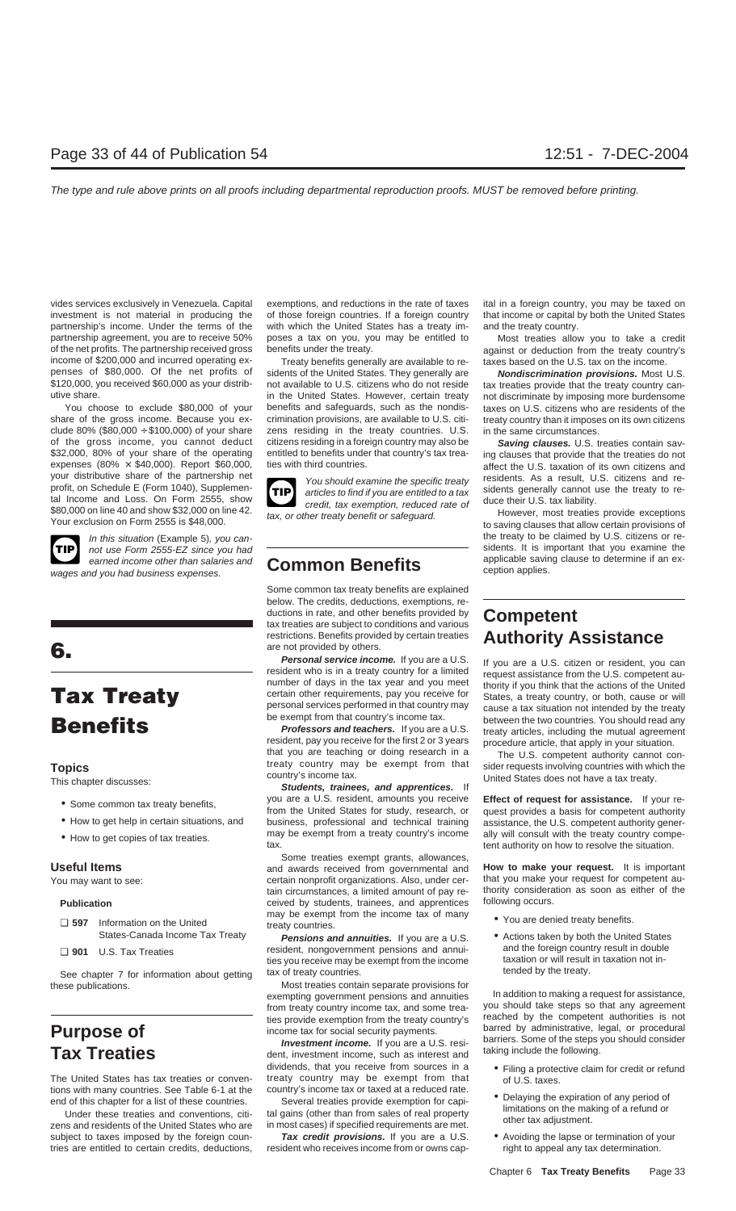vides services exclusively in Venezuela. Capital exemptions, and reductions in the rate of taxes ital in a foreign country, you may be taxed on investment is not material in producing the of those foreign countries. If a foreign country that income or capital by both the United States partnership's income. Under the terms of the with which the United States has a treaty im- and the treaty country. partnership agreement, you are to receive 50% poses a tax on you, you may be entitled to Most treaties allow you to take a credit of the net profits. The partnership received gross benefits under the treaty. against or deduction from the treaty country's income of \$200,000 and incurred operating ex-<br>Treaty benefits generally are available to re-<br>taxe income of \$200,000 and incurred operating ex-<br>
penses of \$80,000. Of the net profits of sidents of the United States. They generally are **Nondiscrimination provisions.** Most l penses of \$80,000. Of the net profits of sidents of the United States. They generally are **Nondiscrimination provisions.** Most U.S. **States** and the treaty country can-<br>\$120,000, you received \$60,000 as your distrib- not a

You choose to exclude \$80,000 of your benefits and safeguards, such as the nondis-<br>share of the gross income. Because you ex- crimination provisions, are available to U.S. citi- treaty country than it imposes on its own ci clude 80% (\$80,000 ÷ \$100,000) of your share zens residing in the treaty countries. U.S. in the same circumstances. of the gross income, you cannot deduct citizens residing in a foreign country may also be **Saving clauses.** U.S. treaties contain sav-<br>\$32,000, 80% of your share of the operating entitled to benefits under that country's t expenses (80%  $\times$  \$40,000). Report \$60,000, ties with third countries.<br>your distributive share of the partnership net Neushould coming the apparition to the sidents. As a result, U.S. citizens and reyour distributive share of the partnership net<br>profit, on Schedule E (Form 1040), Supplemential income and Loss. On Form 2555, show are entitled to a tax sidents generally cannot use the treaty to re-<br>tal Income and Loss.



- 
- 
- 

- 
- 

See chapter 7 for information about getting tax of treaty countries.<br>ese publications. Most treaties contain separate provisions for

subject to taxes imposed by the foreign coun-**Tax credit provisions.** If you are a U.S. • Avoiding the lapse or termination of your tries are entitled to certain credits, deductions, resident who receives income from or owns cap- right to appeal any tax determination.

\$120,000, you received \$60,000 as your distrib-<br>in the United States. However, certain treaty not discriminate by imposing more burdensome crimination provisions, are available to U.S. citi- treaty country than it imposes on its own citizens



Some common tax treaty benefits are explained below. The credits, deductions, exemptions, reductions in rate, and other benefits provided by **Competent** tax treaties are subject to conditions and various

resident, pay you receive for the first 2 or 3 years procedure article, that apply in your situation.<br>that you are teaching or doing research in a The U.S. competent authority cannot co that you are teaching or doing research in a<br>treaty country may be exempt from that sider requests involving countries with which the<br>This chapter discusses:<br>**Students, trainees, and apprentices.** If<br>**Students, trainees, a** 

• Some common tax treaty benefits, you are a U.S. resident, amounts you receive **Effect of request for assistance.** If your refrom the United States for study, research, or quest provides a basis for competent authority •

Some treaties exempt grants, allowances, Useful **Items** and awards received from governmental and **How to make your request.** It is important **Community** certain nonprofit proming and and **How to make your request**. It is important autain circumstances, a limited amount of pay re- thority consideration ceived by students. trainees, and apprentices following occurs. **Publication ceived** by students, trainees, and apprentices may be exempt from the income tax of many<br>
The States-Canada Income Tax Treaty<br>
The States-Canada Income Tax Treaty<br>
The States-Canada Income Tax Treaty<br>
The States Treations and annuities. If you are a U.S.<br>
The Actions

resident, nongovernment pensions and annui- and the foreign country result in double ❏ **901** U.S. Tax Treaties ties you receive may be exempt from the income taxation or will result<br>tax of treaty countries

dividends, that you receive from sources in a • Filing a protective claim for credit or refund The United States has tax treaties or conven-<br>treaty country may be exempt from that of U.S. taxes.<br>tions with many countries. See Table 6-1 at the country's income tax or taxed at a reduced rate.

tions with many countries. See Table 6-1 at the country's income tax or taxed at a reduced rate.<br>
end of this chapter for a list of these countries. Several treaties provide exemption for capi-<br>
Under these treaties and co

not discriminate by imposing more burdensome

entitled to benefits under that country's tax trea- ing clauses that provide that the treaties do not<br>ties with third countries.

Example and Eustine 40 and show \$32,000 on line 42. However, most treaties provide exceptions tax, or other treaty benefit or safeguard. However, most treaties provide exceptions to saving clauses that allow certain provis In this situation (Example 5), you can-<br>
not use Form 2555-EZ since you had<br>
earned income other than salaries and<br>
earned income other than salaries and<br>
earned income other than salaries and<br>  $\bullet$  **Common Ranafits** earned income other than salaries and **Common Benefits** applicable saving clause to determine if an ex-<br>wages and you had business expenses.

**6.**<br> **6.**<br> **6.**<br> **6.**<br> **6.**<br> **6.**<br> **6.**<br> **8.**<br> **8.**<br> **8.**<br> **8.**<br> **8.**<br> **8.**<br> **8.**<br> **8.**<br> **8.**<br> **8.**<br> **8.**<br> **8.**<br> **8.**<br> **8.**<br> **8.**<br> **8.**<br> **8.**<br> **8.**<br> **8.**<br> **8.**<br> **8.**<br> **8.**<br> **8.**<br> **8.**<br> **8.**<br> **8.**<br> **8.**<br> **8.**<br> **8.**<br> **8.**<br>

business, professional and technical training assistance, the U.S. competent authority gener-• How to get copies of tax treaties. may be exempt from a treaty country's income ally will consult with the treaty country compe-<br>tax. tax.

You may want to see: certain nonprofit organizations. Also, under cer- that you make your request for competent au-<br>tain circumstances, a limited amount of pay re- thority consideration as soon as either of the

- 
- 

Wost treaties contain separate provisions for<br>
EXTIBIT ARIC CONSINGLY TO SERVIT AND THE STAR TREATIES THE SALL THE STARM THE STARM THE STARM THE STARM THE STARM THE STARM THE STARM THE STARM THE STARM THE STARM THE STARM T

- 
- 
-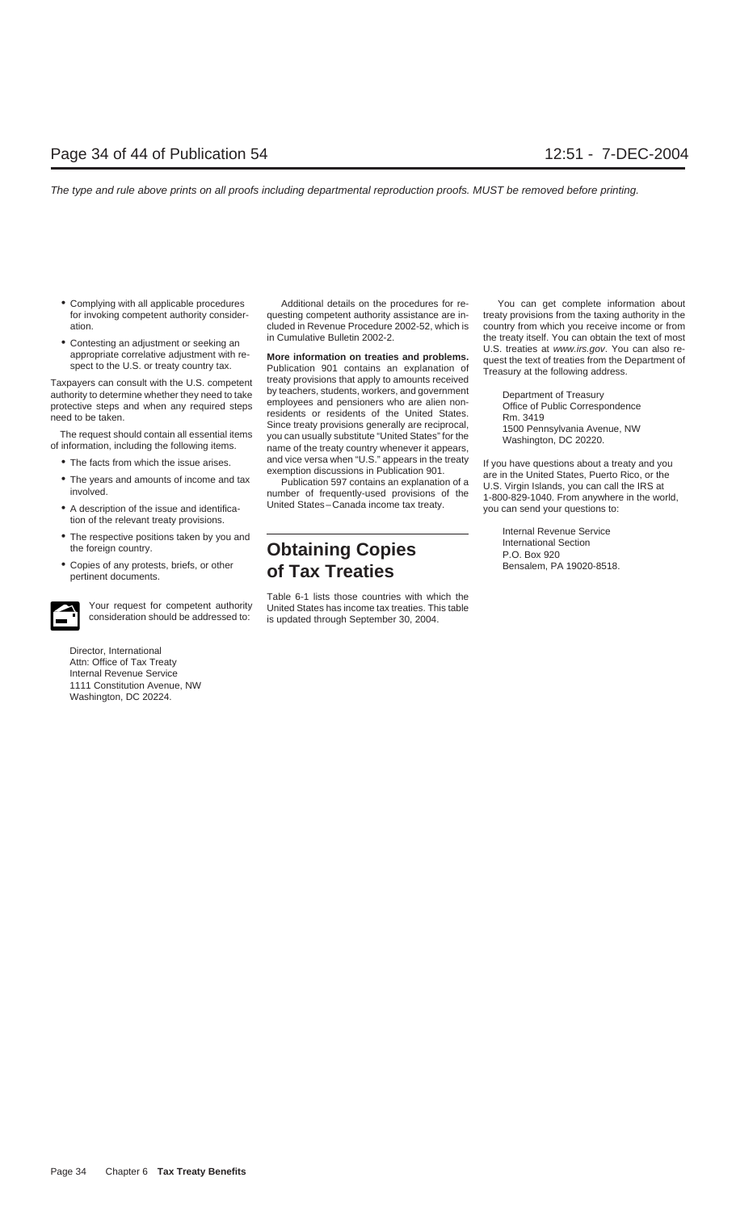- 
- 

- 
- 
- tion of the relevant treaty provisions.
- The respective positions taken by you and **Obtaining Copies** htternal Revenue Service<br>the foreign country. **Obtaining Copies** P.O. Box 920
- Copies of any protests, briefs, or other **Of Tax Treaties** Bensalem, PA 19020-8518.<br> **DETAX Treaties**



Director, International Attn: Office of Tax Treaty Internal Revenue Service 1111 Constitution Avenue, NW Washington, DC 20224.

• Complying with all applicable procedures Additional details on the procedures for re- You can get complete information about for invoking competent authority consider- questing competent authority assistance are in- treaty provisions from the taxing authority in the ation. cluded in Revenue Procedure 2002-52, which is country from which you receive income or from

• Contesting an adjustment or seeking an<br>appropriate correlative adjustment with re-<br>spect to the U.S. or treaty country tax.<br>Taxpayers can consult with the U.S. competent<br>authority to determine whether they need to take<br>a need to be taken.<br>
The request should contain all essential items<br>
The request should contain all essential items<br>
of information, including the following items.<br>
The request should contain all essential items<br>
you can usu

# **per Tax Treaties**

Table 6-1 lists those countries with which the Your request for competent authority United States has income tax treaties. This table<br>consideration should be addressed to: is undated through September 30, 2004 is updated through September 30, 2004.

• The facts from which the issue arises. and vice versa when "U.S." appears in the treaty and you are in the United States, Puerto Rico, or the exemption discussions in Publication 901.<br>
• The years and amounts of income a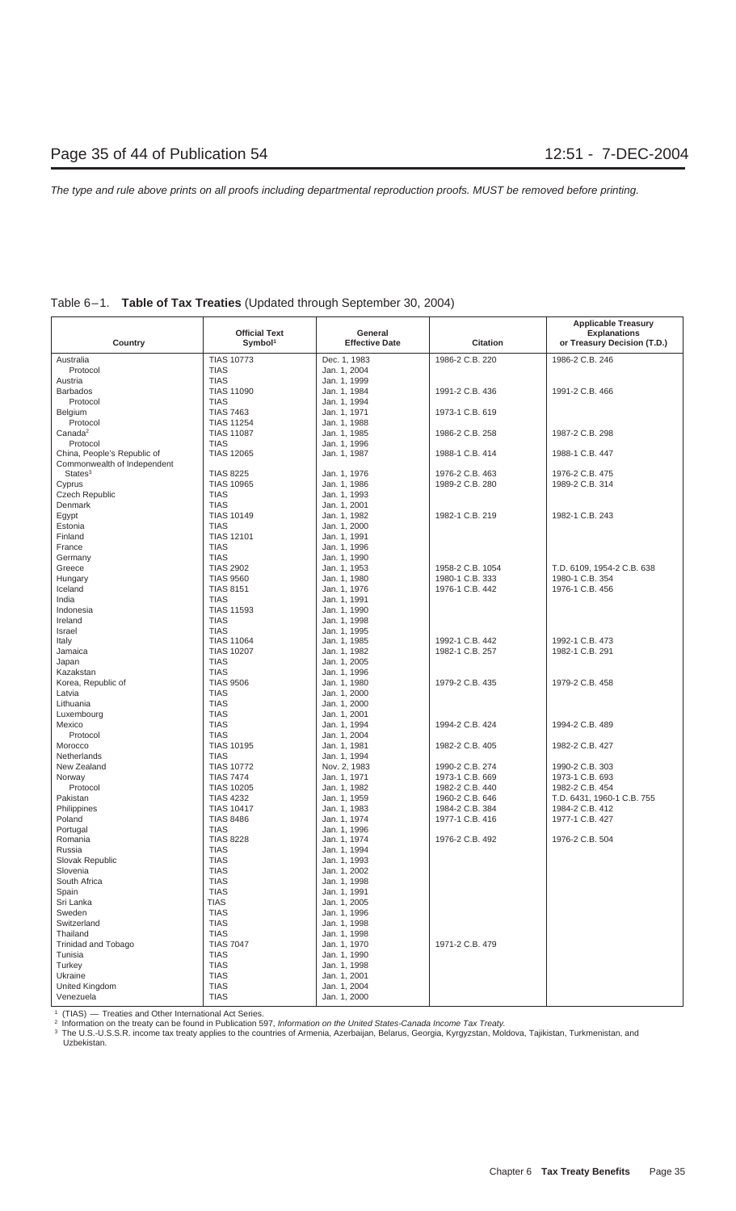### Table 6–1. **Table of Tax Treaties** (Updated through September 30, 2004)

|                             | <b>Official Text</b>                  | General                      |                                    | <b>Applicable Treasury</b><br><b>Explanations</b> |
|-----------------------------|---------------------------------------|------------------------------|------------------------------------|---------------------------------------------------|
| Country                     | Symbol <sup>1</sup>                   | <b>Effective Date</b>        | <b>Citation</b>                    | or Treasury Decision (T.D.)                       |
| Australia                   | <b>TIAS 10773</b>                     | Dec. 1, 1983                 | 1986-2 C.B. 220                    | 1986-2 C.B. 246                                   |
| Protocol                    | <b>TIAS</b>                           | Jan. 1, 2004                 |                                    |                                                   |
| Austria                     | <b>TIAS</b>                           | Jan. 1, 1999                 |                                    |                                                   |
| <b>Barbados</b>             | <b>TIAS 11090</b>                     | Jan. 1, 1984                 | 1991-2 C.B. 436                    | 1991-2 C.B. 466                                   |
| Protocol<br>Belgium         | <b>TIAS</b><br><b>TIAS 7463</b>       | Jan. 1, 1994                 | 1973-1 C.B. 619                    |                                                   |
| Protocol                    | <b>TIAS 11254</b>                     | Jan. 1, 1971<br>Jan. 1, 1988 |                                    |                                                   |
| Canada <sup>2</sup>         | <b>TIAS 11087</b>                     | Jan. 1, 1985                 | 1986-2 C.B. 258                    | 1987-2 C.B. 298                                   |
| Protocol                    | TIAS                                  | Jan. 1, 1996                 |                                    |                                                   |
| China, People's Republic of | <b>TIAS 12065</b>                     | Jan. 1, 1987                 | 1988-1 C.B. 414                    | 1988-1 C.B. 447                                   |
| Commonwealth of Independent |                                       |                              |                                    |                                                   |
| States <sup>3</sup>         | <b>TIAS 8225</b>                      | Jan. 1, 1976                 | 1976-2 C.B. 463                    | 1976-2 C.B. 475                                   |
| Cyprus                      | <b>TIAS 10965</b>                     | Jan. 1, 1986                 | 1989-2 C.B. 280                    | 1989-2 C.B. 314                                   |
| <b>Czech Republic</b>       | <b>TIAS</b>                           | Jan. 1, 1993                 |                                    |                                                   |
| Denmark                     | <b>TIAS</b>                           | Jan. 1, 2001                 |                                    |                                                   |
| Egypt                       | <b>TIAS 10149</b>                     | Jan. 1, 1982                 | 1982-1 C.B. 219                    | 1982-1 C.B. 243                                   |
| Estonia<br>Finland          | <b>TIAS</b><br><b>TIAS 12101</b>      | Jan. 1, 2000                 |                                    |                                                   |
| France                      | <b>TIAS</b>                           | Jan. 1, 1991<br>Jan. 1, 1996 |                                    |                                                   |
| Germany                     | <b>TIAS</b>                           | Jan. 1, 1990                 |                                    |                                                   |
| Greece                      | <b>TIAS 2902</b>                      | Jan. 1, 1953                 | 1958-2 C.B. 1054                   | T.D. 6109, 1954-2 C.B. 638                        |
| Hungary                     | <b>TIAS 9560</b>                      | Jan. 1, 1980                 | 1980-1 C.B. 333                    | 1980-1 C.B. 354                                   |
| Iceland                     | <b>TIAS 8151</b>                      | Jan. 1, 1976                 | 1976-1 C.B. 442                    | 1976-1 C.B. 456                                   |
| India                       | <b>TIAS</b>                           | Jan. 1, 1991                 |                                    |                                                   |
| Indonesia                   | <b>TIAS 11593</b>                     | Jan. 1, 1990                 |                                    |                                                   |
| Ireland                     | <b>TIAS</b>                           | Jan. 1, 1998                 |                                    |                                                   |
| Israel                      | <b>TIAS</b>                           | Jan. 1, 1995                 |                                    |                                                   |
| Italy                       | <b>TIAS 11064</b>                     | Jan. 1, 1985                 | 1992-1 C.B. 442                    | 1992-1 C.B. 473                                   |
| Jamaica                     | <b>TIAS 10207</b>                     | Jan. 1, 1982                 | 1982-1 C.B. 257                    | 1982-1 C.B. 291                                   |
| Japan<br>Kazakstan          | <b>TIAS</b><br><b>TIAS</b>            | Jan. 1, 2005<br>Jan. 1, 1996 |                                    |                                                   |
| Korea, Republic of          | <b>TIAS 9506</b>                      | Jan. 1, 1980                 | 1979-2 C.B. 435                    | 1979-2 C.B. 458                                   |
| Latvia                      | <b>TIAS</b>                           | Jan. 1, 2000                 |                                    |                                                   |
| Lithuania                   | <b>TIAS</b>                           | Jan. 1, 2000                 |                                    |                                                   |
| Luxembourg                  | <b>TIAS</b>                           | Jan. 1, 2001                 |                                    |                                                   |
| Mexico                      | <b>TIAS</b>                           | Jan. 1, 1994                 | 1994-2 C.B. 424                    | 1994-2 C.B. 489                                   |
| Protocol                    | <b>TIAS</b>                           | Jan. 1, 2004                 |                                    |                                                   |
| Morocco                     | <b>TIAS 10195</b>                     | Jan. 1, 1981                 | 1982-2 C.B. 405                    | 1982-2 C.B. 427                                   |
| Netherlands                 | <b>TIAS</b>                           | Jan. 1, 1994                 |                                    |                                                   |
| New Zealand                 | <b>TIAS 10772</b>                     | Nov. 2, 1983                 | 1990-2 C.B. 274                    | 1990-2 C.B. 303                                   |
| Norway<br>Protocol          | <b>TIAS 7474</b><br><b>TIAS 10205</b> | Jan. 1, 1971                 | 1973-1 C.B. 669                    | 1973-1 C.B. 693                                   |
| Pakistan                    | <b>TIAS 4232</b>                      | Jan. 1, 1982<br>Jan. 1, 1959 | 1982-2 C.B. 440<br>1960-2 C.B. 646 | 1982-2 C.B. 454<br>T.D. 6431, 1960-1 C.B. 755     |
| Philippines                 | <b>TIAS 10417</b>                     | Jan. 1, 1983                 | 1984-2 C.B. 384                    | 1984-2 C.B. 412                                   |
| Poland                      | <b>TIAS 8486</b>                      | Jan. 1, 1974                 | 1977-1 C.B. 416                    | 1977-1 C.B. 427                                   |
| Portugal                    | <b>TIAS</b>                           | Jan. 1, 1996                 |                                    |                                                   |
| Romania                     | <b>TIAS 8228</b>                      | Jan. 1, 1974                 | 1976-2 C.B. 492                    | 1976-2 C.B. 504                                   |
| Russia                      | <b>TIAS</b>                           | Jan. 1, 1994                 |                                    |                                                   |
| Slovak Republic             | <b>TIAS</b>                           | Jan. 1, 1993                 |                                    |                                                   |
| Slovenia                    | <b>TIAS</b>                           | Jan. 1, 2002                 |                                    |                                                   |
| South Africa                | <b>TIAS</b>                           | Jan. 1, 1998                 |                                    |                                                   |
| Spain<br>Sri Lanka          | <b>TIAS</b><br><b>TIAS</b>            | Jan. 1, 1991<br>Jan. 1, 2005 |                                    |                                                   |
| Sweden                      | <b>TIAS</b>                           | Jan. 1, 1996                 |                                    |                                                   |
| Switzerland                 | <b>TIAS</b>                           | Jan. 1, 1998                 |                                    |                                                   |
| Thailand                    | <b>TIAS</b>                           | Jan. 1, 1998                 |                                    |                                                   |
| <b>Trinidad and Tobago</b>  | <b>TIAS 7047</b>                      | Jan. 1, 1970                 | 1971-2 C.B. 479                    |                                                   |
| Tunisia                     | <b>TIAS</b>                           | Jan. 1, 1990                 |                                    |                                                   |
| Turkey                      | <b>TIAS</b>                           | Jan. 1, 1998                 |                                    |                                                   |
| Ukraine                     | <b>TIAS</b>                           | Jan. 1, 2001                 |                                    |                                                   |
| United Kingdom              | <b>TIAS</b>                           | Jan. 1, 2004                 |                                    |                                                   |
| Venezuela                   | <b>TIAS</b>                           | Jan. 1, 2000                 |                                    |                                                   |

<sup>1</sup> (TIAS) — Treaties and Other International Act Series.

<sup>2</sup> Information on the treaty can be found in Publication 597, Information on the United States-Canada Income Tax Treaty.

<sup>3</sup> The U.S.-U.S.S.R. income tax treaty applies to the countries of Armenia, Azerbaijan, Belarus, Georgia, Kyrgyzstan, Moldova, Tajikistan, Turkmenistan, and Uzbekistan.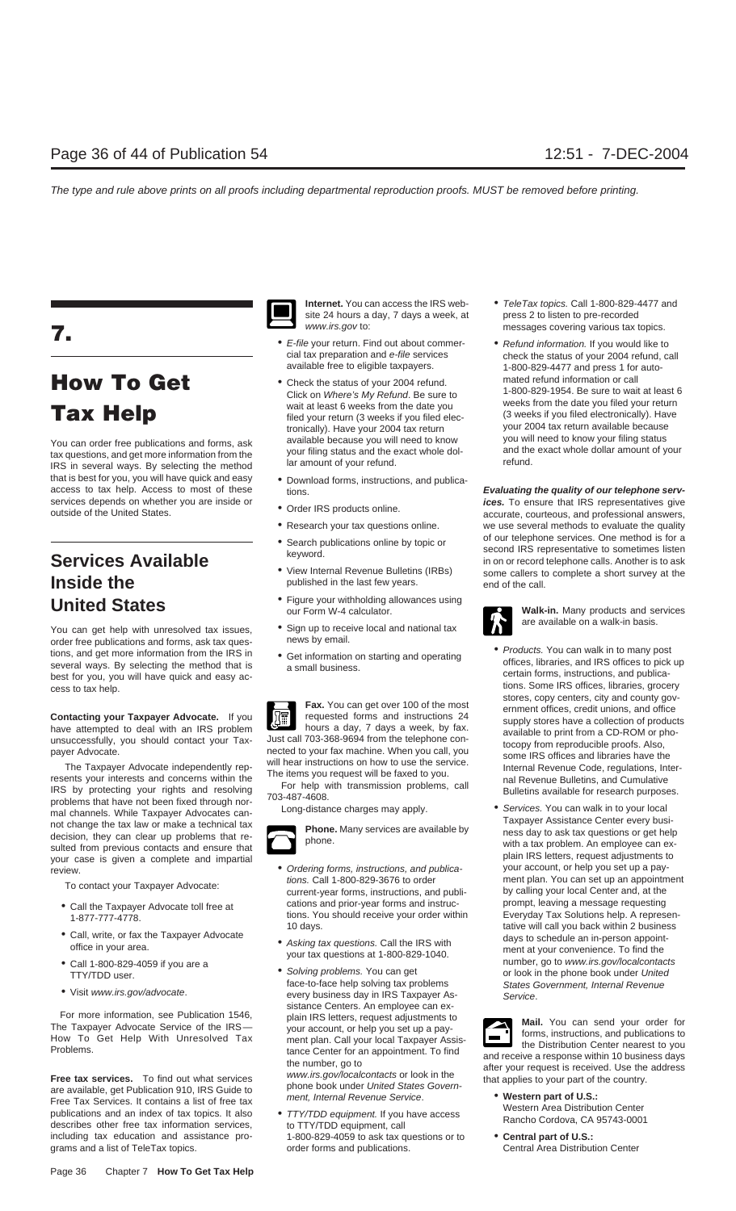

You can order free publications and forms, ask available because you will need to know you will need to know your filing status<br>tax questions, and get more information from the your filing status and the exact whole dol- a that is best for you, you will have quick and easy <br>access to tax help. Access to most of these <br>tions. access to tax help. Access to most of these tions.<br> **Evaluating the quality of our telephone serv-**<br> **Evaluating the quality of our telephone serv-**<br> **Ices.** To ensure that IRS representatives give services depends on whether you are inside or **incertatives accurate. ices.** To ensure that IRS representatives give outside of the United States. **outside States.** Accurate, courteous, and professional answers,

order free publications and forms, ask tax questions, and get more information from the IRS in extention on starting and operating  $\frac{1}{2}$  a small business.<br>
best for you, you will have quick and easy access to tax help.<br>
cess to tax help. The same IRS of the method

Contacting your Taxpayer Advocate. If you and instructions 24<br>
have attempted to deal with an IRS problem<br>
unsuccessfully, you should contact your Tax-<br>
unsuccessfully and offices and instructions 24<br>
unsuccessfully, you

- 
- 
- 
- 

including tax education and assistance pro- 1-800-829-4059 to ask tax questions or to • **Central part of U.S.:**



site 24 hours a day, 7 days a week, at press 2 to listen to pre-recorded

- ww.irs.gov to: messages covering various tax topics.<br>
 E-file your return. Find out about commer- Refund information. If you would like to<br>
cial tax preparation and e-file services beck the status of your 2004 refund. c
- wait at least 6 weeks from the date you weeks from the date you filed your return<br>filed your return (3 weeks if you filed elec- (3 weeks if you filed electronically). Have<br>your 2004 tax return available because tronically). Have your 2004 tax return your 2004 tax return available because
	-
	-
	-
	-
	-
- **United States •** Figure your withholding allowances using **Walk-in.** Many products and services our Form W-4 calculator.
- You can get help with unresolved tax issues,<br>
order free publications and forms, ask tax ques-<br>
news by email.
	-

- To contact your Taxpayer Advocate:<br>current-year forms, instructions, and publi- by calling your local Center and, at the Call the Taxpayer Advocate toll free at cations and prior-year forms and instruc-<br>1-877-777-4778. The tions. You should receive your order within Everyday Tax Solutions help. A represen-<br>10 days. tative will call you back
	-
- Visit www.irs.gov/advocate. The solution of the very business day in IRS Taxpayer As- Service. sistance Centers. An employee can ex-For more information, see Publication 1546,<br>
The Taxpager Advocate Service of the IRS —<br>
How To Get Help With Unresolved Tax<br>
How To Get Help With Unresolved Tax<br>
How To Get Help With Unresolved Tax<br>
Problems.<br>
The tax ser
	- order forms and publications. **Central Area Distribution Center**
- **Internet.** You can access the IRS web- *TeleTax topics.* Call 1-800-829-4477 and
- cial tax preparation and e-file services check the status of your 2004 refund, call<br>available free to eligible taxpayers.<br>
1-800-829-4477 and press 1 for auto-1-800-829-4477 and press 1 for auto-**How To Get** • Check the status of your 2004 refund. The mated refund information or call Click on Where's My Refund. Be sure to a 1-800-829-1954. Be sure to wait at least 6 visit at least 6 visit at least 6 visit at least

• Research your tax questions online. We use several methods to evaluate the quality **Search publications online by topic or** second IRS representative to sometimes listen keyword.<br>**Services Available** in on or record telephone calls. Another is to ask **Services Available**<br>• View Internal Revenue Bulletins (IRBs) in on or record telephone calls. Another is to ask<br>• published in the last few years. end of the call.



are available on a walk-in basis.

- 
- your case is given a complete and impartial  $\overline{)}$  ordering forms, instructions, and publica-<br>
For express to a pay-<br>
To conted your account, or help you set up a pay-<br>
To conted your Townsum The The Superior Material of • Call, write, or fax the Taxpayer Advocate<br>
office in your area.<br>
• Asking tax questions. Call the IRS with the IRS with the days to schedule an in-person appoint-<br>
• Call 1-800-829-4059 if you are a<br>
• Call 1-800-829-405 • Call 1-800-829-4059 if you are a<br>• Solving problems. You can get or look in the phone book under United<br>face-to-face help solving tax problems States Government, Internal Revenue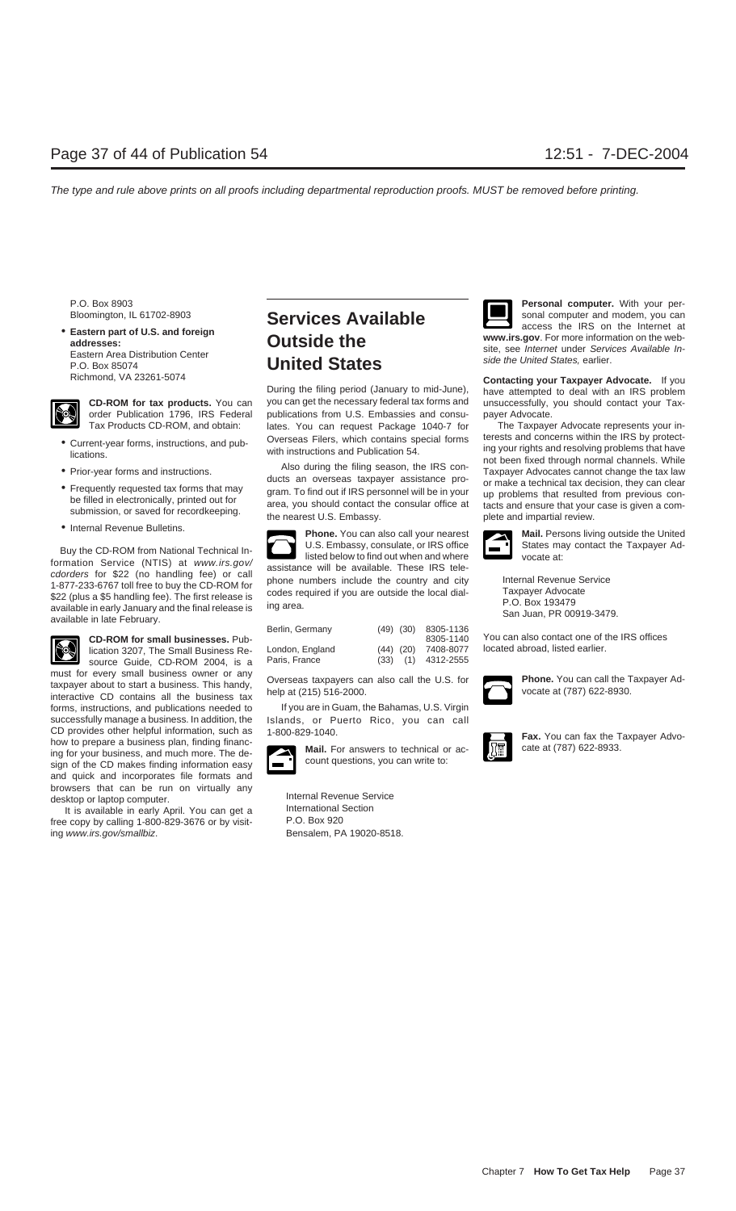

- 
- 
- 
- 

Buy the CD-ROM from National Technical In-<br>formation Service (NTIS) at www.irs.gov/<br>cdorders for \$22 (no handling fee) or call<br>1-877-233-6767 toll free to buy the CD-ROM for<br>\$22 (plus a \$5 handling fee). The first release



must for every small business owner or any<br>taxpayer about to start a business. This handy, Overseas taxpayers can also call the U.S. for<br>interactive CD contains all the business tax help at (215) 516-2000. CD provides other helpful information, such as 1-800-829-1040.<br>how to prepare a business plan, finding financially and a series of the CD makes finding information easy **Mail.** For answers to technical or accept of the CD and quick and incorporates file formats and browsers that can be run on virtually any<br>
desktop or laptop computer.<br>
It is available in early April You can get a linternational Section

It is available in early April. You can get a litternational Section of the International Section of the sectio<br>Example 200 section of the U.S. section of the Section of the Section of the Section of the Section of the Sec free copy by calling 1-800-829-3676 or by visit-<br>ing www.irs.gov/smallbiz. Bensalem, PA 19020-8518. ing www.irs.gov/smallbiz.

During the filing period (January to mid-June), have attempted to deal with an IRS problem **CD-ROM for tax products.** You can you can get the necessary federal tax forms and unsuccessfully, you should contact your Taxorder Publication 1796, IRS Federal publications from U.S. Embassies and consu- payer Advocate.

• Internal Revenue Bulletins. **Phone.** You can also call your nearest **Mail.** Persons living outside the United

|                                          | Berlin, Germany | $(49)$ $(30)$ 8305-1136 |                                             |
|------------------------------------------|-----------------|-------------------------|---------------------------------------------|
| <b>CD-ROM for small businesses. Pub-</b> |                 | 8305-1140               | You can also contact one of the IRS offices |
| lication 3207. The Small Business Re-    | London, England | $(44)$ $(20)$ 7408-8077 | located abroad, listed earlier.             |
| source Guide, CD-ROM 2004, is a          | Paris, France   | $(33)$ $(1)$ 4312-2555  |                                             |

forms, instructions, and publications needed to If you are in Guam, the Bahamas, U.S. Virgin successfully manage a business. In addition, the Islands, or Puerto Rico, you can call



P.O. Box 8903 **P.O. Box 8903 Personal computer.** With your per-Bloomington, IL 61702-8903<br>
• Eastern part of U.S. and foreign<br>
addresses:<br>
Eastern Area Distribution Center<br>
P.O. Box 85074<br>
P.O. Box 85074<br>
P.O. Box 85074<br>
P.O. Box 85074<br>
P.O. Box 85074<br>
P.O. Box 85074<br>
P.O. Box 85074<br>

Richmond, VA 23261-5074 **Contacting your Taxpayer Advocate.** If you

Tax Products CD-ROM, and obtain: lates. You can request Package 1040-7 for The Taxpayer Advocate represents your in-• Current-year forms, instructions, and pub-<br>
Ications.<br>
Ications.<br>
• Prior-year forms and instructions.<br>
• Prior-year forms and instructions.<br>
• Prior-year forms and instructions.<br>
• Prior-year forms and instructions.<br>





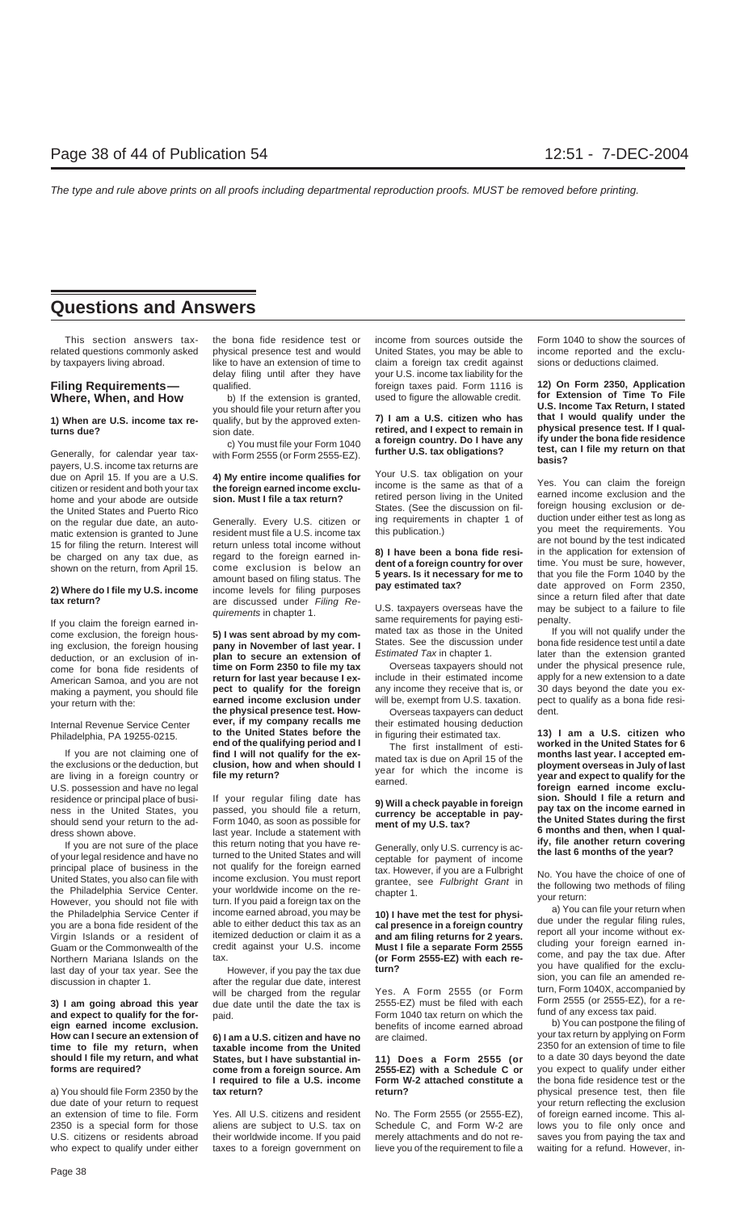## **Questions and Answers**

related questions commonly asked physical presence test and would United States, you may be able to income reported and the excluby taxpayers living abroad. like to have an extension of time to claim a foreign tax credit against sions or deductions claimed.

Generally, for calendar year tax-<br>
C You must file your Form 1040<br>
payers, U.S. income tax returns are<br>
due on April 15. If you are a U.S.<br>
due on April 15. If you are a U.S.<br>
due on April 15. If you are a U.S.<br>
due on Apr States. (See the discussion on fil-<br>the United States and Puerto Rico<br>on the required discussion of the United States and Puerto Rico<br>on the required States and Puerto Rico<br>on the required States and Puerto Rico<br>on the req on the regular due date, an auto-<br>matic extension is granted to lune resident must file a U.S. income tax this publication.) you meet the requirements. You matic extension is granted to June resident must file a U.S. income tax this publication.)<br>15 for filing the return. Interest will return unless total income without are not bound by the test indicated<br>he sharped on any ta

**part of the foreign hous-** 5) I was sent abroad by my com-<br>ing exclusion, the foreign housing pany in November of last year. I States. See the discussion under bona fide residence test until a date<br>deduction, or an exclus Final finance income income and you are not **return for last year because I ex-** include in their estimated income apply for a new extension to a date  $\frac{1}{2}$  making a nay mean the visit of the **angle of the foreign** any making a payment, you should file **pect to qualify for the foreign** any income they receive that is, or 30 days beyond the date you ex-<br>Not the the state of the same **exclusion under** will be exempt from U.S. taxation. pec

residence or principal place of busi-<br>
If your regular filing date has<br>
ness in the United States, you passed, you should file a return,<br>
should send your return to the ad-<br>
form 1040, as soon as possible for<br>
dress shown

If you are not sure of the place this return noting that you have re-<br>
If you are not sure of the place the place the build States and will<br>
Drinced States, you also can file with income exclusion. You must report<br>
United

**How can I secure an extension of 6) I am a U.S. citizen and have no** are claimed. The same that the valuate at the<br> **time to file my return, when taxable income from the United** only the same of the 2350 for an extension time to file my return, when taxable income from the United<br> **should I file my return, and what** States, but I have substantial in- 11) Does a Form 2555 (or to a date 30 days beyond the date **should I file my return, and what States, but I have substantial in- 11) Does a Form 2555 (or** to a date 30 days beyond the date

due date of your return to request  $\sim$  and  $\sim$  your return reflecting the exclusion an extension of time to file. Form Yes. All U.S. citizens and resident No. The Form 2555 (or 2555-EZ), of foreign earned income. This al-2350 is a special form for those aliens are subject to U.S. tax on Schedule C, and Form W-2 are lows you to file only once and U.S. citizens or residents abroad their worldwide income. If you paid merely attachments and do not re- saves you from paying the tax and who expect to qualify under either taxes to a foreign government on lieve you of the requirement to file a waiting for a refund. However, in-

deduction, or an exclusion of in-<br>deduction, or an exclusion of in-<br>come for bona fide residents of **time on Form 2350 to file my tax** Overseas taxpayers should not under the physical presence rule, your return with the:<br> **the physical presence test. How-** Overseas taxpayers can deduct dent.<br>
Internal Revenue Service Center **ever, if my company recalls me** their estimated housing deduction

will be charged from the regular Yes. A Form 2555 (or Form turn, Form 1040X, accompanied by<br>3) I am going abroad this year due date until the date the tax is 2555-EZ) must be filed with each Form 2555 (or 2555-EZ), for a r

This section answers tax- the bona fide residence test or income from sources outside the Form 1040 to show the sources of delay filing until after they have your U.S. income tax liability for the **Filing Requirements—** qualified. The extension is granted the spaid. Form 1116 is **12) On Form 2350, Application**<br>Where When and How b) If the extension is granted used to figure the allowable credit. **for Extension of Ti** 

**expect to qualify for the for-** paid.<br> **eign earned income exclusion.** b) You can postpone the filing of<br> **How can I secure an extension of 6) I am a II S** citizen and baye no are claimed abroad b) You can postpone the fi

### **forms are from a foreign source. Am 2555-EZ) with a Schedule C or** you expect to qualify under either come **from W-2** attached constitute a the bona fide residence test or the **Form W-2 attached constitute a return?** a) You should file Form 2350 by the **tax return? return? return? physical presence test, then file**

**Where, When, and How** b) If the extension is granted, used to figure the allowable credit. **for Extension of Time To File**<br>U.S. Income Tax Return, I stated **U.S. Income Tax Return, I stated**<br>qualify, but by the approved exten. **7) I am a U.S. citizen who has** that I would qualify under the 1) When are U.S. income tax re-<br>turns due?<br>c) You must file your Form 1040<br>c) You must file your Form 1040<br>turns due to remain in physical presence test. If I qual-<br>c) You must file your Form 1040<br>turns of the stream of t

For thing the charged on any tax due, as regard to the foreign earned in-<br>shown on the return, from April 15. come exclusion is below an **dent of a foreign country for over** time. You must be sure, however,<br>amount based on

Internal Revenue Service Center **the United States before the**<br>
Philadelphia, PA 19255-0215. **the United States before the**<br>
If you are not claiming one of **the qualifying period and I**<br>
If you are not claiming one of **fin** 

last day of your tax year. See the However, if you pay the tax due turn?<br>discussion in chapter 1. after the regular due date, interest sion, you can file an amended re-<br>will be charged from the regular Yes. A Form 2555 (or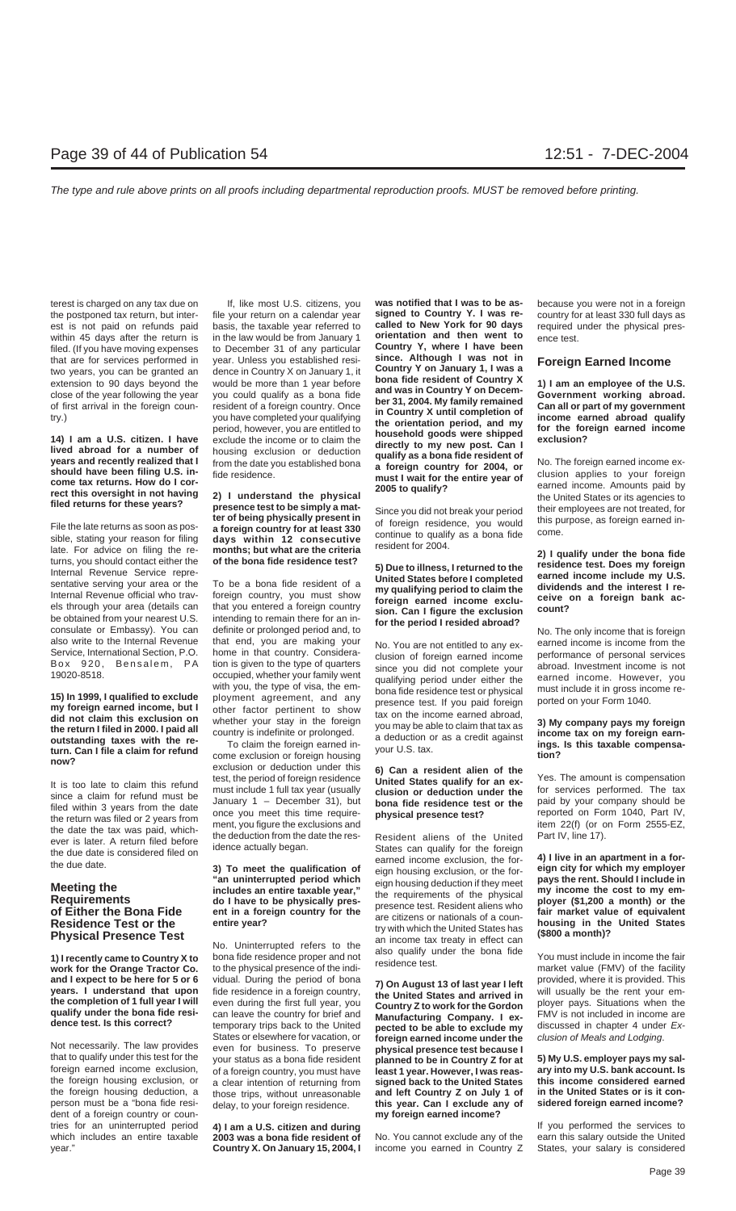terest is charged on any tax due on **IF**, like most U.S. citizens, you **was notified that I was to be as-** because you were not in a foreign the postponed tax return, but inter-<br>the postponed tax return, but inter- file yo the postponed tax return, but inter-<br>
file your return on a calendar year **signed to Country Y. I was re-** country for at least 330 full days as<br>
est is not paid on refunds paid basis, the taxable year referred to **called** est is not paid on refunds paid basis, the taxable year referred to **called to New York for 90 days** required under the physical pres-<br>within 45 days after the return is in the law would be from January 1 **orientation and** within 45 days after the return is in the law would be from January 1 **orientation and then went to** ence test.<br>filed (If you have moving expenses to December 31 of any particular **Country Y, where I have been** filed. (If you have moving expenses to December 31 of any particular **Country Y, where I have been**

File the late returns as soon as pos-<br>sible, stating your reason for filing the residence on a foreign country for at least 330<br>late. For advice on filing the re-<br>late. For advice on filing the re-<br>late. For advice on fili be obtained from your area (details can intending to remain there for an in-<br>be obtained from your nearest U.S. intending to remain there for an in-<br>consulate or Embassy). You can definite or prolonged period and, to No. T also write to the Internal Revenue that end, you are making your<br>Service, International Section, P.O. home in that country. Considera-<br>clusion of foreign earned income performance of personal services Service, International Section, P.O. home in that country. Considera-<br>Box 920, Bensalem, PA tion is given to the type of quarters since you did not complete your abroad. Investment income is not

foreign earned income exclusion, of a foreign country, you must have **least 1 year. However, I was reas- ary into my U.S. employer pays my sal-**<br>foreign earned income exclusion, of a foreign country, you must have **least** the foreign housing exclusion, or a clear intention of returning from **signed back to the United States this income considered earned** the foreign housing deduction, a those trips, without unreasonable and left Country Z on July 1 of in the United States or is it con-<br>person must be a "bona fide resi-<br>delay to your foreign payor this year. Can I exclude a dent of a foreign country or countries for an uninterrupted period **4) I am a U.S. citizen and during** If you performed the services to which includes an entire taxable **2003 was a bona fide resident of** No. You cannot exclude any of the earn this salary

Internal Revenue official who trav-<br>els through your area (details can that you entered a foreign country<br>sion. Can I figure the exclusion count? Box 920, Bensalem, PA tion is given to the type of quarters since you did not complete your abroad. Investment income is not about the to complete your abroad. Investment income is not occupied, whether your family went an

and I expect to be here for 5 or 6 vidual. During the period of bona<br>years. I understand that upon fide residence in a foreign country, the United States and arrived in will usually be the rent your em-<br>the completion of 1 **dence test. Is this correct?** temporary trips back to the United **Manufacturing Company. I ex-** FMV is not included in income are **dence test. Is this correct?** temporary trips back to the United **pected to be able to exc** States or elsewhere for vacation, or<br>Not necessarily. The law provides even for business. To preserve **physical presence test because I**<br>that to qualify under this test for the your status as a bona fide resident **planned** 

2003 was a bona fide resident of

that are for services performed in year. Unless you established resi-<br>two years, you established resi-<br>two years, you country Y on Jamuary 1, it Country Y on Jamuary 1, was a force in Country Y on Jamuary 1, it Country Y a

19020-8518.<br>
The 1989, qualified to exclude with you, the type of visa, the em-<br>
toom is the polytical term from the prementic and the polytical residence that of physical must include it in gross income re-<br>
The prementi

delay, to your foreign residence. **this year. Can I exclude any of sidered income?** 

year." **Country X. On January 15, 2004, I** income you earned in Country Z States, your salary is considered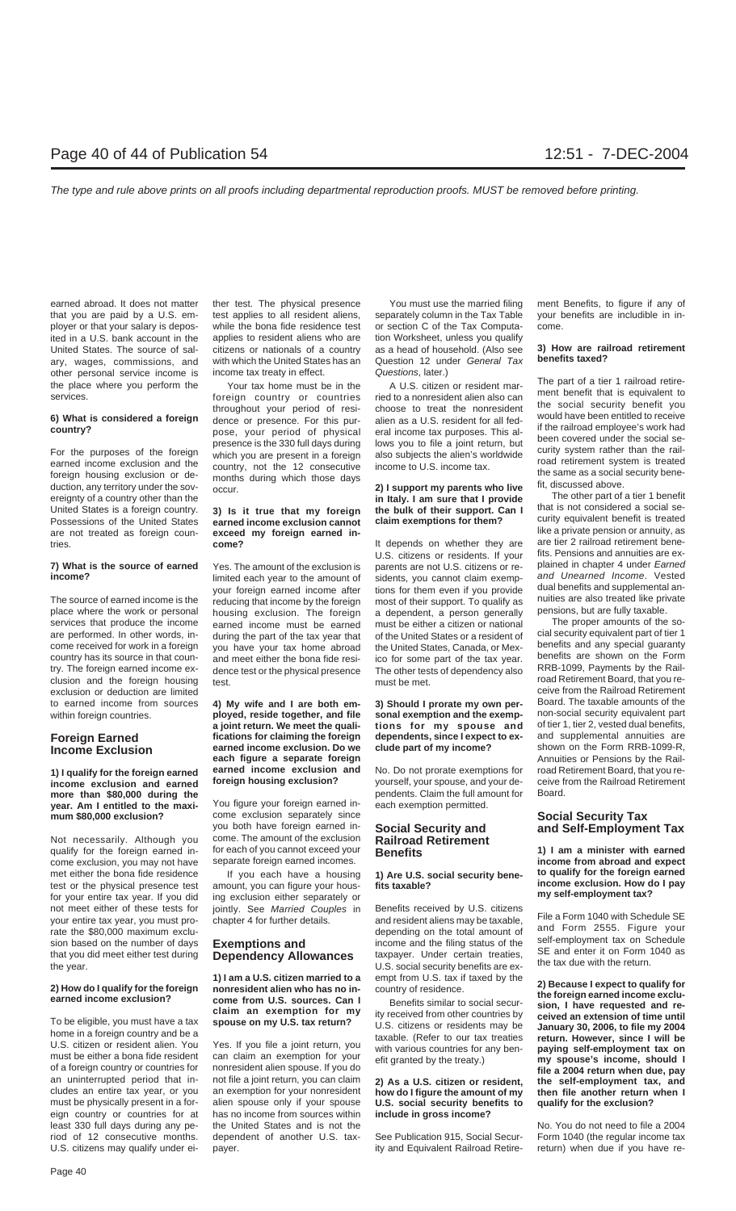that you are paid by a U.S. em- test applies to all resident aliens, separately column in the Tax Table your benefits are includible in inployer or that your salary is depos- while the bona fide residence test or section C of the Tax Computa- come. ited in a U.S. bank account in the applies to resident aliens who are tion Worksheet, unless you qualify United States. The source of sal-<br>
with which the United States began. Question 12 under General Tax **benefits taxed?**<br>
Support the source commissions and with which the United States began. Question 12 under General Tax ary, wages, commissions, and with which the United States has an Question 12 under General Tax

United States is a foreign country. 3) Is it true that my foreign the bulk of their support. Can I that is not considered a social se-<br>Possessions of the United States earned income exclusion cannot claim exemptions for th Possessions of the United States **earned income exclusion cannot** claim exemptions for them? Curity equivalent benefit is treated as foreign coun-<br>are not treated as foreign coun- exceed my foreign earned inare not treated as foreign coun-<br>- come?<br>- It depends on whether they are are tier 2 railroad retirement bene-<br>- It depends on whether they are are tier 2 railroad retirement bene-

The source of earned income is the reducing that income by the foreign most of their support. To qualify as nuities are also treated like private place where the work or personal housing exclusion. The foreign a dependent, place where the work or personal bousing exclusion. The foreign a dependent, a person generally pensions, but are fully taxable.<br>Services that produce the income earned income must be earned must be either a citizen or nat services that produce the income earned income must be earned must be either a citizen or national The proper amounts of the so-<br>are performed. In other words, in-<br>during the part of the tax year that of the United States come received for work in a foreign beautious benefits and any special guaranty you have a factor some part of the tax year. Senefits and any special guaranty country has its source in that coun-<br>country has its source in country has its source in that coun-<br>try, The foreign earned income ex-<br>concept of the physical presence. The other tests of dependency also RRB-1099, Payments by the Railtry. The foreign earned income ex-<br>clusion and the foreign bousing to the test or the physical presence The other tests of dependency also RRB-1099, Payments by the Rail-<br>result be mot the match part of the mot road Retire clusion and the foreign housing test.<br> $R = \frac{1}{2}$  must be met. to earned income from sources **4) My wife and I are both em- 3) Should I prorate my own per-** Board. The taxable amounts of the

**more than \$80,000 during the**<br>year Am Lentitled to the maxi-<br>You figure your foreign earned in**year. Am I entitled to the maxi-** You figure your foreign earned in-<br>mum \$80,000 exclusion? come exclusion separately since

Not necessarily. Although you come. The amount of the exclusion<br>*Rualify for the foreign earned in-* for each of you cannot exceed your qualify for the foreign earned in-<br>
come exclusion, you may not have separate foreign earned incomes.<br> **Benefits 1998 1999 1 1 1 income from abroad and expect** met either the bona fide residence If you each have a housing **1) Are U.S. social security bene- to qualify for the foreign earned**<br>test or the physical presence test amount you can figure your bous-<br>**fits taxable?** Inco test or the physical presence test amount, you can figure your hous-<br>for your entire tax year. If you did a jng exclusion either senarately or for your entire tax year. If you did ing exclusion either separately or not meet either of these tests for iointly. See Married Couples in Benefits received by U.S. citizens your entire tax year, you must pro-<br>sion based on the number of days<br>the your differences the \$80,000 maximum exclu-<br>that you did meet either test during<br>the year.<br>the year.<br>the year.<br>the year.<br>the year.<br>the year.<br>the year

cludes an entire tax year, or you an exemption for your nonresident **how do I figure the amount of my then file another return when I** eign country or countries for at has no income from sources within **include in gross income?** least 330 full days during any pe- the United States and is not the No. You do not need to file a 2004 riod of 12 consecutive months. dependent of another U.S. tax- See Publication 915, Social Secur- Form 1040 (the regular income tax U.S. citizens may qualify under ei- payer. The same ity and Equivalent Railroad Retire- return) when due if you have re-

earned abroad. It does not matter ther test. The physical presence You must use the married filing ment Benefits, to figure if any of

**6) What is considered a foreign** throughout your period of resi-<br>**6) What is considered a foreign** dence or presence. For this pur- alien as a U.S. resident for all fed-<br>**6) What is considered a foreign** dence or presence **COUNTY?**<br>
To the purposes of the foreign<br>
For the purposes of the foreign<br>
exerce is the 330 full days during<br>
exerce is the 330 full days during<br>
exerce is the 330 full days during<br>
the aincome tax purposes. This all-<br>
l

limited each year to the amount of sidents, you cannot claim exemp- and Unearned Income. Vested<br>vour foreign earned income after tions for them even if you provide dual benefits and supplemental anyour foreign earned income after tions for them even if you provide dual benefits and supplemental an-<br>reducing that income by the foreign smost of their support. To qualify as soluties are also treated like private during the part of the tax year that of the United States or a resident of cial security equivalent part of tier 1<br>Vou have vour tax home abroad the United States Canada or Mex. benefits and any special quaranty

**earned income exclusion. Do we clude part of my income?** shown on the Form RRB-1099-R, **Income Exclusion** each figure a separate foreign each figure a separate foreign

mum \$80,000 exclusion? come exclusion separately since<br>you both have foreign earned in-<br>Not necessarily. Although you come. The amount of the exclusion **Railroad Retirement** 

# duction, any territory under the sov-<br>ereignty of a country other than the **the other part of a tier 1** benefit<br>I hitaly. I am sure that I provide The other part of a tier 1 benefit<br>I hitaly states is a foreign country and

U.S. citizens or residents. If your fits. Pensions and annuities are ex-<br>parents are not U.S. citizens or re- plained in chapter 4 under *Earned* **7) What is the source of earned** Yes. The amount of the exclusion is parents are not U.S. citizens or re- plained in chapter 4 under *Earned* Income. Vested in chapter 4 under *Earned* Income. Vested

### within foreign countries. **ployed, reside together, and file sonal exemption and the exemp-** non-social security equivalent part<br>**a joint return. We meet the quali-** tions for my spouse and of tier 1, tier 2, vested dual **a joint return. We meet the quali- tions for my spouse and** of tier 1, tier 2, vested dual benefits, **Foreign Earned fications for claiming the foreign dependents, since I expect to ex-** and supplemental annuities are<br>**Income Exclusion** earned income exclusion. Do we clude part of my income? shown on the Form RRB-1099

1) I qualify for the foreign earned earned income exclusion and No. Do not prorate exemptions for road Retirement Board, that you re-<br>income exclusion and earned foreign housing exclusion?<br>more than \$80,000 during the pend

# **U.S. social security benefits to**

other personal service income is income tax treaty in effect.<br>
the place where you perform the Your tax home must be in the AU.S. citizen or resident mar-<br>
services.<br>
throughout your period of resi-<br>
throughout your period

ceive from the Railroad Retirement

income from abroad and expect<br>to qualify for the foreign earned

2) How do I qualify for the foreign nonesident alien who has no incountry of residence.<br>
To be eligible, you must have a tax<br>
To be eligible, you must have a tax<br>
To be eligible, you must have a tax<br>
To be eligible, you mu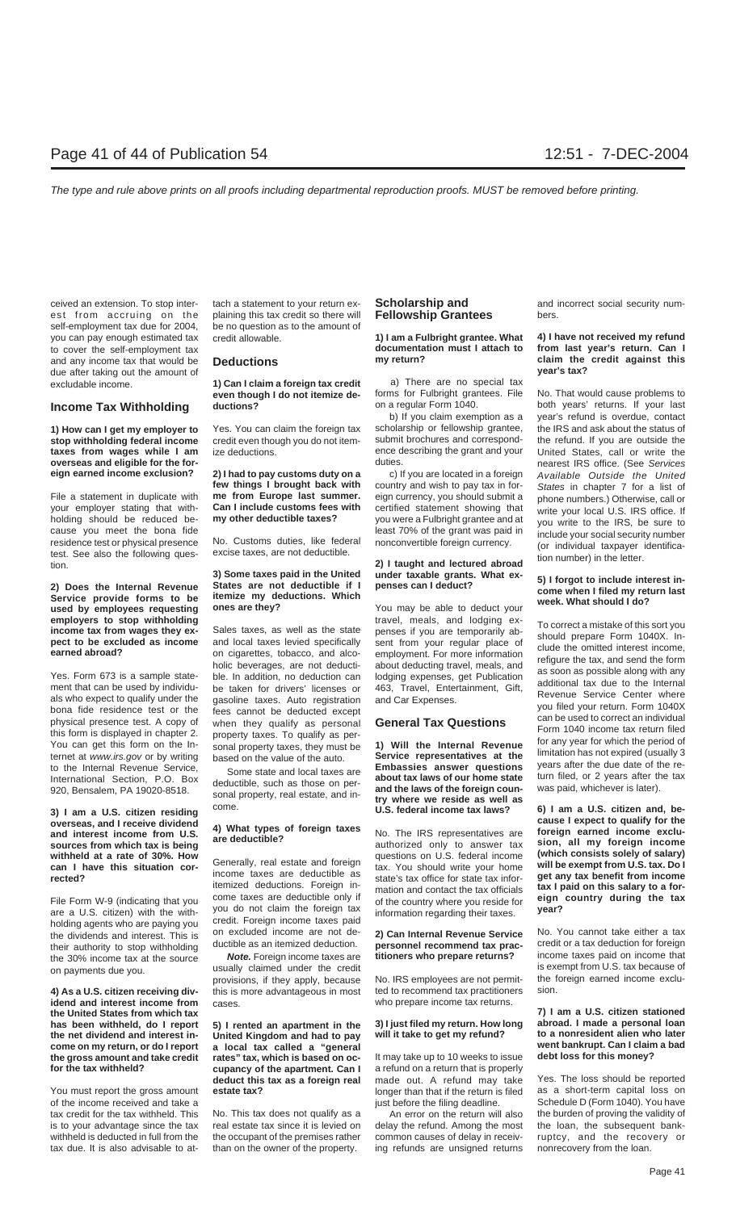est from accruing on the plaining this tax credit so there will **Fellowship Grantees** bers. self-employment tax due for 2004, you can pay enough estimated tax credit allowable. **1) I am a Fulbright grantee. What 4) I have not received my refund** to cover the self-employment tax and any income tax that would be **Deductions my return? claim the credit against this** due after taking out the amount of<br>excludable income. **1) Can I claim a foreign tax credit** a) There are no special tax

File a statement in duplicate with **the from Europe last summer.** eign currency, you should submit a phone numbers.) Otherwise, call or your employer stating that with **Can I include customs fees with** certified statement

**used by employees requesting ones are they?** You may be able to deduct your

**withheld at a rate of 30%. How** are deductione is a rate and foreign authorized only to answer tax sion, all my foreign income withheld at a rate of 30%. How Generally, real estate and foreign tax. You should write your h

the dividends and interest. This is on excluded income are not de-<br>their authority to stop withholding ductible as an itemized deduction.<br>the 30% income tax at the source **Note.** Foreign income taxes are **titioners who pre** the 30% income tax at the source **Note.** Foreign income taxes are **titioners who prepare returns?** income taxes paid on income that the source usually claimed under the credit

**idend and interest income from** cases. **the United States from which tax 7) I am a U.S. citizen stationed has been withheld, do I report 5) I rented an apartment in the 3) I just filed my return. How long abroad. I made a personal loan the net dividend and interest in- United Kingdom and had to pay will it take to get my refund? to a nonresident alien who later come on my return, or do I report a** local tax called a "general **can be a badden a** went bankrupt. Can I claim the gross amount and take credit rates" tax, which is based on oc- It may take up to 10 weeks to issue debt

of the income received and take a **just before the filing deadline.** Schedule D (Form 1040). You have tax credit for the tax withheld. This No. This tax does not qualify as a An error on the return will also the burden of proving the validity of is to your advantage since the tax real estate tax since it is levied on delay the refund. Among the most the loan, the subsequent bank-<br>withheld is deducted in full from the the occupant of the premises rather common caus withheld is deducted in full from the the occupant of the premises rather common causes of delay in receivtax due. It is also advisable to at- than on the owner of the property. ing refunds are unsigned returns nonrecovery from the loan.

ceived an extension. To stop inter- tach a statement to your return ex- **Scholarship and** and incorrect social security num-

1) Can I claim a foreign tax credit

**2) I had to pay customs duty on a** c) If you are located in a foreign Available Outside the United few things I brought back with country and wish to pay tax in for-<br>factors on the States in chapter 7 for a list of **few things I brought back with** country and wish to pay tax in for-<br>**me from Europe last summer.** eign currency, you should submit a phone numbers ) Otherwise call or

# 3) Some taxes paid in the United under taxable grants. What ex-<br>2) Does the Internal Revenue States are not deductible if I penses can I deduct?<br>1) Service provide forms to be itemize my deductions. Which week what should

employers to stop withholding<br>
income taxes, as well as the state person if you are the promotion of this sort you<br>
income to be excluded as income<br>
income and local taxes levied specifically sent from your regular place o

**can I have the correlation correlation correlation** be exempt from the exempt from the exempt from the exempt from  $\frac{1}{2}$  tax. You should write your home File Form W-9 (indicating that you come taxes are deductible only if<br>are a U.S. citizen) with the with-<br>holding agents who are paying you do not claim the foreign tax<br>holding agents who are paying you credit. Foreign incom

on payments due you. usually claimed under the credit is exempt from U.S. tax because of<br>-provisions, if they apply, because No. IRS employees are not permit- the foreign earned income excluprovisions, if they apply, because No. IRS employees are not permit- the foreign extending the income extending the standard explorers sign. **4) As a U.S. citizen receiving div-** this is more advantageous in most ted to recommend tax practitioners idend and interest income from cases

**for the apartment. Can I** 

**even though I do not itemize de-** forms for Fulbright grantees. File No. That would cause problems to

**1) How can I get my employer to** Yes. You can claim the foreign tax scholarship or fellowship grantee, the IRS and ask about the status of **stop withholding federal income** credit even though you do not item-<br>**taxes from wages while I am** ize deductions. **In the refundering the grant and your taxes from wages while I am** ize deductions. ence describing the grant and your United States, call or write the cover seas and eligible for the for-<br>duties. ence the formal part of the for-

to the Internal Revenue Service,<br>
International Revenue Service,<br>
Some state and local taxes are<br>
920, Bensalem, PA 19020-8518.<br>
3) I am a U.S. citizen residing<br>
3) I am a U.S. citizen residing<br>
3) I am a U.S. citizen resi

**the gross amount and take credit rates" tax, which is based on oc-** It may take up to 10 weeks to issue **for the tax withheld?**<br>**cupancy of the apartment. Can I** a refund on a return that is properly **deduct this tax as a foreign real** made out. A refund may take Yes. The loss should be reported estate tax? You must report the gross amount **estate tax? and a short-term** is filed as a short-term capital loss on the return is filed

**ductions?** on a regular Form 1040. both years' returns. If your last **Income Tax Withholding** ductions?<br>b) If you claim exemption as a year's refund is overdue, contact **overseas and eligible for the for-** duties. duties. nearest IRS office. (See Services in a services of the for-<br> **eign earned income exclusion?** 2) I had to pay customs duty on a change of the discreted in a foreign a ser

rected?<br>income taxes are deductible as<br>ite's tax office for state lax information and contact the tax officials<br>File Form W-9 (indicating that you come taxes are deductible only if<br>File Form W-9 (indicating that you come t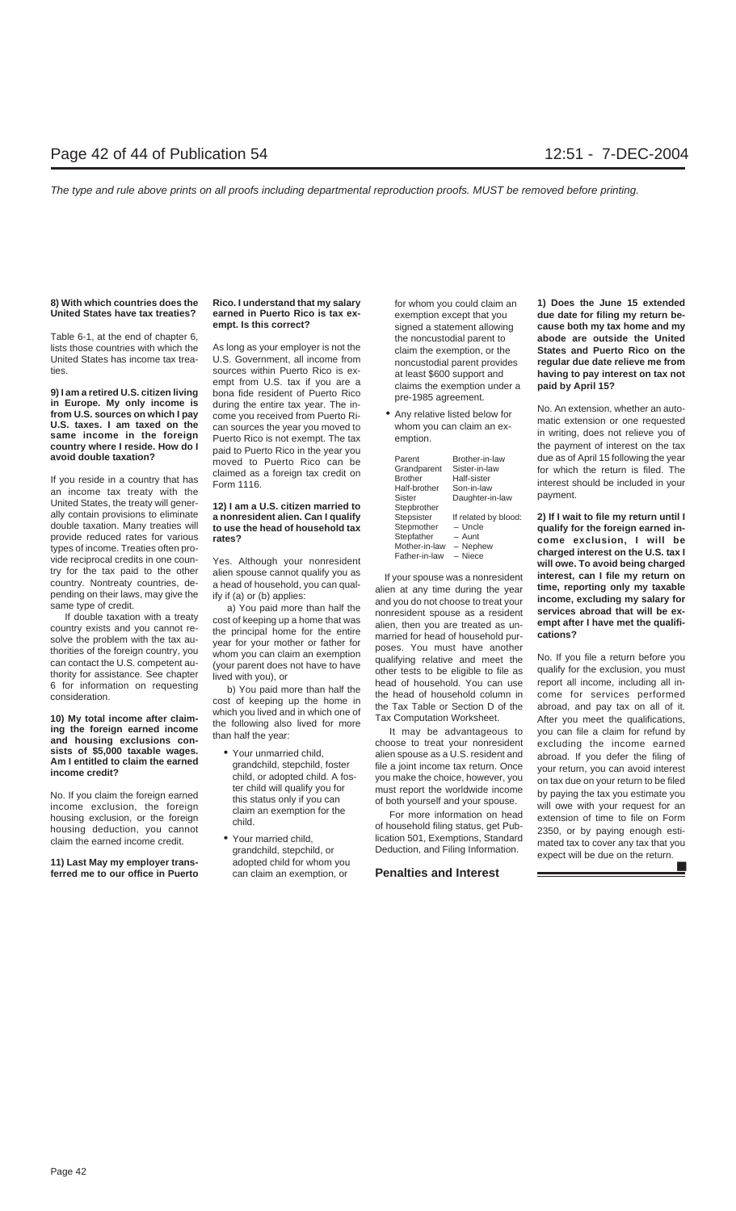Table 6-1, at the end of chapter 6,<br>lists those countries with which the As long as your employer is not the claim the exemption of the **States and Puerto Rico on the** 

### **8) With which countries does the** Rico. I understand that my salary for whom you could claim an **1)** Does the June 15 extended United States have tax treaties? earned in Puerto Rico is tax ex-<br>By a semption except hat you **Exemption Example 18 and States Have Convention Except that you and a date for filing my return be-<br>
<b>Pupt. Is this correct? example a statement allowing** a cause both my tax home and my

lists those countries with which the As long as your employer is not the claim the exemption, or the **States and Puerto Rico on the** United States and **Puerto Rico on the** contribution of the states and **Puerto Rico on the** United States has income tax trea-<br>ties.<br>
S. Government, all income from<br>
ties.<br> **S. Sources within Puerto Rico** is ex-<br> **example to Rico** at least \$600 support and<br> **example to Rico** at least \$600 support and<br> **example to** same income in the foreign<br>
exactly and the payment of interest on the tax<br>
avoid double taxation?<br>
avoid double taxation?<br>
moved to Puerto Rico can be and the payment of interest on the tax<br>
avoid double taxation?<br>
moved

- 
- Ferred me to our office in Puerto can claim an exemption, or **Penalties and Interest** appect will be due on the return.<br>**ferred me to our office in Puerto** can claim an exemption, or **Penalties and Interest EXECUTE:**

| arent         | Brother-in-law      |
|---------------|---------------------|
| randparent    | Sister-in-law       |
| rother        | Half-sister         |
| alf-brother   | Son-in-law          |
| ister         | Daughter-in-law     |
| tepbrother    |                     |
| tepsister     | If related by blood |
| tepmother     | - Uncle             |
| tepfather     | - Aunt              |
| lother-in-law | - Nephew            |
| ather-in-law  | - Niece             |

signed a statement allowing **cause both my tax home and my** 

If you reside in a country that has real car being that a series are control to the state of the state of the state of the state of the state of the state of the state of the state of the state of the state of the state o housing deduction, you cannot of household filing status, get Pub-<br>claim the earned income credit. <br>**11) Last May my employer trans-** adopted child for whom you<br>**11) Last May my employer trans-** adopted child for whom you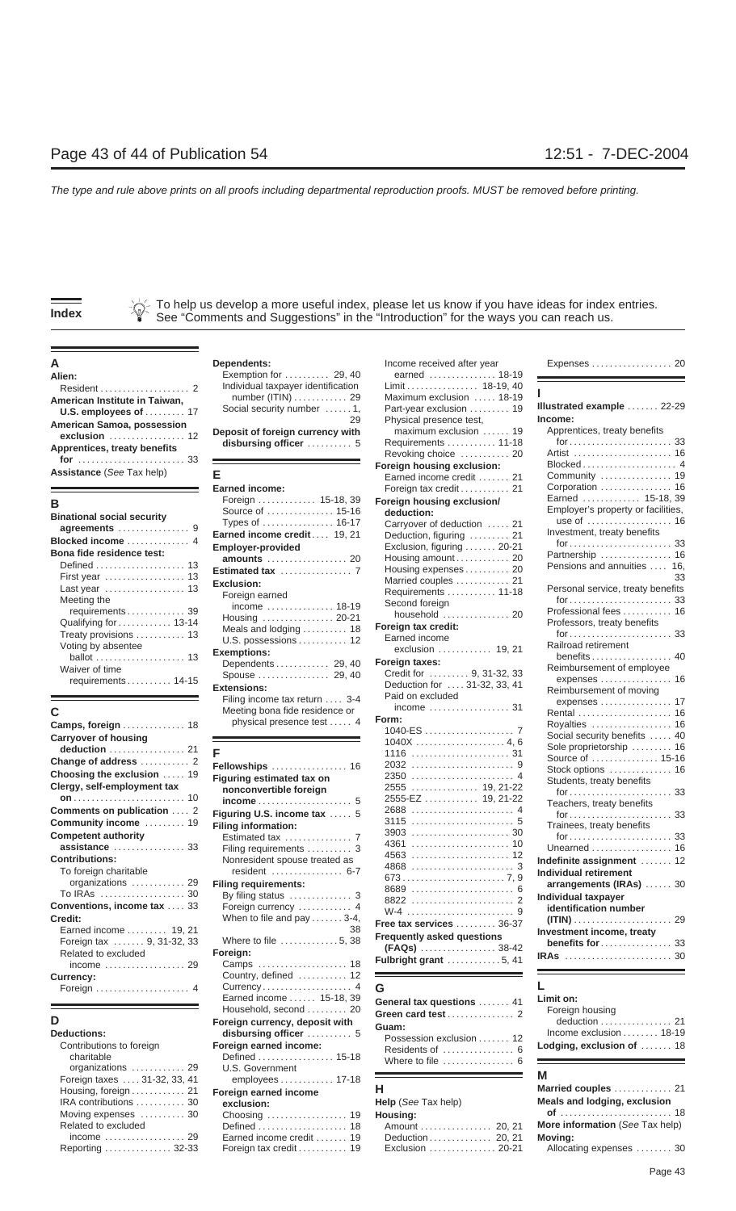

To help us develop a more useful index, please let us know if you have ideas for index entries.<br>**Index** See "Comments and Suggestions" in the "Introduction" for the ways you can reach us.

| ۰. |  |
|----|--|
|    |  |

| Allen:                        |
|-------------------------------|
| Resident  2                   |
| American Institute in Taiwan, |
| U.S. employees of  17         |
| American Samoa, possession    |
| exclusion  12                 |
| Apprentices, treaty benefits  |
|                               |
| Assistance (See Tay heln)     |

| <b>Binational social security</b> |
|-----------------------------------|
| agreements  9                     |
| Blocked income 4                  |
| <b>Bona fide residence test:</b>  |
| Defined  13                       |
| First year  13                    |
| Last year  13                     |
| Meeting the                       |
| requirements 39                   |
| Qualifying for 13-14              |
| Treaty provisions  13             |
| Voting by absentee                |
| ballot  13                        |
| Waiver of time                    |
| requirements 14-15                |

| Camps, foreign  18                           |
|----------------------------------------------|
| <b>Carryover of housing</b><br>deduction  21 |
|                                              |
| Change of address  2                         |
| Choosing the exclusion  19                   |
| Clergy, self-employment tax                  |
|                                              |
| Comments on publication  2                   |
| Community income  19                         |
| <b>Competent authority</b>                   |
| assistance  33                               |
| <b>Contributions:</b>                        |
| To foreign charitable                        |
| organizations  29                            |
| To IRAs  30                                  |
| Conventions, income tax  33                  |
| Credit:                                      |
| Earned income  19, 21                        |
| Foreign tax  9, 31-32, 33                    |
| Related to excluded                          |
| income  29                                   |
| Currency:                                    |
|                                              |

| eductions:                   | disbursing office  |
|------------------------------|--------------------|
| Contributions to foreign     | Foreign earned ind |
| charitable                   | Defined            |
| organizations  29            | U.S. Government    |
| Foreign taxes  31-32, 33, 41 | employees          |
| Housing, foreign 21          | Foreign earned ind |
| IRA contributions  30        | exclusion:         |
| Moving expenses  30          | Choosing           |
| Related to excluded          | Defined            |
| income  29                   | Earned income ci   |
| Reporting  32-33             | Foreign tax credit |

| Exemption for $\dots\dots\dots$ 29, 40 |    |
|----------------------------------------|----|
| Individual taxpayer identification     |    |
| number (ITIN)  29                      |    |
| Social security number 1,              |    |
|                                        | 29 |
| eposit of foreign currency with        |    |
| dishursing officer 5                   |    |

| <b>Earned income:</b>                        |  |
|----------------------------------------------|--|
| Foreign 15-18, 39                            |  |
| Source of  15-16                             |  |
| Types of  16-17                              |  |
| Earned income credit 19, 21                  |  |
| <b>Employer-provided</b>                     |  |
| amounts  20                                  |  |
|                                              |  |
| <b>Exclusion:</b>                            |  |
| Foreign earned                               |  |
| income  18-19                                |  |
| Housing  20-21                               |  |
| Meals and lodging  18                        |  |
| $U.S.$ possessions $\ldots \ldots \ldots$ 12 |  |
| <b>Exemptions:</b>                           |  |
| Dependents  29, 40                           |  |
| Spouse  29, 40                               |  |
| <b>Extensions:</b>                           |  |
| Filing income tax return  3-4                |  |
| Meeting bona fide residence or               |  |
| physical presence test  4                    |  |
|                                              |  |
|                                              |  |

| Choosing the exclusion  19<br>Clergy, self-employment tax<br>Comments on publication  2<br><b>Community income</b> 19<br><b>Competent authority</b><br>assistance  33<br><b>Contributions:</b><br>To foreign charitable | Fellowships  16<br>Figuring estimated tax on<br>nonconvertible foreign<br>$income \ldots \ldots \ldots \ldots \ldots \ldots 5$<br>Figuring U.S. income tax  5<br><b>Filing information:</b><br>Estimated tax  7<br>Filing requirements  3<br>Nonresident spouse treated as<br>resident  6-7 | 2350  4<br>2555  19, 21-22<br>2555-EZ  19, 21-22<br>2688  4                                                                                   | Source of  15-16<br>Stock options  16<br>Students, treaty benefits<br>Teachers, treaty benefits<br>Trainees, treaty benefits<br>$for \ldots \ldots \ldots \ldots \ldots \ldots$<br>Unearned  16<br>Indefinite assignment  12<br>Individual retirement |
|-------------------------------------------------------------------------------------------------------------------------------------------------------------------------------------------------------------------------|---------------------------------------------------------------------------------------------------------------------------------------------------------------------------------------------------------------------------------------------------------------------------------------------|-----------------------------------------------------------------------------------------------------------------------------------------------|-------------------------------------------------------------------------------------------------------------------------------------------------------------------------------------------------------------------------------------------------------|
| organizations  29<br>To IRAs  30<br>Conventions, income tax  33<br>Credit:<br>Earned income  19, 21<br>Foreign tax  9, 31-32, 33<br>Related to excluded<br>income  29                                                   | <b>Filing requirements:</b><br>By filing status  3<br>Foreign currency  4<br>When to file and pay $\dots \dots 3-4$ ,<br>38<br>Where to file $\dots\dots\dots\dots5.38$<br>Foreign:<br>Camps  18                                                                                            | Free tax services  36-37<br><b>Frequently asked questions</b><br>$(FAQs)$ 38-42<br>Fulbright grant 5, 41                                      | arrangements (IRAs)  30<br>Individual taxpayer<br>identification number<br>Investment income, treaty<br>benefits for  33                                                                                                                              |
| Currency:<br>D<br><b>Deductions:</b><br>Contributions to foreign<br>charitable                                                                                                                                          | Country, defined  12<br>Earned income  15-18, 39<br>Household, second  20<br>Foreign currency, deposit with<br>disbursing officer  5<br>Foreign earned income:<br>Defined  15-18                                                                                                            | G<br>General tax questions  41<br>Guam:<br>Possession exclusion  12<br>Residents of  6                                                        | Limit on:<br>Foreign housing<br>$deduction \ldots \ldots \ldots \ldots 21$<br>Income exclusion $\ldots$ ,  18-19<br>Lodging, exclusion of  18                                                                                                         |
| organizations  29<br>Foreign taxes  31-32, 33, 41<br>Housing, foreign 21<br>IRA contributions  30<br>Moving expenses  30<br>Related to excluded<br>income  29<br>Reporting  32-33                                       | U.S. Government<br>employees 17-18<br>Foreign earned income<br>exclusion:<br>Choosing  19<br>Defined  18<br>Earned income credit  19<br>Foreign tax credit  19                                                                                                                              | Where to file $\dots\dots\dots\dots\dots$ 6<br>н.<br>Help (See Tax help)<br>Housing:<br>Amount 20, 21<br>Deduction 20, 21<br>Exclusion  20-21 | M<br>Married couples  21<br>Meals and lodging, exclusion<br>More information (See Tax help)<br>Movina:<br>Allocating expenses  30                                                                                                                     |
|                                                                                                                                                                                                                         |                                                                                                                                                                                                                                                                                             |                                                                                                                                               |                                                                                                                                                                                                                                                       |

| Α                                                 | Dependents:                                                                  | Income received after year                                                            | Expenses  20                                                            |
|---------------------------------------------------|------------------------------------------------------------------------------|---------------------------------------------------------------------------------------|-------------------------------------------------------------------------|
| Alien:<br>Resident  2                             | Exemption for $\dots\dots\dots$ 29, 40<br>Individual taxpayer identification | earned  18-19<br>Limit 18-19, 40<br>Maximum exclusion  18-19                          |                                                                         |
| American Institute in Taiwan,                     | $number (ITIN) \ldots \ldots \ldots 29$<br>Social security number 1,         | Part-year exclusion  19                                                               | Illustrated example  22-29                                              |
| U.S. employees of $\ldots$ 17                     | 29                                                                           | Physical presence test,                                                               | Income:                                                                 |
| American Samoa, possession                        | Deposit of foreign currency with                                             | maximum exclusion  19                                                                 | Apprentices, treaty benefits                                            |
| exclusion $\ldots \ldots \ldots \ldots \ldots$ 12 | disbursing officer  5                                                        | Requirements  11-18                                                                   |                                                                         |
| <b>Apprentices, treaty benefits</b>               |                                                                              | Revoking choice  20                                                                   | Artist  16                                                              |
| Assistance (See Tax help)                         | Е                                                                            | Foreign housing exclusion:                                                            | Blocked 4                                                               |
|                                                   |                                                                              | Earned income credit  21                                                              | Community  19                                                           |
|                                                   | <b>Earned income:</b>                                                        | Foreign tax credit  21                                                                | Corporation  16<br>Earned  15-18, 39                                    |
| в                                                 | Foreign  15-18, 39                                                           | Foreign housing exclusion/                                                            | Employer's property or facilities,                                      |
| <b>Binational social security</b>                 | Source of  15-16<br>Types of  16-17                                          | deduction:                                                                            | use of  16                                                              |
| agreements  9                                     |                                                                              | Carryover of deduction  21                                                            | Investment, treaty benefits                                             |
| Blocked income 4                                  | Earned income credit 19, 21                                                  | Deduction, figuring  21                                                               |                                                                         |
| Bona fide residence test:                         | <b>Employer-provided</b>                                                     | Exclusion, figuring $\ldots \ldots$ 20-21<br>Housing amount $\ldots \ldots \ldots$ 20 | Partnership  16                                                         |
| Defined  13                                       | amounts  20                                                                  | Housing expenses 20                                                                   | Pensions and annuities  16.                                             |
| First year  13                                    |                                                                              | Married couples  21                                                                   | 33                                                                      |
| Last year  13                                     | <b>Exclusion:</b><br>Foreign earned                                          | Requirements  11-18                                                                   | Personal service, treaty benefits                                       |
| Meeting the                                       | income  18-19                                                                | Second foreign                                                                        |                                                                         |
| requirements 39                                   | Housing  20-21                                                               | household $\ldots$ 20                                                                 | Professional fees  16                                                   |
| Qualifying for $\dots\dots\dots\dots$ 13-14       | Meals and lodging  18                                                        | Foreign tax credit:                                                                   | Professors, treaty benefits                                             |
| Treaty provisions  13                             | U.S. possessions $\ldots$ 12                                                 | Earned income                                                                         |                                                                         |
| Voting by absentee                                | <b>Exemptions:</b>                                                           | exclusion  19, 21                                                                     | Railroad retirement                                                     |
| ballot  13                                        | Dependents  29, 40                                                           | Foreign taxes:                                                                        | benefits 40                                                             |
| Waiver of time                                    | Spouse  29, 40                                                               | Credit for  9, 31-32, 33                                                              | Reimbursement of employee<br>$express \dots \dots \dots \dots \dots 16$ |
| requirements 14-15                                | <b>Extensions:</b>                                                           | Deduction for  31-32, 33, 41                                                          | Reimbursement of moving                                                 |
|                                                   | Filing income tax return  3-4                                                | Paid on excluded                                                                      | expenses  17                                                            |
| С                                                 | Meeting bona fide residence or                                               | income  31                                                                            | Rental  16                                                              |
| Camps, foreign 18                                 | physical presence test  4                                                    | Form:                                                                                 | Royalties  16                                                           |
| <b>Carryover of housing</b>                       |                                                                              |                                                                                       | Social security benefits  40                                            |
| deduction $\ldots \ldots \ldots \ldots \ldots 21$ | F.                                                                           |                                                                                       | Sole proprietorship  16                                                 |
|                                                   |                                                                              |                                                                                       | Source of  15-16                                                        |
| <b>Choosing the exclusion  19</b>                 | Fellowships  16                                                              | 2032  9                                                                               | Stock options  16                                                       |
| Clergy, self-employment tax                       | Figuring estimated tax on                                                    | 2555 19, 21-22                                                                        | Students, treaty benefits                                               |
|                                                   | nonconvertible foreign                                                       | 2555-EZ  19, 21-22                                                                    |                                                                         |
| <b>Comments on publication  2</b>                 | $income \ldots \ldots \ldots \ldots \ldots 5$                                |                                                                                       | Teachers, treaty benefits                                               |
| Community income  19                              | Figuring U.S. income tax  5                                                  |                                                                                       | Trainees, treaty benefits                                               |
| <b>Competent authority</b>                        | <b>Filing information:</b>                                                   |                                                                                       |                                                                         |
| assistance  33                                    | Estimated tax  7<br>Filing requirements  3                                   |                                                                                       | Unearned  16                                                            |
| <b>Contributions:</b>                             | Nonresident spouse treated as                                                |                                                                                       | Indefinite assignment  12                                               |
| To foreign charitable                             | resident  6-7                                                                |                                                                                       | <b>Individual retirement</b>                                            |
| organizations  29                                 | <b>Filing requirements:</b>                                                  |                                                                                       | arrangements (IRAs)  30                                                 |
| To IRAs  30                                       | By filing status $\dots\dots\dots\dots$ 3                                    |                                                                                       | Individual taxpayer                                                     |
| Conventions, income tax  33                       | Foreign currency  4                                                          |                                                                                       | identification number                                                   |
| Credit:                                           | When to file and pay $\dots \dots 3-4$ ,                                     |                                                                                       |                                                                         |
| Earned income  19, 21                             | 38                                                                           | Free tax services  36-37                                                              | Investment income, treaty                                               |
| Foreign tax  9, 31-32, 33                         | Where to file $\dots\dots\dots\dots5$ , 38                                   | <b>Frequently asked questions</b>                                                     | benefits for  33                                                        |
| Related to excluded                               | Foreign:                                                                     | <b>(FAQs)</b> 38-42                                                                   |                                                                         |
| income  29                                        | Camps  18                                                                    | Fulbright grant 5, 41                                                                 |                                                                         |

| Earned income  15-18, 39<br>Household, second  20<br>oreign currency, deposit with<br>disbursing officer $\ldots \ldots \ldots 5$<br>oreign earned income:<br>Defined 15-18 | General tax questions  41<br>Guam:<br>Possession exclusion  12<br>Where to file $\dots\dots\dots\dots\dots$ 6 | Limit on:<br>Foreigr<br>dedu<br>Income<br>Lodging, |
|-----------------------------------------------------------------------------------------------------------------------------------------------------------------------------|---------------------------------------------------------------------------------------------------------------|----------------------------------------------------|
| $H \subseteq$ Covernment                                                                                                                                                    |                                                                                                               |                                                    |

| <b>lelp</b> (See Tax help) |  |
|----------------------------|--|
| lousing:                   |  |
| Amount 20, 21              |  |
| Deduction 20, 21           |  |
| Exclusion  20-21           |  |
|                            |  |

| Ilustrated example  22-29               |     |
|-----------------------------------------|-----|
| ncome:                                  |     |
| Apprentices, treaty benefits            |     |
|                                         | 33  |
|                                         | 16  |
| Blocked 4                               |     |
| Community                               | 19  |
| Corporation  16                         |     |
| Earned  15-18, 39                       |     |
| Employer's property or facilities,      |     |
| use of  16                              |     |
| Investment, treaty benefits             |     |
|                                         | 33  |
| Partnership  16                         |     |
| Pensions and annuities                  | 16, |
|                                         | 33  |
|                                         |     |
| Personal service, treaty benefits       |     |
|                                         | 33  |
| Professional fees                       | 16  |
| Professors, treaty benefits             |     |
|                                         | 33  |
| Railroad retirement                     |     |
| benefits 40                             |     |
| Reimbursement of employee               |     |
| expenses                                | 16  |
| Reimbursement of moving                 |     |
| $express \dots \dots \dots \dots \dots$ | 17  |
| Rental                                  | 16  |
| Royalties                               | 16  |
| Social security benefits                | 40  |
| Sole proprietorship                     | 16  |
| Source of  15-16                        |     |
| Stock options                           | 16  |
| Students, treaty benefits               |     |
|                                         | 33  |
| Teachers, treaty benefits               |     |
|                                         | 33  |
| Trainees, treaty benefits               |     |
|                                         | 33  |
| Unearned                                | 16  |
| ndefinite assignment                    | 12  |
|                                         |     |
| ndividual retirement                    |     |
| arrangements (IRAs)  30                 |     |
| ndividual taxpayer                      |     |
| identification number                   |     |
|                                         |     |
| nvestment income, treaty                |     |
| benefits for                            | 33  |
| RAs                                     | 30  |
|                                         |     |

| Limit on:                                  |  |
|--------------------------------------------|--|
| Foreign housing                            |  |
| $deduction \ldots \ldots \ldots \ldots 21$ |  |
| Income exclusion $\ldots \ldots$ 18-19     |  |
| Lodging, exclusion of  18                  |  |
|                                            |  |